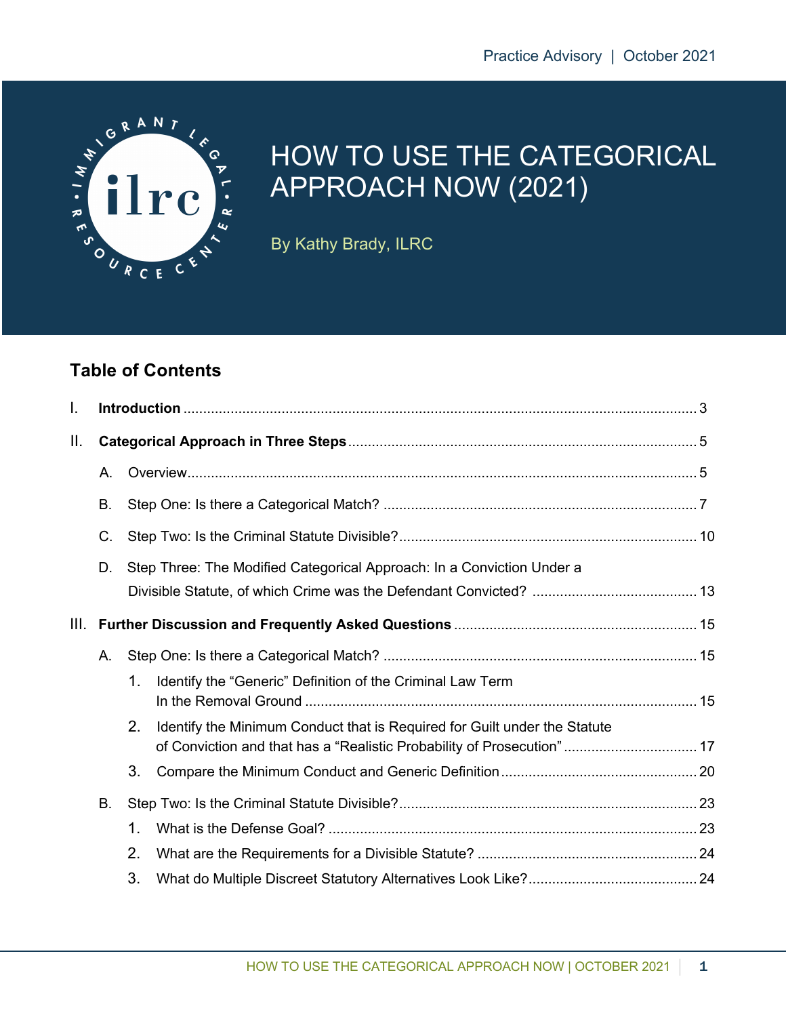

# HOW TO USE THE CATEGORICAL APPROACH NOW (2021)

By Kathy Brady, ILRC

### **Table of Contents**

| I. |    |                                                                                                                                                           |  |  |  |  |
|----|----|-----------------------------------------------------------------------------------------------------------------------------------------------------------|--|--|--|--|
| Ш. |    |                                                                                                                                                           |  |  |  |  |
|    | Α. |                                                                                                                                                           |  |  |  |  |
|    | В. |                                                                                                                                                           |  |  |  |  |
|    | C. |                                                                                                                                                           |  |  |  |  |
|    | D. | Step Three: The Modified Categorical Approach: In a Conviction Under a                                                                                    |  |  |  |  |
|    |    |                                                                                                                                                           |  |  |  |  |
|    |    |                                                                                                                                                           |  |  |  |  |
|    | А. |                                                                                                                                                           |  |  |  |  |
|    |    | Identify the "Generic" Definition of the Criminal Law Term<br>1.                                                                                          |  |  |  |  |
|    |    | 2.<br>Identify the Minimum Conduct that is Required for Guilt under the Statute<br>of Conviction and that has a "Realistic Probability of Prosecution" 17 |  |  |  |  |
|    |    | 3.                                                                                                                                                        |  |  |  |  |
|    | В. |                                                                                                                                                           |  |  |  |  |
|    |    | 1.                                                                                                                                                        |  |  |  |  |
|    |    | 2.                                                                                                                                                        |  |  |  |  |
|    |    | 3.                                                                                                                                                        |  |  |  |  |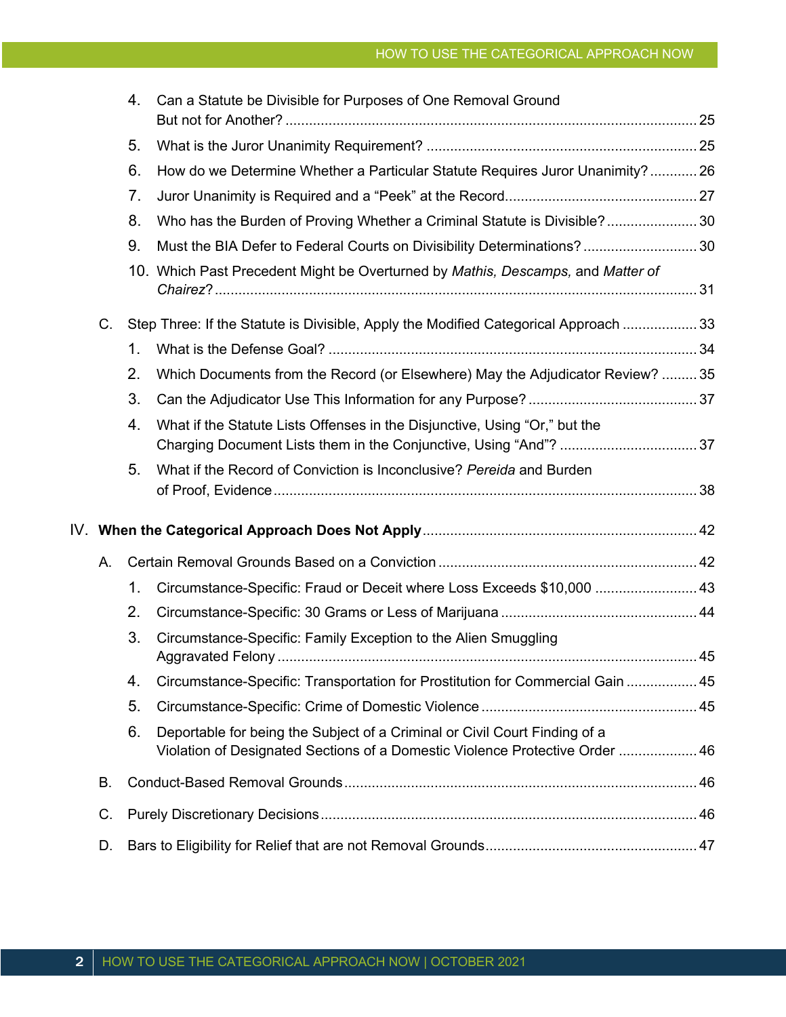|    | 4. | Can a Statute be Divisible for Purposes of One Removal Ground                                                                                              |  |  |
|----|----|------------------------------------------------------------------------------------------------------------------------------------------------------------|--|--|
|    | 5. |                                                                                                                                                            |  |  |
|    | 6. | How do we Determine Whether a Particular Statute Requires Juror Unanimity? 26                                                                              |  |  |
|    | 7. |                                                                                                                                                            |  |  |
|    | 8. | Who has the Burden of Proving Whether a Criminal Statute is Divisible? 30                                                                                  |  |  |
|    | 9. | Must the BIA Defer to Federal Courts on Divisibility Determinations? 30                                                                                    |  |  |
|    |    | 10. Which Past Precedent Might be Overturned by Mathis, Descamps, and Matter of                                                                            |  |  |
| C. |    | Step Three: If the Statute is Divisible, Apply the Modified Categorical Approach  33                                                                       |  |  |
|    | 1. |                                                                                                                                                            |  |  |
|    | 2. | Which Documents from the Record (or Elsewhere) May the Adjudicator Review?  35                                                                             |  |  |
|    | 3. |                                                                                                                                                            |  |  |
|    | 4. | What if the Statute Lists Offenses in the Disjunctive, Using "Or," but the                                                                                 |  |  |
|    | 5. | What if the Record of Conviction is Inconclusive? Pereida and Burden                                                                                       |  |  |
|    |    |                                                                                                                                                            |  |  |
| А. |    |                                                                                                                                                            |  |  |
|    | 1. | Circumstance-Specific: Fraud or Deceit where Loss Exceeds \$10,000  43                                                                                     |  |  |
|    | 2. |                                                                                                                                                            |  |  |
|    | 3. | Circumstance-Specific: Family Exception to the Alien Smuggling                                                                                             |  |  |
|    | 4. | Circumstance-Specific: Transportation for Prostitution for Commercial Gain  45                                                                             |  |  |
|    | 5. |                                                                                                                                                            |  |  |
|    | 6. | Deportable for being the Subject of a Criminal or Civil Court Finding of a<br>Violation of Designated Sections of a Domestic Violence Protective Order  46 |  |  |
| В. |    |                                                                                                                                                            |  |  |
| C. |    |                                                                                                                                                            |  |  |
| D. |    |                                                                                                                                                            |  |  |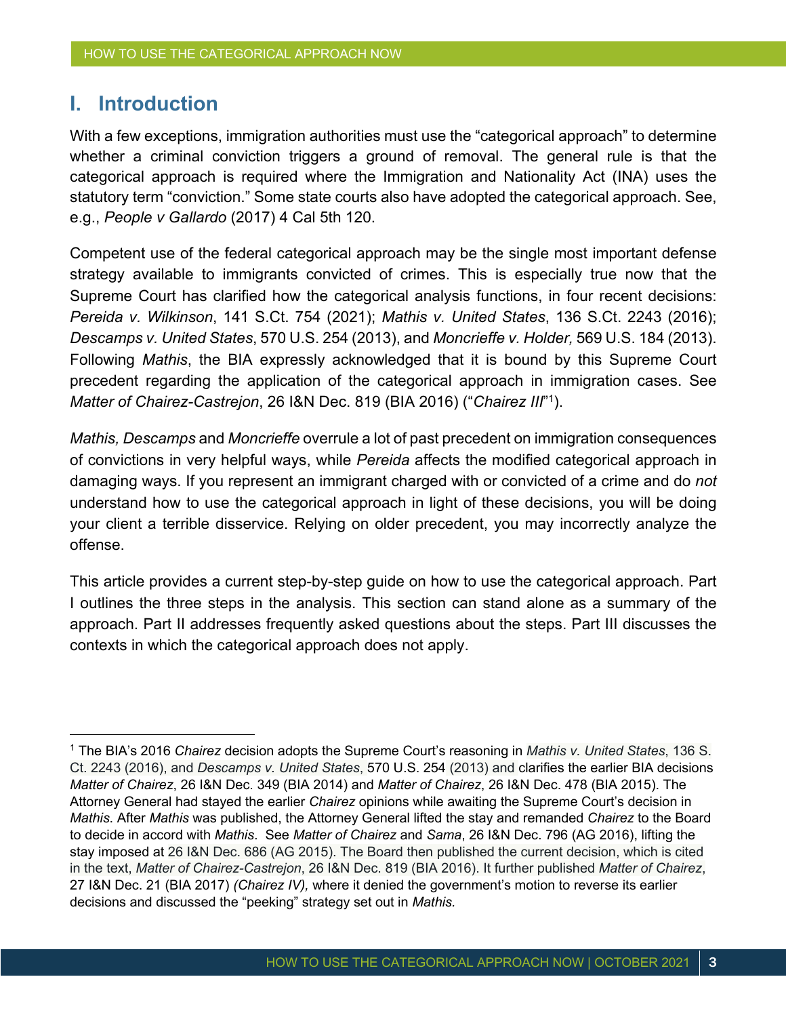### **I. Introduction**

With a few exceptions, immigration authorities must use the "categorical approach" to determine whether a criminal conviction triggers a ground of removal. The general rule is that the categorical approach is required where the Immigration and Nationality Act (INA) uses the statutory term "conviction." Some state courts also have adopted the categorical approach. See, e.g., *People v Gallardo* (2017) 4 Cal 5th 120.

Competent use of the federal categorical approach may be the single most important defense strategy available to immigrants convicted of crimes. This is especially true now that the Supreme Court has clarified how the categorical analysis functions, in four recent decisions: *Pereida v. Wilkinson*, 141 S.Ct. 754 (2021); *Mathis v. United States*, 136 S.Ct. 2243 (2016); *Descamps v. United States*, 570 U.S. 254 (2013), and *Moncrieffe v. Holder,* 569 U.S. 184 (2013). Following *Mathis*, the BIA expressly acknowledged that it is bound by this Supreme Court precedent regarding the application of the categorical approach in immigration cases. See *Matter of Chairez-Castrejon*, 26 I&N Dec. 819 (BIA 2016) ("*Chairez III*" 1).

*Mathis, Descamps* and *Moncrieffe* overrule a lot of past precedent on immigration consequences of convictions in very helpful ways, while *Pereida* affects the modified categorical approach in damaging ways. If you represent an immigrant charged with or convicted of a crime and do *not* understand how to use the categorical approach in light of these decisions, you will be doing your client a terrible disservice. Relying on older precedent, you may incorrectly analyze the offense.

This article provides a current step-by-step guide on how to use the categorical approach. Part I outlines the three steps in the analysis. This section can stand alone as a summary of the approach. Part II addresses frequently asked questions about the steps. Part III discusses the contexts in which the categorical approach does not apply.

<sup>1</sup> The BIA's 2016 *Chairez* decision adopts the Supreme Court's reasoning in *Mathis v. United States*, 136 S. Ct. 2243 (2016), and *Descamps v. United States*, 570 U.S. 254 (2013) and clarifies the earlier BIA decisions *Matter of Chairez*, 26 I&N Dec. 349 (BIA 2014) and *Matter of Chairez*, 26 I&N Dec. 478 (BIA 2015). The Attorney General had stayed the earlier *Chairez* opinions while awaiting the Supreme Court's decision in *Mathis*. After *Mathis* was published, the Attorney General lifted the stay and remanded *Chairez* to the Board to decide in accord with *Mathis*. See *Matter of Chairez* and *Sama*, 26 I&N Dec. 796 (AG 2016), lifting the stay imposed at 26 I&N Dec. 686 (AG 2015). The Board then published the current decision, which is cited in the text, *Matter of Chairez-Castrejon*, 26 I&N Dec. 819 (BIA 2016). It further published *Matter of Chairez*, 27 I&N Dec. 21 (BIA 2017) *(Chairez IV),* where it denied the government's motion to reverse its earlier decisions and discussed the "peeking" strategy set out in *Mathis.*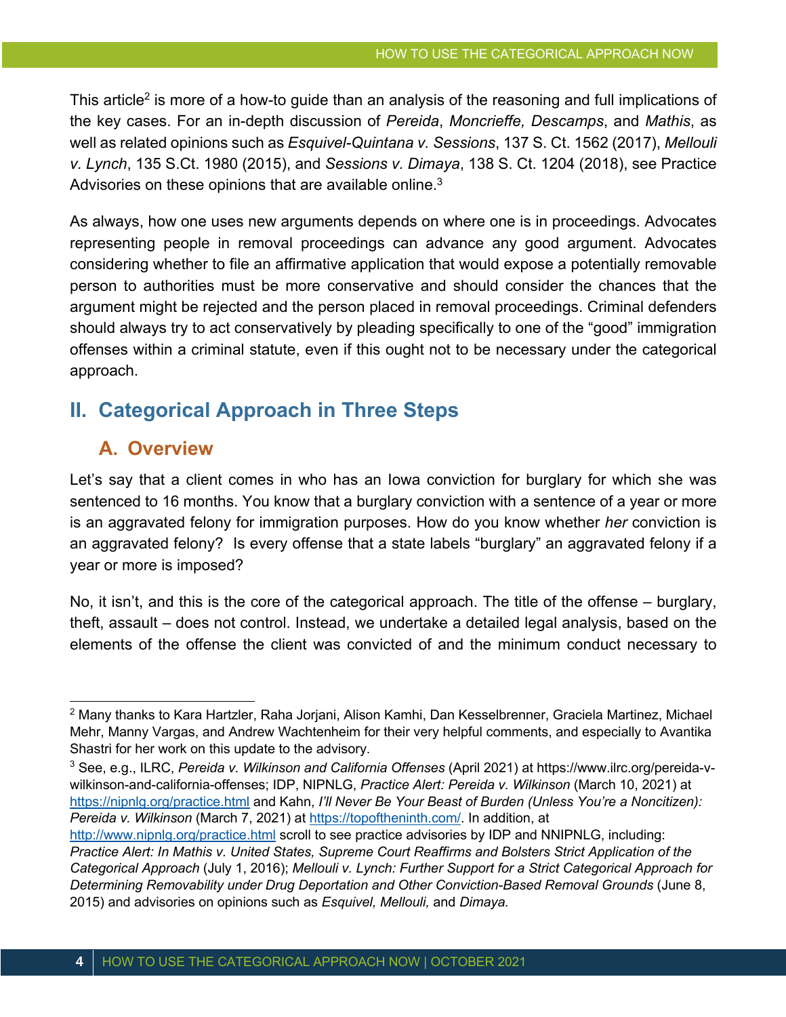This article<sup>2</sup> is more of a how-to quide than an analysis of the reasoning and full implications of the key cases. For an in-depth discussion of *Pereida*, *Moncrieffe, Descamps*, and *Mathis*, as well as related opinions such as *Esquivel-Quintana v. Sessions*, 137 S. Ct. 1562 (2017), *Mellouli v. Lynch*, 135 S.Ct. 1980 (2015), and *Sessions v. Dimaya*, 138 S. Ct. 1204 (2018), see Practice Advisories on these opinions that are available online.<sup>3</sup>

As always, how one uses new arguments depends on where one is in proceedings. Advocates representing people in removal proceedings can advance any good argument. Advocates considering whether to file an affirmative application that would expose a potentially removable person to authorities must be more conservative and should consider the chances that the argument might be rejected and the person placed in removal proceedings. Criminal defenders should always try to act conservatively by pleading specifically to one of the "good" immigration offenses within a criminal statute, even if this ought not to be necessary under the categorical approach.

# **II. Categorical Approach in Three Steps**

### **A. Overview**

Let's say that a client comes in who has an Iowa conviction for burglary for which she was sentenced to 16 months. You know that a burglary conviction with a sentence of a year or more is an aggravated felony for immigration purposes. How do you know whether *her* conviction is an aggravated felony? Is every offense that a state labels "burglary" an aggravated felony if a year or more is imposed?

No, it isn't, and this is the core of the categorical approach. The title of the offense – burglary, theft, assault – does not control. Instead, we undertake a detailed legal analysis, based on the elements of the offense the client was convicted of and the minimum conduct necessary to

<sup>2</sup> Many thanks to Kara Hartzler, Raha Jorjani, Alison Kamhi, Dan Kesselbrenner, Graciela Martinez, Michael Mehr, Manny Vargas, and Andrew Wachtenheim for their very helpful comments, and especially to Avantika Shastri for her work on this update to the advisory.

<sup>3</sup> See, e.g., ILRC, *Pereida v. Wilkinson and California Offenses* (April 2021) at https://www.ilrc.org/pereida-vwilkinson-and-california-offenses; IDP, NIPNLG, *Practice Alert: Pereida v. Wilkinson* (March 10, 2021) at https://nipnlg.org/practice.html and Kahn, *I'll Never Be Your Beast of Burden (Unless You're a Noncitizen): Pereida v. Wilkinson* (March 7, 2021) at https://topoftheninth.com/. In addition, at

http://www.nipnlg.org/practice.html scroll to see practice advisories by IDP and NNIPNLG, including: *Practice Alert: In Mathis v. United States, Supreme Court Reaffirms and Bolsters Strict Application of the Categorical Approach* (July 1, 2016); *Mellouli v. Lynch: Further Support for a Strict Categorical Approach for Determining Removability under Drug Deportation and Other Conviction-Based Removal Grounds* (June 8, 2015) and advisories on opinions such as *Esquivel, Mellouli,* and *Dimaya.*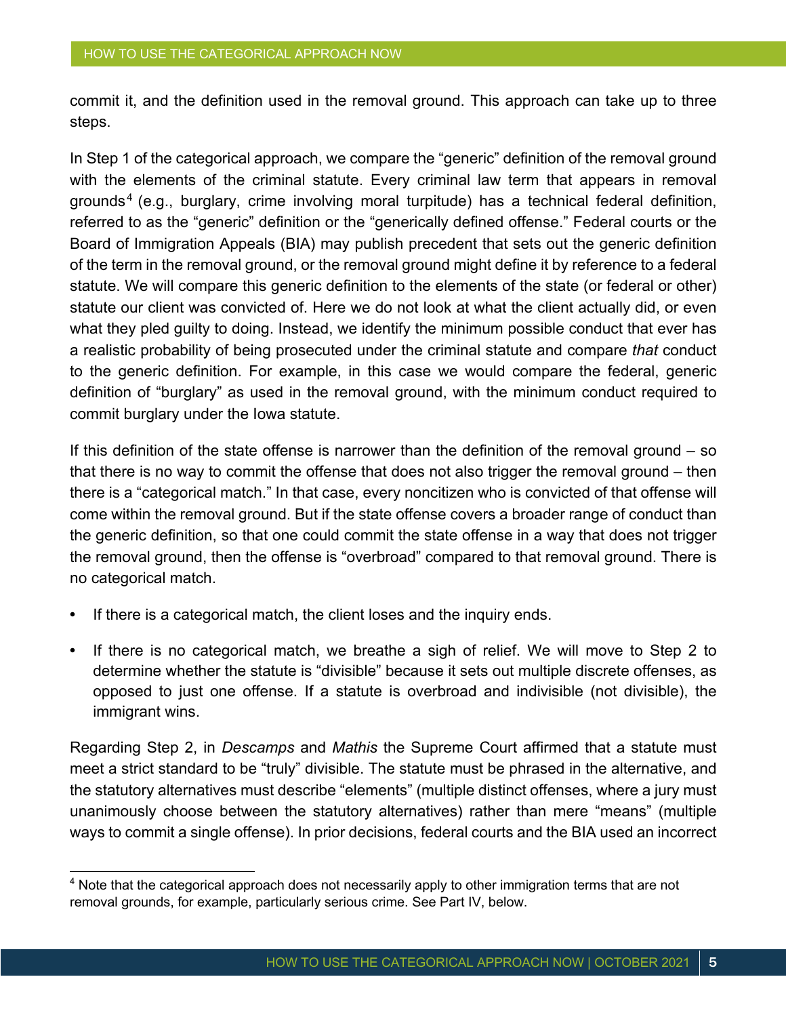commit it, and the definition used in the removal ground. This approach can take up to three steps.

In Step 1 of the categorical approach, we compare the "generic" definition of the removal ground with the elements of the criminal statute. Every criminal law term that appears in removal grounds<sup>4</sup> (e.g., burglary, crime involving moral turpitude) has a technical federal definition, referred to as the "generic" definition or the "generically defined offense." Federal courts or the Board of Immigration Appeals (BIA) may publish precedent that sets out the generic definition of the term in the removal ground, or the removal ground might define it by reference to a federal statute. We will compare this generic definition to the elements of the state (or federal or other) statute our client was convicted of. Here we do not look at what the client actually did, or even what they pled guilty to doing. Instead, we identify the minimum possible conduct that ever has a realistic probability of being prosecuted under the criminal statute and compare *that* conduct to the generic definition. For example, in this case we would compare the federal, generic definition of "burglary" as used in the removal ground, with the minimum conduct required to commit burglary under the Iowa statute.

If this definition of the state offense is narrower than the definition of the removal ground – so that there is no way to commit the offense that does not also trigger the removal ground – then there is a "categorical match." In that case, every noncitizen who is convicted of that offense will come within the removal ground. But if the state offense covers a broader range of conduct than the generic definition, so that one could commit the state offense in a way that does not trigger the removal ground, then the offense is "overbroad" compared to that removal ground. There is no categorical match.

- **•** If there is a categorical match, the client loses and the inquiry ends.
- **•** If there is no categorical match, we breathe a sigh of relief. We will move to Step 2 to determine whether the statute is "divisible" because it sets out multiple discrete offenses, as opposed to just one offense. If a statute is overbroad and indivisible (not divisible), the immigrant wins.

Regarding Step 2, in *Descamps* and *Mathis* the Supreme Court affirmed that a statute must meet a strict standard to be "truly" divisible. The statute must be phrased in the alternative, and the statutory alternatives must describe "elements" (multiple distinct offenses, where a jury must unanimously choose between the statutory alternatives) rather than mere "means" (multiple ways to commit a single offense). In prior decisions, federal courts and the BIA used an incorrect

<sup>&</sup>lt;sup>4</sup> Note that the categorical approach does not necessarily apply to other immigration terms that are not removal grounds, for example, particularly serious crime. See Part IV, below.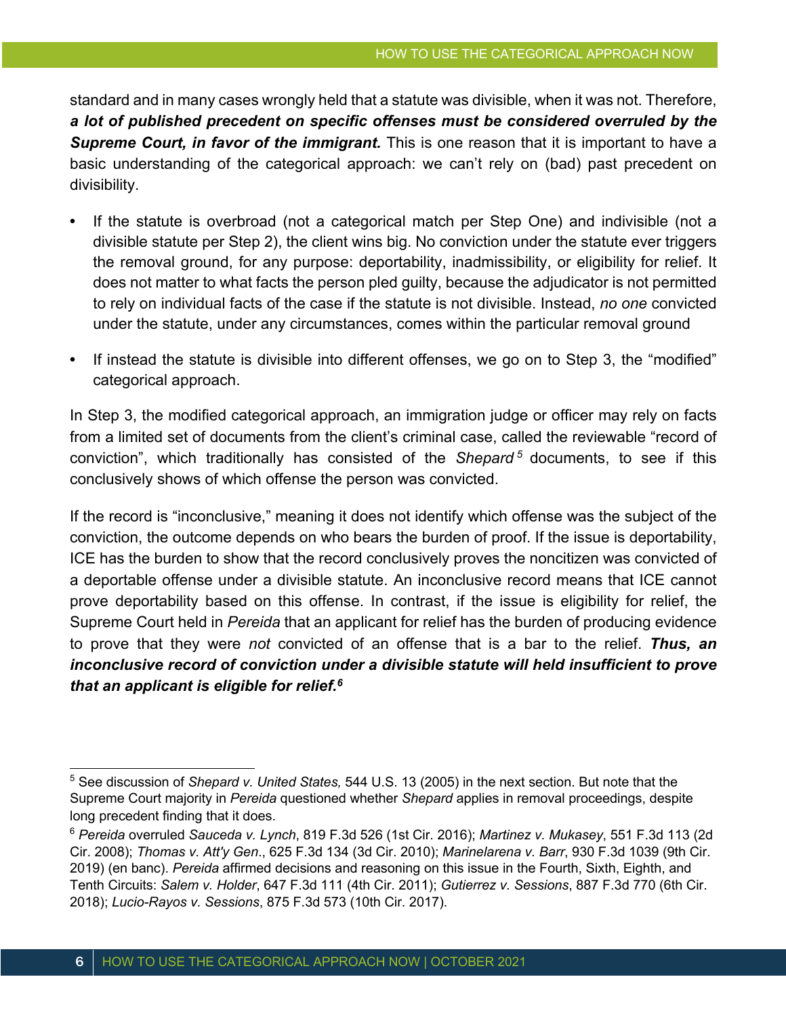standard and in many cases wrongly held that a statute was divisible, when it was not. Therefore, *a lot of published precedent on specific offenses must be considered overruled by the*  **Supreme Court, in favor of the immigrant.** This is one reason that it is important to have a basic understanding of the categorical approach: we can't rely on (bad) past precedent on divisibility.

- **•** If the statute is overbroad (not a categorical match per Step One) and indivisible (not a divisible statute per Step 2), the client wins big. No conviction under the statute ever triggers the removal ground, for any purpose: deportability, inadmissibility, or eligibility for relief. It does not matter to what facts the person pled guilty, because the adjudicator is not permitted to rely on individual facts of the case if the statute is not divisible. Instead, *no one* convicted under the statute, under any circumstances, comes within the particular removal ground
- **•** If instead the statute is divisible into different offenses, we go on to Step 3, the "modified" categorical approach.

In Step 3, the modified categorical approach, an immigration judge or officer may rely on facts from a limited set of documents from the client's criminal case, called the reviewable "record of conviction", which traditionally has consisted of the *Shepard <sup>5</sup>* documents, to see if this conclusively shows of which offense the person was convicted.

If the record is "inconclusive," meaning it does not identify which offense was the subject of the conviction, the outcome depends on who bears the burden of proof. If the issue is deportability, ICE has the burden to show that the record conclusively proves the noncitizen was convicted of a deportable offense under a divisible statute. An inconclusive record means that ICE cannot prove deportability based on this offense. In contrast, if the issue is eligibility for relief, the Supreme Court held in *Pereida* that an applicant for relief has the burden of producing evidence to prove that they were *not* convicted of an offense that is a bar to the relief. *Thus, an inconclusive record of conviction under a divisible statute will held insufficient to prove that an applicant is eligible for relief.6*

<sup>5</sup> See discussion of *Shepard v. United States,* 544 U.S. 13 (2005) in the next section. But note that the Supreme Court majority in *Pereida* questioned whether *Shepard* applies in removal proceedings, despite long precedent finding that it does.

<sup>6</sup> *Pereida* overruled *Sauceda v. Lynch*, 819 F.3d 526 (1st Cir. 2016); *Martinez v. Mukasey*, 551 F.3d 113 (2d Cir. 2008); *Thomas v. Att'y Gen*., 625 F.3d 134 (3d Cir. 2010); *Marinelarena v. Barr*, 930 F.3d 1039 (9th Cir. 2019) (en banc). *Pereida* affirmed decisions and reasoning on this issue in the Fourth, Sixth, Eighth, and Tenth Circuits: *Salem v. Holder*, 647 F.3d 111 (4th Cir. 2011); *Gutierrez v. Sessions*, 887 F.3d 770 (6th Cir. 2018); *Lucio-Rayos v. Sessions*, 875 F.3d 573 (10th Cir. 2017).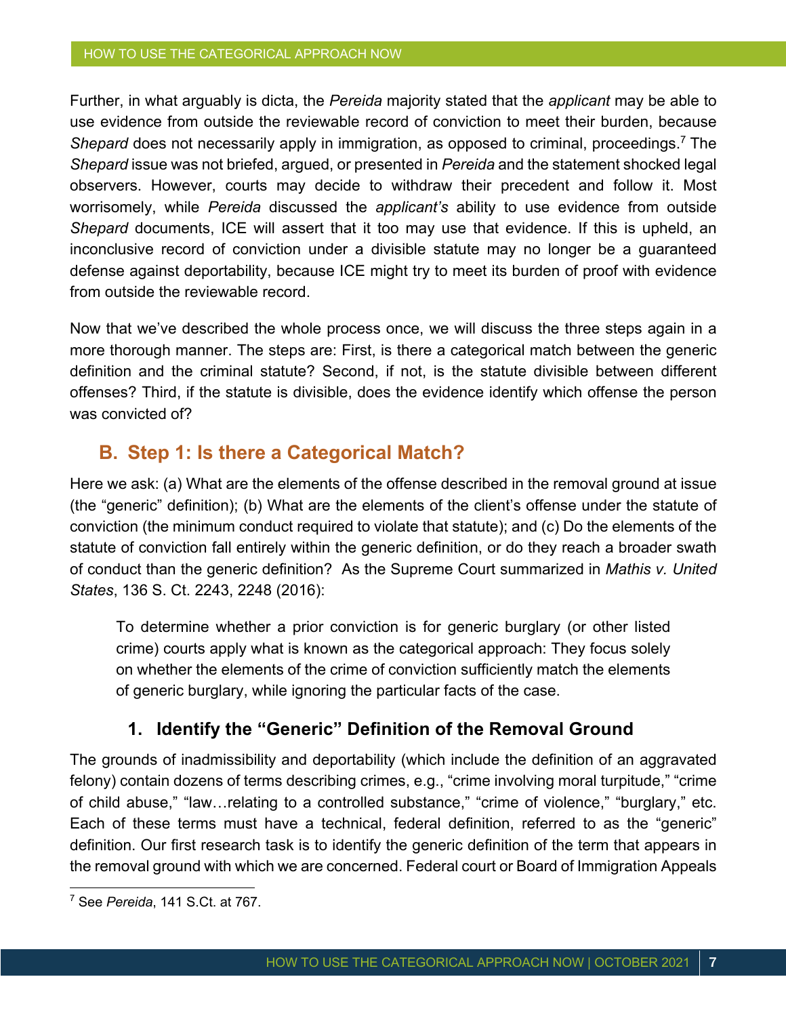Further, in what arguably is dicta, the *Pereida* majority stated that the *applicant* may be able to use evidence from outside the reviewable record of conviction to meet their burden, because *Shepard* does not necessarily apply in immigration, as opposed to criminal, proceedings.7 The *Shepard* issue was not briefed, argued, or presented in *Pereida* and the statement shocked legal observers. However, courts may decide to withdraw their precedent and follow it. Most worrisomely, while *Pereida* discussed the *applicant's* ability to use evidence from outside *Shepard* documents, ICE will assert that it too may use that evidence. If this is upheld, an inconclusive record of conviction under a divisible statute may no longer be a guaranteed defense against deportability, because ICE might try to meet its burden of proof with evidence from outside the reviewable record.

Now that we've described the whole process once, we will discuss the three steps again in a more thorough manner. The steps are: First, is there a categorical match between the generic definition and the criminal statute? Second, if not, is the statute divisible between different offenses? Third, if the statute is divisible, does the evidence identify which offense the person was convicted of?

### **B. Step 1: Is there a Categorical Match?**

Here we ask: (a) What are the elements of the offense described in the removal ground at issue (the "generic" definition); (b) What are the elements of the client's offense under the statute of conviction (the minimum conduct required to violate that statute); and (c) Do the elements of the statute of conviction fall entirely within the generic definition, or do they reach a broader swath of conduct than the generic definition? As the Supreme Court summarized in *Mathis v. United States*, 136 S. Ct. 2243, 2248 (2016):

To determine whether a prior conviction is for generic burglary (or other listed crime) courts apply what is known as the categorical approach: They focus solely on whether the elements of the crime of conviction sufficiently match the elements of generic burglary, while ignoring the particular facts of the case.

### **1. Identify the "Generic" Definition of the Removal Ground**

The grounds of inadmissibility and deportability (which include the definition of an aggravated felony) contain dozens of terms describing crimes, e.g., "crime involving moral turpitude," "crime of child abuse," "law…relating to a controlled substance," "crime of violence," "burglary," etc. Each of these terms must have a technical, federal definition, referred to as the "generic" definition. Our first research task is to identify the generic definition of the term that appears in the removal ground with which we are concerned. Federal court or Board of Immigration Appeals

<sup>7</sup> See *Pereida*, 141 S.Ct. at 767.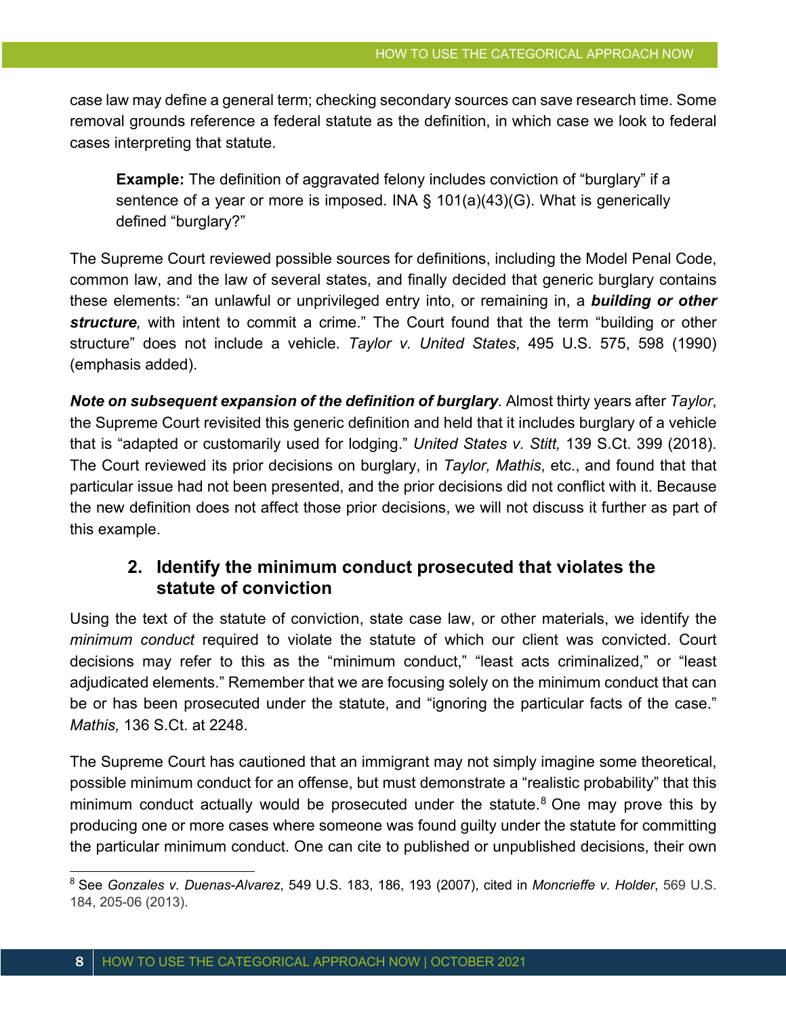case law may define a general term; checking secondary sources can save research time. Some removal grounds reference a federal statute as the definition, in which case we look to federal cases interpreting that statute.

**Example:** The definition of aggravated felony includes conviction of "burglary" if a sentence of a year or more is imposed. INA § 101(a)(43)(G). What is generically defined "burglary?"

The Supreme Court reviewed possible sources for definitions, including the Model Penal Code, common law, and the law of several states, and finally decided that generic burglary contains these elements: "an unlawful or unprivileged entry into, or remaining in, a *building or other structure,* with intent to commit a crime." The Court found that the term "building or other structure" does not include a vehicle. *Taylor v. United States*, 495 U.S. 575, 598 (1990) (emphasis added).

*Note on subsequent expansion of the definition of burglary.* Almost thirty years after *Taylor*, the Supreme Court revisited this generic definition and held that it includes burglary of a vehicle that is "adapted or customarily used for lodging." *United States v. Stitt,* 139 S.Ct. 399 (2018). The Court reviewed its prior decisions on burglary, in *Taylor, Mathis*, etc., and found that that particular issue had not been presented, and the prior decisions did not conflict with it. Because the new definition does not affect those prior decisions, we will not discuss it further as part of this example.

### **2. Identify the minimum conduct prosecuted that violates the statute of conviction**

Using the text of the statute of conviction, state case law, or other materials, we identify the *minimum conduct* required to violate the statute of which our client was convicted. Court decisions may refer to this as the "minimum conduct," "least acts criminalized," or "least adjudicated elements." Remember that we are focusing solely on the minimum conduct that can be or has been prosecuted under the statute, and "ignoring the particular facts of the case." *Mathis,* 136 S.Ct. at 2248.

The Supreme Court has cautioned that an immigrant may not simply imagine some theoretical, possible minimum conduct for an offense, but must demonstrate a "realistic probability" that this minimum conduct actually would be prosecuted under the statute. $8$  One may prove this by producing one or more cases where someone was found guilty under the statute for committing the particular minimum conduct. One can cite to published or unpublished decisions, their own

<sup>8</sup> See *Gonzales v. Duenas-Alvarez*, 549 U.S. 183, 186, 193 (2007), cited in *Moncrieffe v. Holder*, 569 U.S. 184, 205-06 (2013).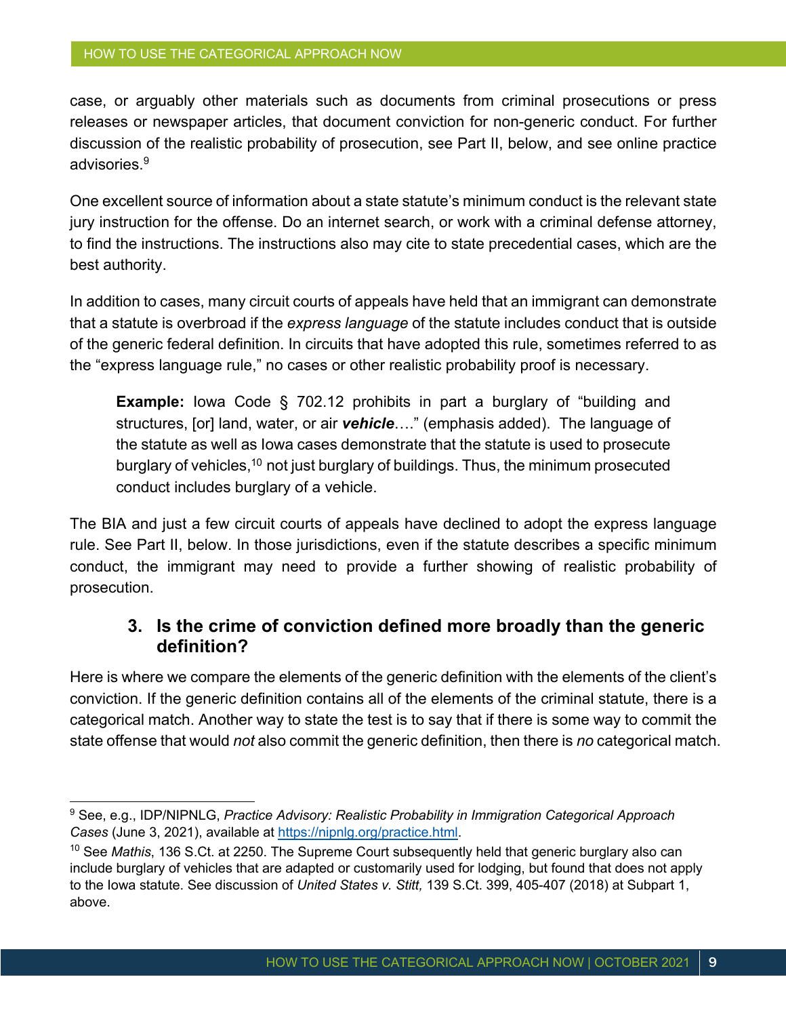case, or arguably other materials such as documents from criminal prosecutions or press releases or newspaper articles, that document conviction for non-generic conduct. For further discussion of the realistic probability of prosecution, see Part II, below, and see online practice advisories.9

One excellent source of information about a state statute's minimum conduct is the relevant state jury instruction for the offense. Do an internet search, or work with a criminal defense attorney, to find the instructions. The instructions also may cite to state precedential cases, which are the best authority.

In addition to cases, many circuit courts of appeals have held that an immigrant can demonstrate that a statute is overbroad if the *express language* of the statute includes conduct that is outside of the generic federal definition. In circuits that have adopted this rule, sometimes referred to as the "express language rule," no cases or other realistic probability proof is necessary.

**Example:** Iowa Code § 702.12 prohibits in part a burglary of "building and structures, [or] land, water, or air *vehicle*…." (emphasis added). The language of the statute as well as Iowa cases demonstrate that the statute is used to prosecute burglary of vehicles,<sup>10</sup> not just burglary of buildings. Thus, the minimum prosecuted conduct includes burglary of a vehicle.

The BIA and just a few circuit courts of appeals have declined to adopt the express language rule. See Part II, below. In those jurisdictions, even if the statute describes a specific minimum conduct, the immigrant may need to provide a further showing of realistic probability of prosecution.

#### **3. Is the crime of conviction defined more broadly than the generic definition?**

Here is where we compare the elements of the generic definition with the elements of the client's conviction. If the generic definition contains all of the elements of the criminal statute, there is a categorical match. Another way to state the test is to say that if there is some way to commit the state offense that would *not* also commit the generic definition, then there is *no* categorical match.

<sup>9</sup> See, e.g., IDP/NIPNLG, *Practice Advisory: Realistic Probability in Immigration Categorical Approach Cases* (June 3, 2021), available at https://nipnlg.org/practice.html.

<sup>10</sup> See *Mathis*, 136 S.Ct. at 2250. The Supreme Court subsequently held that generic burglary also can include burglary of vehicles that are adapted or customarily used for lodging, but found that does not apply to the Iowa statute. See discussion of *United States v. Stitt,* 139 S.Ct. 399, 405-407 (2018) at Subpart 1, above.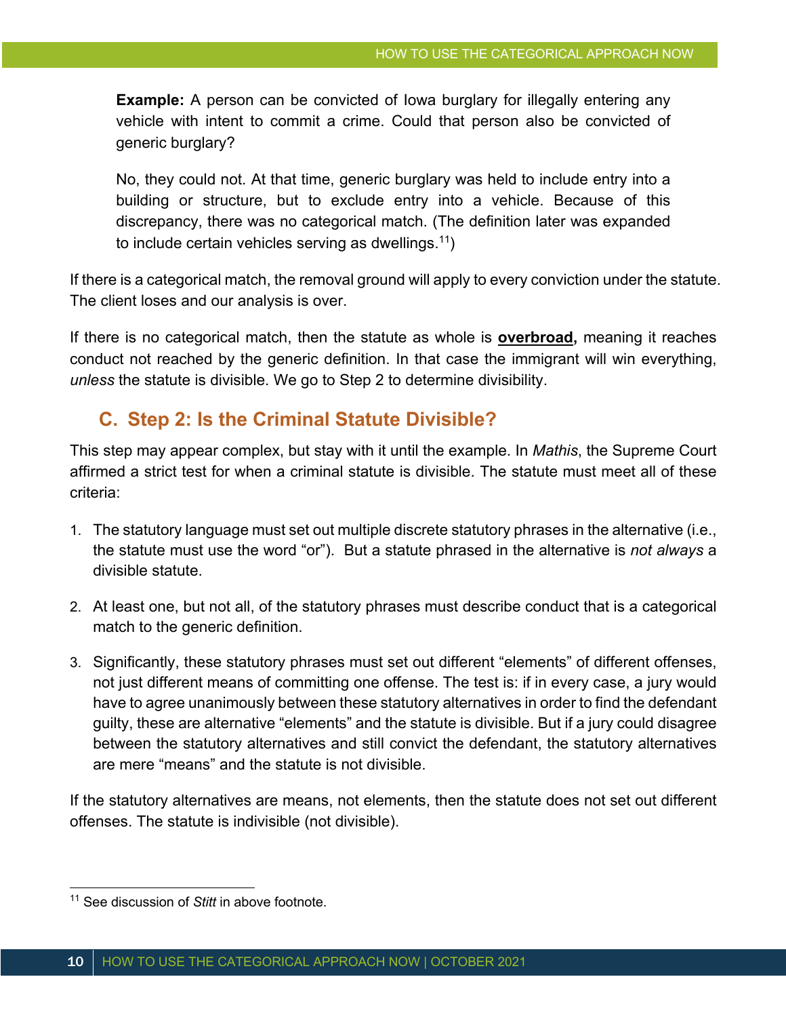**Example:** A person can be convicted of lowa burglary for illegally entering any vehicle with intent to commit a crime. Could that person also be convicted of generic burglary?

No, they could not. At that time, generic burglary was held to include entry into a building or structure, but to exclude entry into a vehicle. Because of this discrepancy, there was no categorical match. (The definition later was expanded to include certain vehicles serving as dwellings.11)

If there is a categorical match, the removal ground will apply to every conviction under the statute. The client loses and our analysis is over.

If there is no categorical match, then the statute as whole is **overbroad,** meaning it reaches conduct not reached by the generic definition. In that case the immigrant will win everything, *unless* the statute is divisible. We go to Step 2 to determine divisibility.

### **C. Step 2: Is the Criminal Statute Divisible?**

This step may appear complex, but stay with it until the example. In *Mathis*, the Supreme Court affirmed a strict test for when a criminal statute is divisible. The statute must meet all of these criteria:

- 1. The statutory language must set out multiple discrete statutory phrases in the alternative (i.e., the statute must use the word "or"). But a statute phrased in the alternative is *not always* a divisible statute.
- 2. At least one, but not all, of the statutory phrases must describe conduct that is a categorical match to the generic definition.
- 3. Significantly, these statutory phrases must set out different "elements" of different offenses, not just different means of committing one offense. The test is: if in every case, a jury would have to agree unanimously between these statutory alternatives in order to find the defendant guilty, these are alternative "elements" and the statute is divisible. But if a jury could disagree between the statutory alternatives and still convict the defendant, the statutory alternatives are mere "means" and the statute is not divisible.

If the statutory alternatives are means, not elements, then the statute does not set out different offenses. The statute is indivisible (not divisible).

<sup>11</sup> See discussion of *Stitt* in above footnote.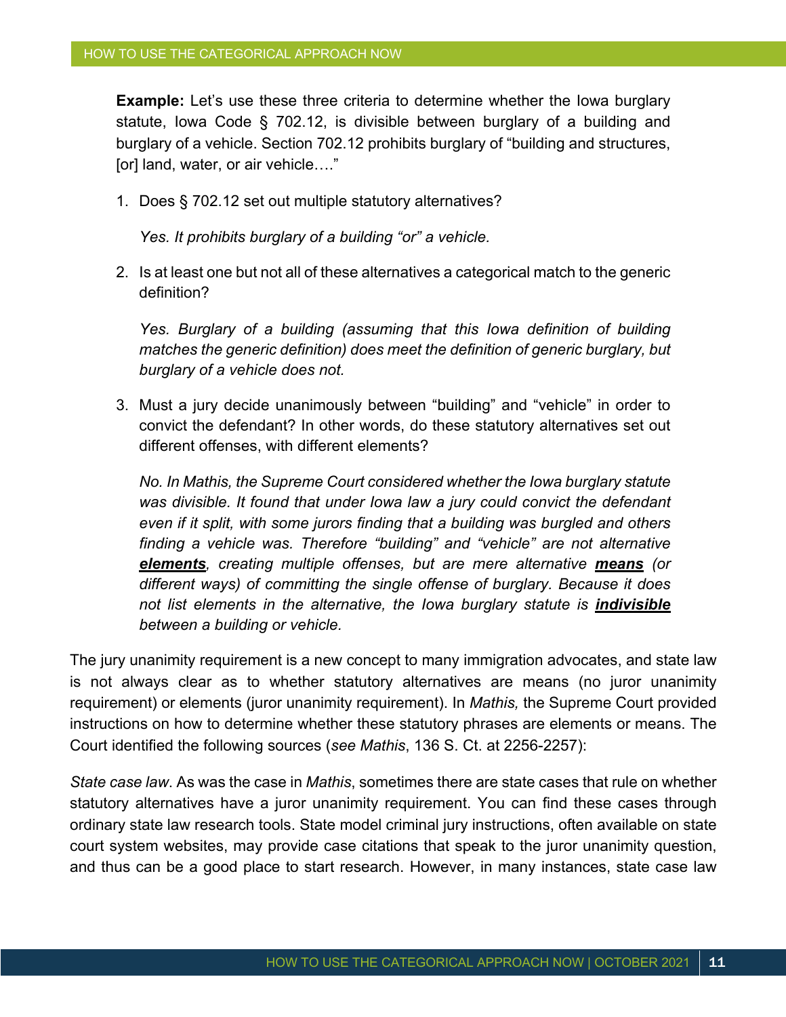**Example:** Let's use these three criteria to determine whether the lowa burglary statute, Iowa Code § 702.12, is divisible between burglary of a building and burglary of a vehicle. Section 702.12 prohibits burglary of "building and structures, [or] land, water, or air vehicle…."

1. Does § 702.12 set out multiple statutory alternatives?

*Yes. It prohibits burglary of a building "or" a vehicle.* 

2. Is at least one but not all of these alternatives a categorical match to the generic definition?

*Yes. Burglary of a building (assuming that this Iowa definition of building matches the generic definition) does meet the definition of generic burglary, but burglary of a vehicle does not.*

3. Must a jury decide unanimously between "building" and "vehicle" in order to convict the defendant? In other words, do these statutory alternatives set out different offenses, with different elements?

*No. In Mathis, the Supreme Court considered whether the Iowa burglary statute was divisible. It found that under Iowa law a jury could convict the defendant even if it split, with some jurors finding that a building was burgled and others finding a vehicle was. Therefore "building" and "vehicle" are not alternative elements, creating multiple offenses, but are mere alternative means (or different ways) of committing the single offense of burglary. Because it does not list elements in the alternative, the Iowa burglary statute is indivisible between a building or vehicle.*

The jury unanimity requirement is a new concept to many immigration advocates, and state law is not always clear as to whether statutory alternatives are means (no juror unanimity requirement) or elements (juror unanimity requirement). In *Mathis,* the Supreme Court provided instructions on how to determine whether these statutory phrases are elements or means. The Court identified the following sources (*see Mathis*, 136 S. Ct. at 2256-2257):

*State case law*. As was the case in *Mathis*, sometimes there are state cases that rule on whether statutory alternatives have a juror unanimity requirement. You can find these cases through ordinary state law research tools. State model criminal jury instructions, often available on state court system websites, may provide case citations that speak to the juror unanimity question, and thus can be a good place to start research. However, in many instances, state case law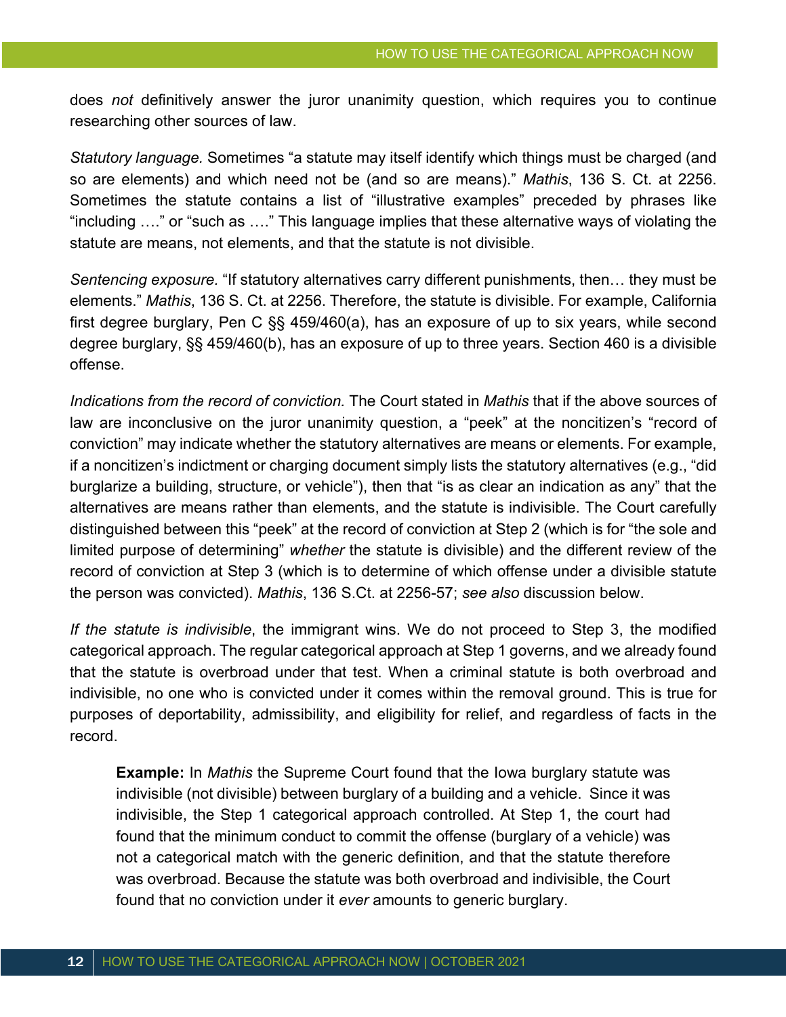does *not* definitively answer the juror unanimity question, which requires you to continue researching other sources of law.

*Statutory language.* Sometimes "a statute may itself identify which things must be charged (and so are elements) and which need not be (and so are means)." *Mathis*, 136 S. Ct. at 2256. Sometimes the statute contains a list of "illustrative examples" preceded by phrases like "including …." or "such as …." This language implies that these alternative ways of violating the statute are means, not elements, and that the statute is not divisible.

*Sentencing exposure.* "If statutory alternatives carry different punishments, then… they must be elements." *Mathis*, 136 S. Ct. at 2256. Therefore, the statute is divisible. For example, California first degree burglary, Pen C §§ 459/460(a), has an exposure of up to six years, while second degree burglary, §§ 459/460(b), has an exposure of up to three years. Section 460 is a divisible offense.

*Indications from the record of conviction.* The Court stated in *Mathis* that if the above sources of law are inconclusive on the juror unanimity question, a "peek" at the noncitizen's "record of conviction" may indicate whether the statutory alternatives are means or elements. For example, if a noncitizen's indictment or charging document simply lists the statutory alternatives (e.g., "did burglarize a building, structure, or vehicle"), then that "is as clear an indication as any" that the alternatives are means rather than elements, and the statute is indivisible. The Court carefully distinguished between this "peek" at the record of conviction at Step 2 (which is for "the sole and limited purpose of determining" *whether* the statute is divisible) and the different review of the record of conviction at Step 3 (which is to determine of which offense under a divisible statute the person was convicted). *Mathis*, 136 S.Ct. at 2256-57; *see also* discussion below.

*If the statute is indivisible*, the immigrant wins. We do not proceed to Step 3, the modified categorical approach. The regular categorical approach at Step 1 governs, and we already found that the statute is overbroad under that test. When a criminal statute is both overbroad and indivisible, no one who is convicted under it comes within the removal ground. This is true for purposes of deportability, admissibility, and eligibility for relief, and regardless of facts in the record.

**Example:** In *Mathis* the Supreme Court found that the Iowa burglary statute was indivisible (not divisible) between burglary of a building and a vehicle. Since it was indivisible, the Step 1 categorical approach controlled. At Step 1, the court had found that the minimum conduct to commit the offense (burglary of a vehicle) was not a categorical match with the generic definition, and that the statute therefore was overbroad. Because the statute was both overbroad and indivisible, the Court found that no conviction under it *ever* amounts to generic burglary.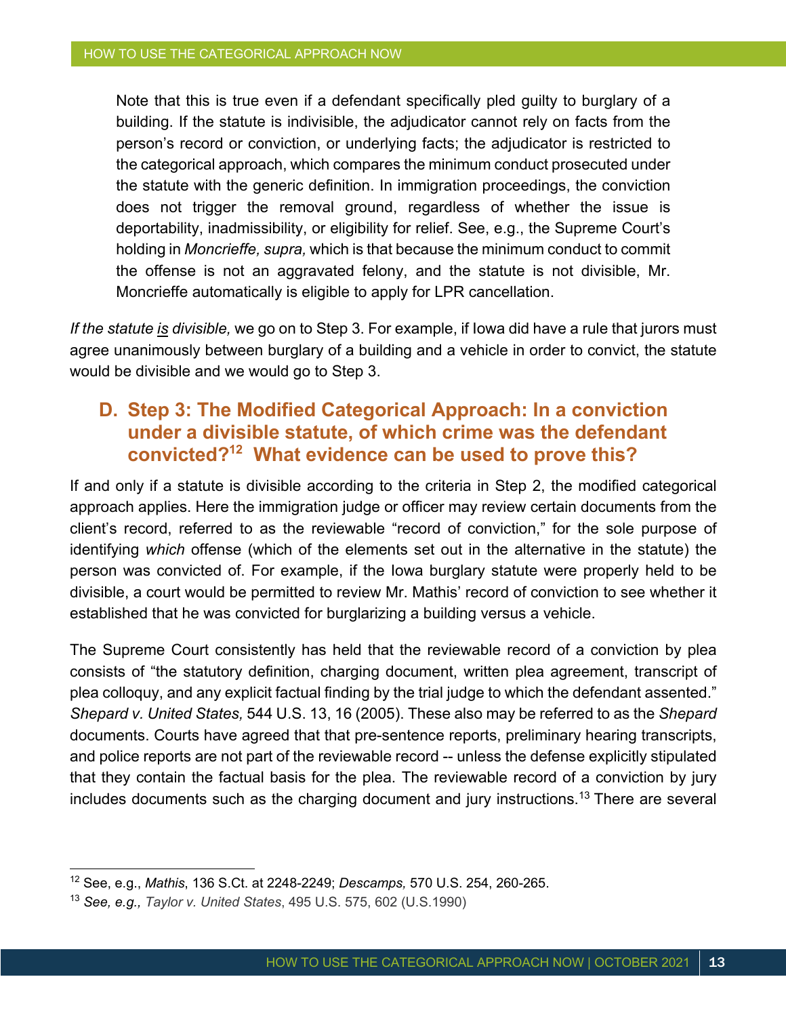Note that this is true even if a defendant specifically pled guilty to burglary of a building. If the statute is indivisible, the adjudicator cannot rely on facts from the person's record or conviction, or underlying facts; the adjudicator is restricted to the categorical approach, which compares the minimum conduct prosecuted under the statute with the generic definition. In immigration proceedings, the conviction does not trigger the removal ground, regardless of whether the issue is deportability, inadmissibility, or eligibility for relief. See, e.g., the Supreme Court's holding in *Moncrieffe, supra,* which is that because the minimum conduct to commit the offense is not an aggravated felony, and the statute is not divisible, Mr. Moncrieffe automatically is eligible to apply for LPR cancellation.

*If the statute is divisible,* we go on to Step 3. For example, if Iowa did have a rule that jurors must agree unanimously between burglary of a building and a vehicle in order to convict, the statute would be divisible and we would go to Step 3.

### **D. Step 3: The Modified Categorical Approach: In a conviction under a divisible statute, of which crime was the defendant convicted?12 What evidence can be used to prove this?**

If and only if a statute is divisible according to the criteria in Step 2, the modified categorical approach applies. Here the immigration judge or officer may review certain documents from the client's record, referred to as the reviewable "record of conviction," for the sole purpose of identifying *which* offense (which of the elements set out in the alternative in the statute) the person was convicted of. For example, if the Iowa burglary statute were properly held to be divisible, a court would be permitted to review Mr. Mathis' record of conviction to see whether it established that he was convicted for burglarizing a building versus a vehicle.

The Supreme Court consistently has held that the reviewable record of a conviction by plea consists of "the statutory definition, charging document, written plea agreement, transcript of plea colloquy, and any explicit factual finding by the trial judge to which the defendant assented." *Shepard v. United States,* 544 U.S. 13, 16 (2005). These also may be referred to as the *Shepard* documents. Courts have agreed that that pre-sentence reports, preliminary hearing transcripts, and police reports are not part of the reviewable record -- unless the defense explicitly stipulated that they contain the factual basis for the plea. The reviewable record of a conviction by jury includes documents such as the charging document and jury instructions.13 There are several

<sup>12</sup> See, e.g., *Mathis*, 136 S.Ct. at 2248-2249; *Descamps,* 570 U.S. 254, 260-265.

<sup>13</sup> *See, e.g., Taylor v. United States*, 495 U.S. 575, 602 (U.S.1990)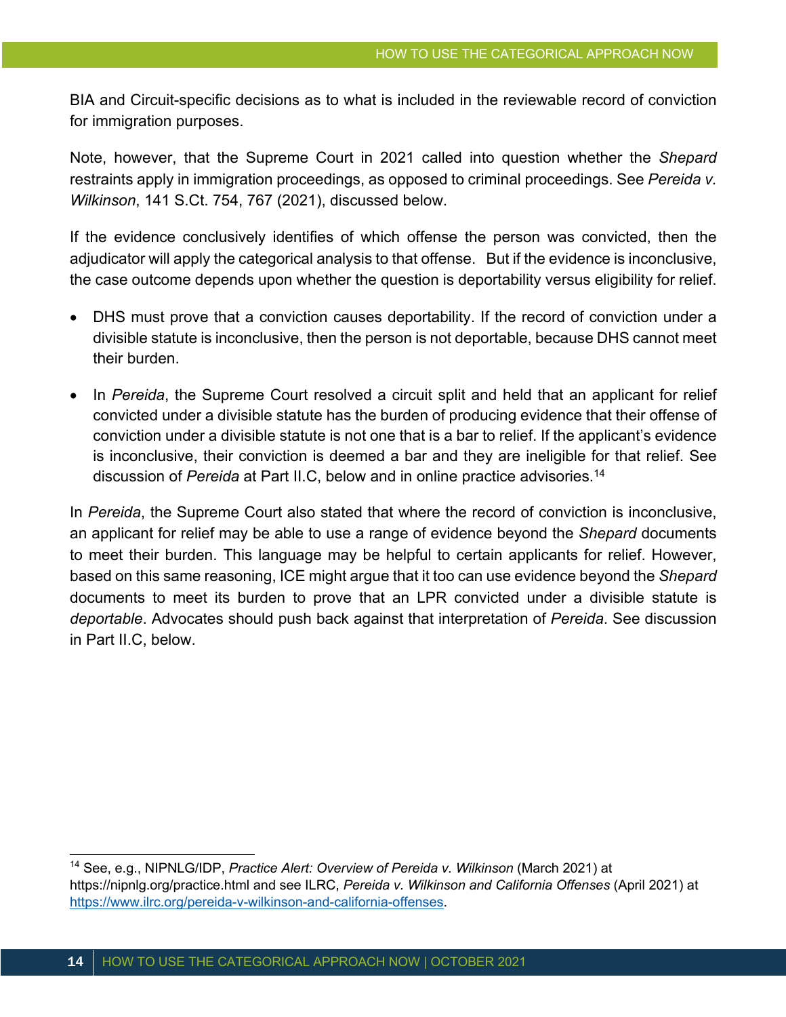BIA and Circuit-specific decisions as to what is included in the reviewable record of conviction for immigration purposes.

Note, however, that the Supreme Court in 2021 called into question whether the *Shepard* restraints apply in immigration proceedings, as opposed to criminal proceedings. See *Pereida v. Wilkinson*, 141 S.Ct. 754, 767 (2021), discussed below.

If the evidence conclusively identifies of which offense the person was convicted, then the adjudicator will apply the categorical analysis to that offense. But if the evidence is inconclusive, the case outcome depends upon whether the question is deportability versus eligibility for relief.

- DHS must prove that a conviction causes deportability. If the record of conviction under a divisible statute is inconclusive, then the person is not deportable, because DHS cannot meet their burden.
- In *Pereida*, the Supreme Court resolved a circuit split and held that an applicant for relief convicted under a divisible statute has the burden of producing evidence that their offense of conviction under a divisible statute is not one that is a bar to relief. If the applicant's evidence is inconclusive, their conviction is deemed a bar and they are ineligible for that relief. See discussion of *Pereida* at Part II.C, below and in online practice advisories.14

In *Pereida*, the Supreme Court also stated that where the record of conviction is inconclusive, an applicant for relief may be able to use a range of evidence beyond the *Shepard* documents to meet their burden. This language may be helpful to certain applicants for relief. However, based on this same reasoning, ICE might argue that it too can use evidence beyond the *Shepard* documents to meet its burden to prove that an LPR convicted under a divisible statute is *deportable*. Advocates should push back against that interpretation of *Pereida*. See discussion in Part II.C, below.

<sup>14</sup> See, e.g., NIPNLG/IDP, *Practice Alert: Overview of Pereida v. Wilkinson* (March 2021) at https://nipnlg.org/practice.html and see ILRC, *Pereida v. Wilkinson and California Offenses* (April 2021) at https://www.ilrc.org/pereida-v-wilkinson-and-california-offenses.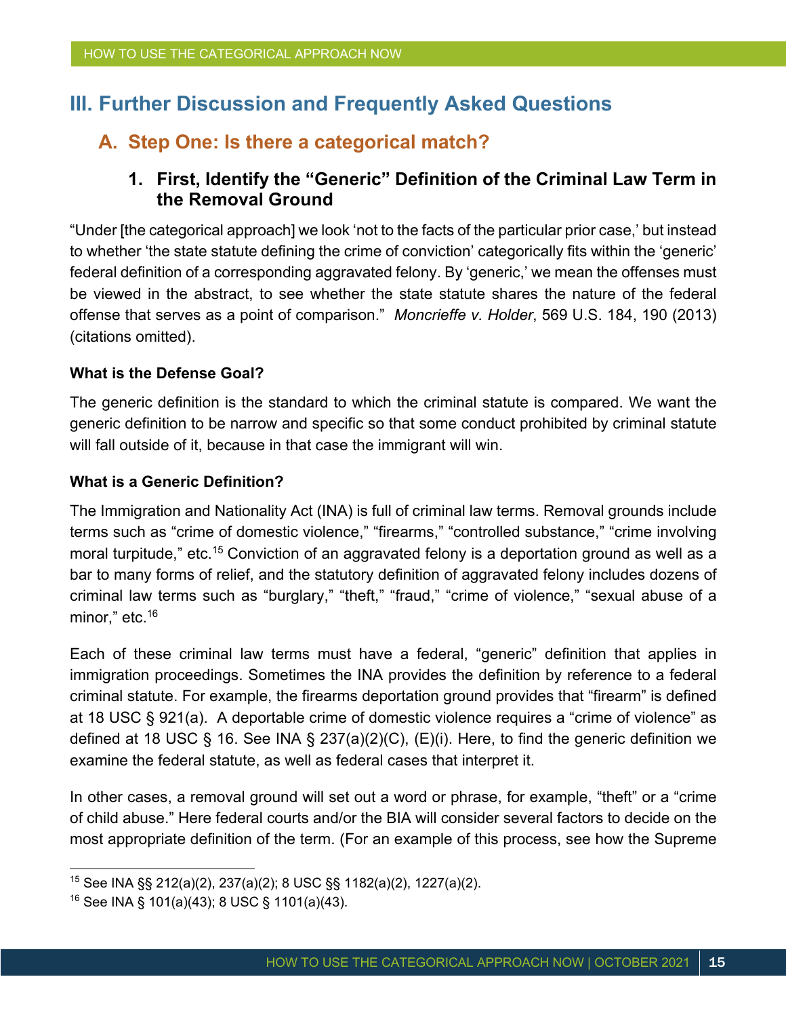# **III. Further Discussion and Frequently Asked Questions**

### **A. Step One: Is there a categorical match?**

### **1. First, Identify the "Generic" Definition of the Criminal Law Term in the Removal Ground**

"Under [the categorical approach] we look 'not to the facts of the particular prior case,' but instead to whether 'the state statute defining the crime of conviction' categorically fits within the 'generic' federal definition of a corresponding aggravated felony. By 'generic,' we mean the offenses must be viewed in the abstract, to see whether the state statute shares the nature of the federal offense that serves as a point of comparison." *Moncrieffe v. Holder*, 569 U.S. 184, 190 (2013) (citations omitted).

#### **What is the Defense Goal?**

The generic definition is the standard to which the criminal statute is compared. We want the generic definition to be narrow and specific so that some conduct prohibited by criminal statute will fall outside of it, because in that case the immigrant will win.

#### **What is a Generic Definition?**

The Immigration and Nationality Act (INA) is full of criminal law terms. Removal grounds include terms such as "crime of domestic violence," "firearms," "controlled substance," "crime involving moral turpitude," etc.<sup>15</sup> Conviction of an aggravated felony is a deportation ground as well as a bar to many forms of relief, and the statutory definition of aggravated felony includes dozens of criminal law terms such as "burglary," "theft," "fraud," "crime of violence," "sexual abuse of a minor," etc.<sup>16</sup>

Each of these criminal law terms must have a federal, "generic" definition that applies in immigration proceedings. Sometimes the INA provides the definition by reference to a federal criminal statute. For example, the firearms deportation ground provides that "firearm" is defined at 18 USC § 921(a). A deportable crime of domestic violence requires a "crime of violence" as defined at 18 USC § 16. See INA § 237(a)(2)(C), (E)(i). Here, to find the generic definition we examine the federal statute, as well as federal cases that interpret it.

In other cases, a removal ground will set out a word or phrase, for example, "theft" or a "crime of child abuse." Here federal courts and/or the BIA will consider several factors to decide on the most appropriate definition of the term. (For an example of this process, see how the Supreme

<sup>15</sup> See INA §§ 212(a)(2), 237(a)(2); 8 USC §§ 1182(a)(2), 1227(a)(2).

 $16$  See INA § 101(a)(43); 8 USC § 1101(a)(43).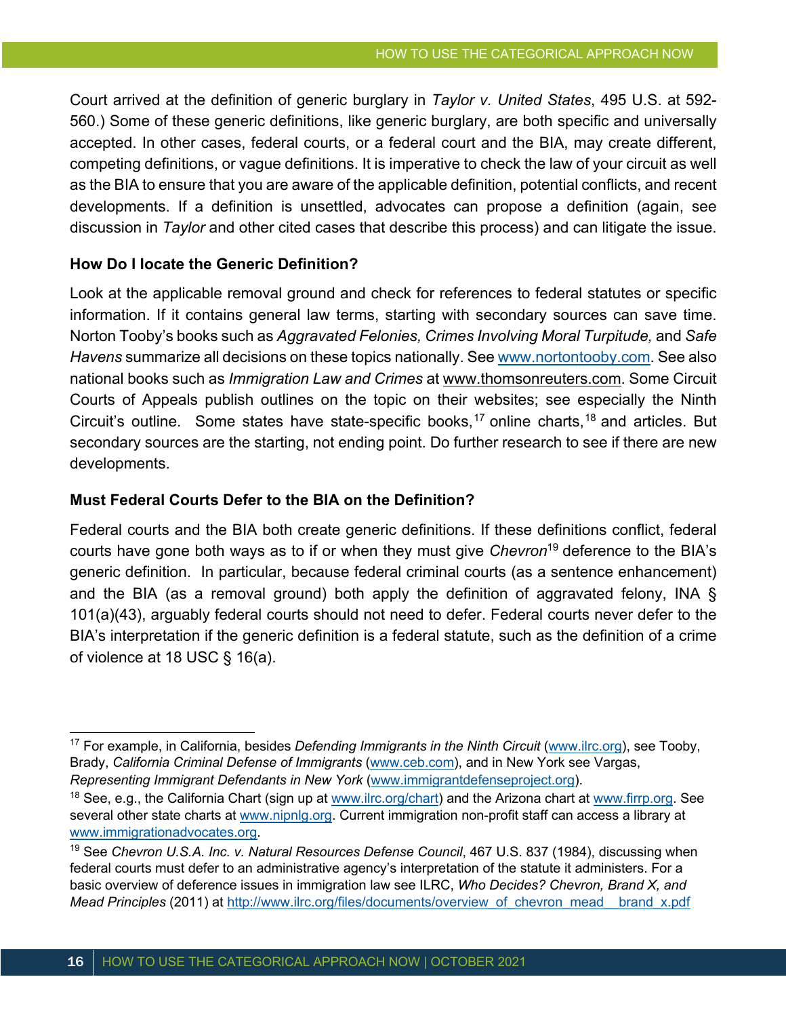Court arrived at the definition of generic burglary in *Taylor v. United States*, 495 U.S. at 592- 560.) Some of these generic definitions, like generic burglary, are both specific and universally accepted. In other cases, federal courts, or a federal court and the BIA, may create different, competing definitions, or vague definitions. It is imperative to check the law of your circuit as well as the BIA to ensure that you are aware of the applicable definition, potential conflicts, and recent developments. If a definition is unsettled, advocates can propose a definition (again, see discussion in *Taylor* and other cited cases that describe this process) and can litigate the issue.

#### **How Do I locate the Generic Definition?**

Look at the applicable removal ground and check for references to federal statutes or specific information. If it contains general law terms, starting with secondary sources can save time. Norton Tooby's books such as *Aggravated Felonies, Crimes Involving Moral Turpitude,* and *Safe Havens* summarize all decisions on these topics nationally. See www.nortontooby.com. See also national books such as *Immigration Law and Crimes* at www.thomsonreuters.com. Some Circuit Courts of Appeals publish outlines on the topic on their websites; see especially the Ninth Circuit's outline. Some states have state-specific books,<sup>17</sup> online charts,<sup>18</sup> and articles. But secondary sources are the starting, not ending point. Do further research to see if there are new developments.

#### **Must Federal Courts Defer to the BIA on the Definition?**

Federal courts and the BIA both create generic definitions. If these definitions conflict, federal courts have gone both ways as to if or when they must give *Chevron*<sup>19</sup> deference to the BIA's generic definition. In particular, because federal criminal courts (as a sentence enhancement) and the BIA (as a removal ground) both apply the definition of aggravated felony, INA § 101(a)(43), arguably federal courts should not need to defer. Federal courts never defer to the BIA's interpretation if the generic definition is a federal statute, such as the definition of a crime of violence at 18 USC § 16(a).

<sup>17</sup> For example, in California, besides *Defending Immigrants in the Ninth Circuit* (www.ilrc.org), see Tooby, Brady, *California Criminal Defense of Immigrants* (www.ceb.com), and in New York see Vargas, *Representing Immigrant Defendants in New York* (www.immigrantdefenseproject.org).

<sup>&</sup>lt;sup>18</sup> See, e.g., the California Chart (sign up at www.ilrc.org/chart) and the Arizona chart at www.firrp.org. See several other state charts at www.nipnlg.org. Current immigration non-profit staff can access a library at www.immigrationadvocates.org.

<sup>&</sup>lt;sup>19</sup> See *Chevron U.S.A. Inc. v. Natural Resources Defense Council*, 467 U.S. 837 (1984), discussing when federal courts must defer to an administrative agency's interpretation of the statute it administers. For a basic overview of deference issues in immigration law see ILRC, *Who Decides? Chevron, Brand X, and Mead Principles* (2011) at http://www.ilrc.org/files/documents/overview\_of\_chevron\_mead\_\_brand\_x.pdf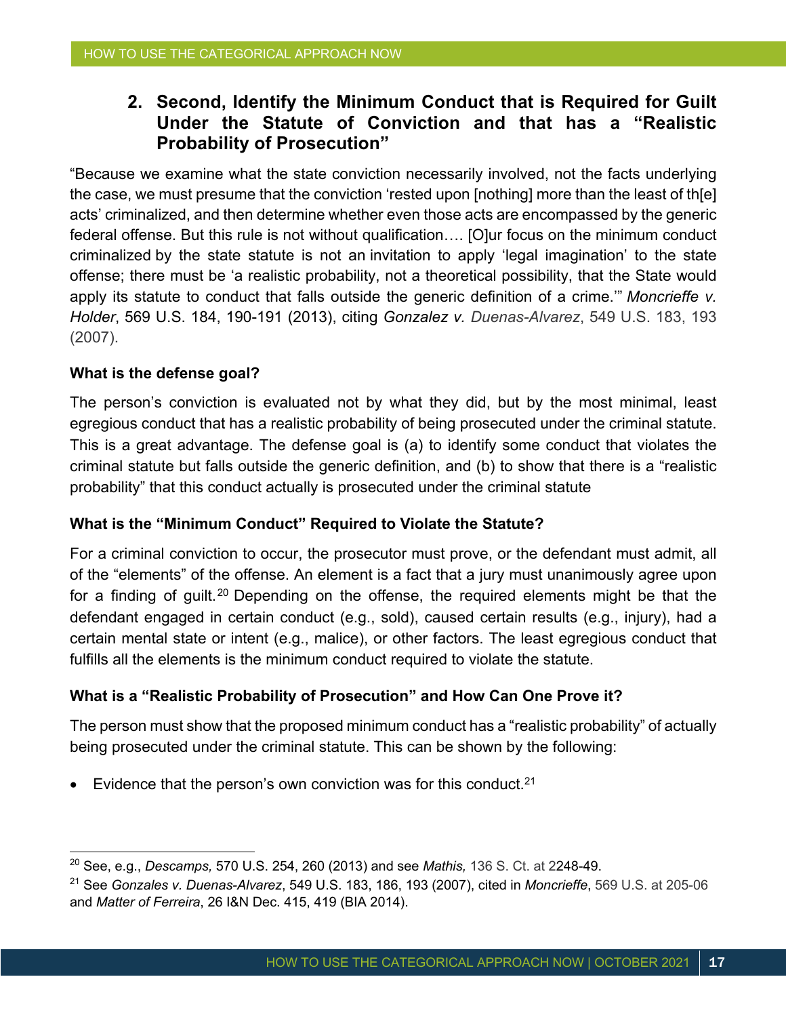### **2. Second, Identify the Minimum Conduct that is Required for Guilt Under the Statute of Conviction and that has a "Realistic Probability of Prosecution"**

"Because we examine what the state conviction necessarily involved, not the facts underlying the case, we must presume that the conviction 'rested upon [nothing] more than the least of th[e] acts' criminalized, and then determine whether even those acts are encompassed by the generic federal offense. But this rule is not without qualification…. [O]ur focus on the minimum conduct criminalized by the state statute is not an invitation to apply 'legal imagination' to the state offense; there must be 'a realistic probability, not a theoretical possibility, that the State would apply its statute to conduct that falls outside the generic definition of a crime.'" *Moncrieffe v. Holder*, 569 U.S. 184, 190-191 (2013), citing *Gonzalez v. Duenas-Alvarez*, 549 U.S. 183, 193 (2007).

#### **What is the defense goal?**

The person's conviction is evaluated not by what they did, but by the most minimal, least egregious conduct that has a realistic probability of being prosecuted under the criminal statute. This is a great advantage. The defense goal is (a) to identify some conduct that violates the criminal statute but falls outside the generic definition, and (b) to show that there is a "realistic probability" that this conduct actually is prosecuted under the criminal statute

#### **What is the "Minimum Conduct" Required to Violate the Statute?**

For a criminal conviction to occur, the prosecutor must prove, or the defendant must admit, all of the "elements" of the offense. An element is a fact that a jury must unanimously agree upon for a finding of quilt.<sup>20</sup> Depending on the offense, the required elements might be that the defendant engaged in certain conduct (e.g., sold), caused certain results (e.g., injury), had a certain mental state or intent (e.g., malice), or other factors. The least egregious conduct that fulfills all the elements is the minimum conduct required to violate the statute.

#### **What is a "Realistic Probability of Prosecution" and How Can One Prove it?**

The person must show that the proposed minimum conduct has a "realistic probability" of actually being prosecuted under the criminal statute. This can be shown by the following:

• Evidence that the person's own conviction was for this conduct.<sup>21</sup>

<sup>20</sup> See, e.g., *Descamps,* 570 U.S. 254, 260 (2013) and see *Mathis,* 136 S. Ct. at 2248-49.

<sup>21</sup> See *Gonzales v. Duenas-Alvarez*, 549 U.S. 183, 186, 193 (2007), cited in *Moncrieffe*, 569 U.S. at 205-06 and *Matter of Ferreira*, 26 I&N Dec. 415, 419 (BIA 2014).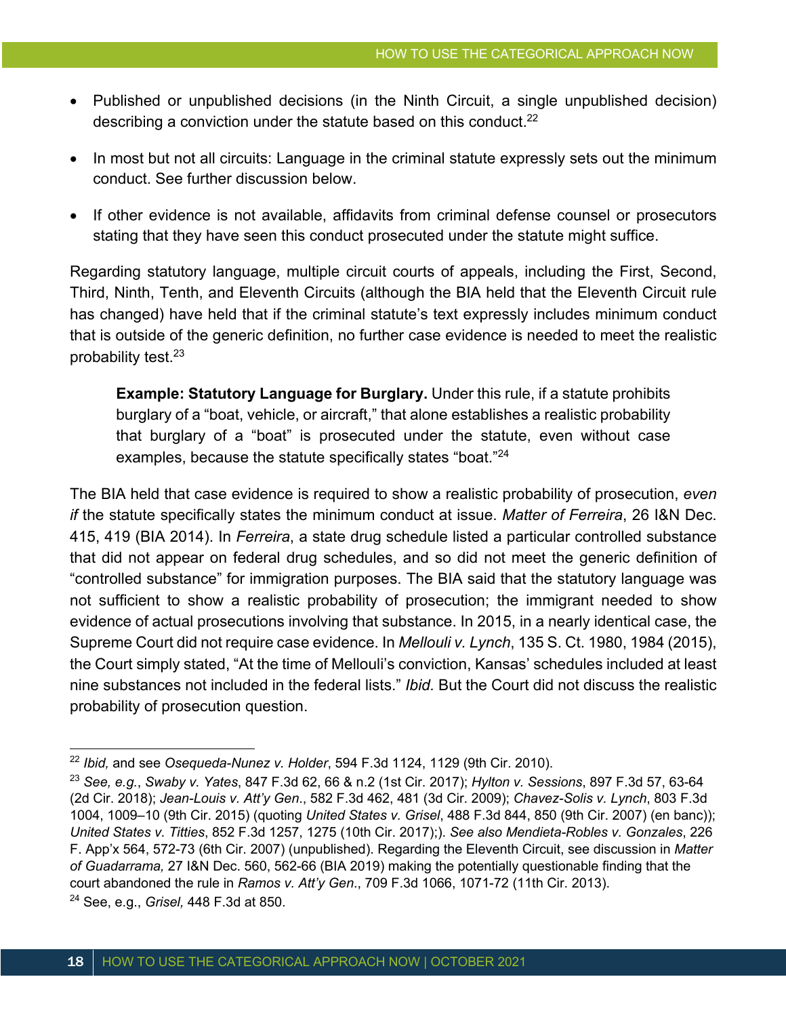- Published or unpublished decisions (in the Ninth Circuit, a single unpublished decision) describing a conviction under the statute based on this conduct. $22$
- In most but not all circuits: Language in the criminal statute expressly sets out the minimum conduct. See further discussion below.
- If other evidence is not available, affidavits from criminal defense counsel or prosecutors stating that they have seen this conduct prosecuted under the statute might suffice.

Regarding statutory language, multiple circuit courts of appeals, including the First, Second, Third, Ninth, Tenth, and Eleventh Circuits (although the BIA held that the Eleventh Circuit rule has changed) have held that if the criminal statute's text expressly includes minimum conduct that is outside of the generic definition, no further case evidence is needed to meet the realistic probability test.23

**Example: Statutory Language for Burglary.** Under this rule, if a statute prohibits burglary of a "boat, vehicle, or aircraft," that alone establishes a realistic probability that burglary of a "boat" is prosecuted under the statute, even without case examples, because the statute specifically states "boat."<sup>24</sup>

The BIA held that case evidence is required to show a realistic probability of prosecution, *even if* the statute specifically states the minimum conduct at issue. *Matter of Ferreira*, 26 I&N Dec. 415, 419 (BIA 2014). In *Ferreira*, a state drug schedule listed a particular controlled substance that did not appear on federal drug schedules, and so did not meet the generic definition of "controlled substance" for immigration purposes. The BIA said that the statutory language was not sufficient to show a realistic probability of prosecution; the immigrant needed to show evidence of actual prosecutions involving that substance. In 2015, in a nearly identical case, the Supreme Court did not require case evidence. In *Mellouli v. Lynch*, 135 S. Ct. 1980, 1984 (2015), the Court simply stated, "At the time of Mellouli's conviction, Kansas' schedules included at least nine substances not included in the federal lists." *Ibid.* But the Court did not discuss the realistic probability of prosecution question.

<sup>22</sup> *Ibid,* and see *Osequeda-Nunez v. Holder*, 594 F.3d 1124, 1129 (9th Cir. 2010).

<sup>23</sup> *See, e.g.*, *Swaby v. Yates*, 847 F.3d 62, 66 & n.2 (1st Cir. 2017); *Hylton v. Sessions*, 897 F.3d 57, 63-64 (2d Cir. 2018); *Jean-Louis v. Att'y Gen*., 582 F.3d 462, 481 (3d Cir. 2009); *Chavez-Solis v. Lynch*, 803 F.3d 1004, 1009–10 (9th Cir. 2015) (quoting *United States v. Grisel*, 488 F.3d 844, 850 (9th Cir. 2007) (en banc)); *United States v. Titties*, 852 F.3d 1257, 1275 (10th Cir. 2017);). *See also Mendieta-Robles v. Gonzales*, 226 F. App'x 564, 572-73 (6th Cir. 2007) (unpublished). Regarding the Eleventh Circuit, see discussion in *Matter of Guadarrama,* 27 I&N Dec. 560, 562-66 (BIA 2019) making the potentially questionable finding that the court abandoned the rule in *Ramos v. Att'y Gen*., 709 F.3d 1066, 1071-72 (11th Cir. 2013). <sup>24</sup> See, e.g., *Grisel,* 448 F.3d at 850.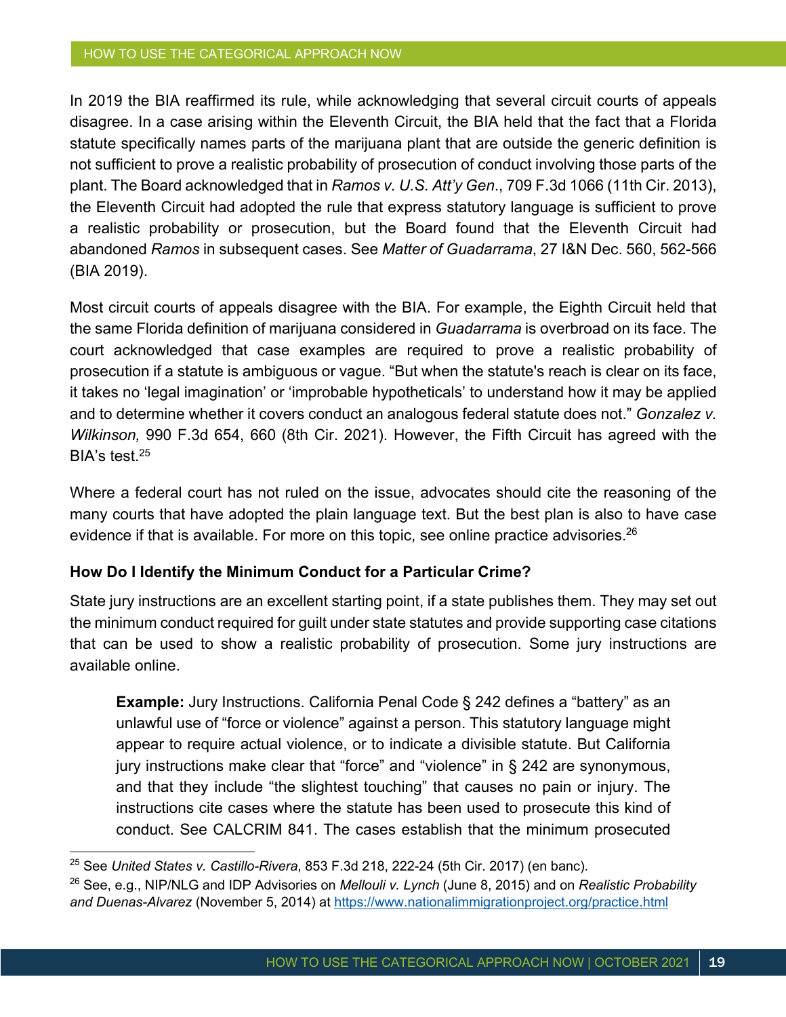#### HOW TO USE THE CATEGORICAL APPROACH NOW

In 2019 the BIA reaffirmed its rule, while acknowledging that several circuit courts of appeals disagree. In a case arising within the Eleventh Circuit, the BIA held that the fact that a Florida statute specifically names parts of the marijuana plant that are outside the generic definition is not sufficient to prove a realistic probability of prosecution of conduct involving those parts of the plant. The Board acknowledged that in *Ramos v. U.S. Att'y Gen*., 709 F.3d 1066 (11th Cir. 2013), the Eleventh Circuit had adopted the rule that express statutory language is sufficient to prove a realistic probability or prosecution, but the Board found that the Eleventh Circuit had abandoned *Ramos* in subsequent cases. See *Matter of Guadarrama*, 27 I&N Dec. 560, 562-566 (BIA 2019).

Most circuit courts of appeals disagree with the BIA. For example, the Eighth Circuit held that the same Florida definition of marijuana considered in *Guadarrama* is overbroad on its face. The court acknowledged that case examples are required to prove a realistic probability of prosecution if a statute is ambiguous or vague. "But when the statute's reach is clear on its face, it takes no 'legal imagination' or 'improbable hypotheticals' to understand how it may be applied and to determine whether it covers conduct an analogous federal statute does not." *Gonzalez v. Wilkinson,* 990 F.3d 654, 660 (8th Cir. 2021). However, the Fifth Circuit has agreed with the BIA's test.25

Where a federal court has not ruled on the issue, advocates should cite the reasoning of the many courts that have adopted the plain language text. But the best plan is also to have case evidence if that is available. For more on this topic, see online practice advisories.<sup>26</sup>

#### **How Do I Identify the Minimum Conduct for a Particular Crime?**

State jury instructions are an excellent starting point, if a state publishes them. They may set out the minimum conduct required for guilt under state statutes and provide supporting case citations that can be used to show a realistic probability of prosecution. Some jury instructions are available online.

**Example:** Jury Instructions. California Penal Code § 242 defines a "battery" as an unlawful use of "force or violence" against a person. This statutory language might appear to require actual violence, or to indicate a divisible statute. But California jury instructions make clear that "force" and "violence" in § 242 are synonymous, and that they include "the slightest touching" that causes no pain or injury. The instructions cite cases where the statute has been used to prosecute this kind of conduct. See CALCRIM 841. The cases establish that the minimum prosecuted

<sup>25</sup> See *United States v. Castillo-Rivera*, 853 F.3d 218, 222-24 (5th Cir. 2017) (en banc).

<sup>26</sup> See, e.g., NIP/NLG and IDP Advisories on *Mellouli v. Lynch* (June 8, 2015) and on *Realistic Probability and Duenas-Alvarez* (November 5, 2014) at https://www.nationalimmigrationproject.org/practice.html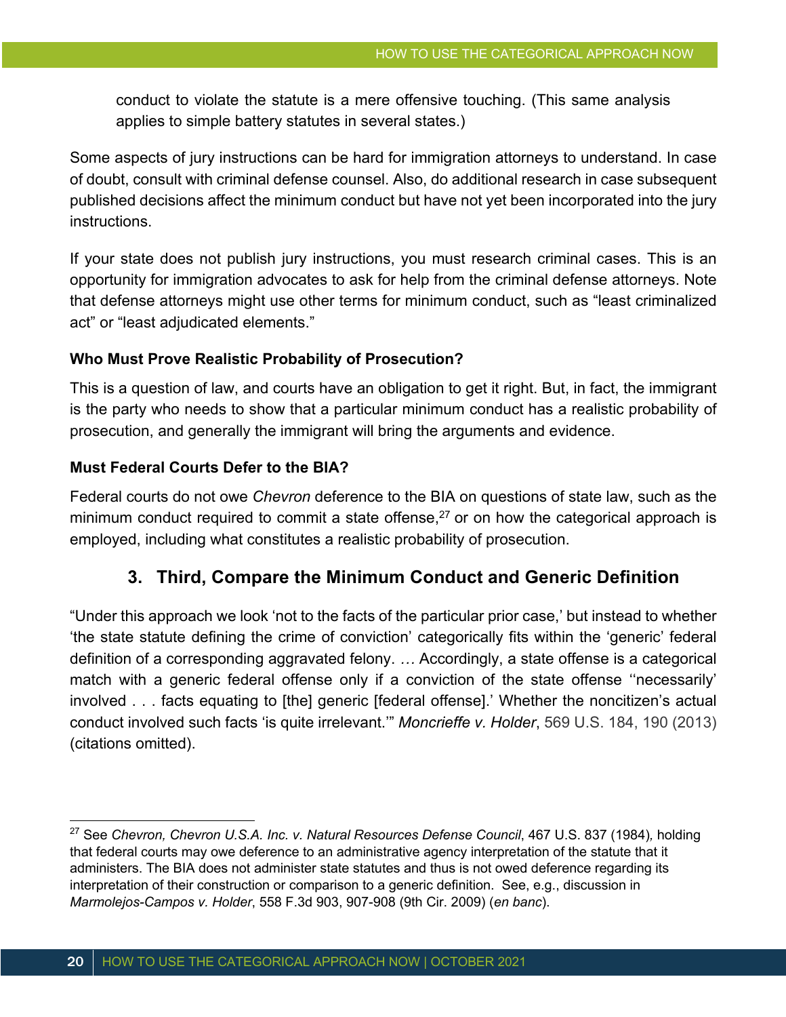conduct to violate the statute is a mere offensive touching. (This same analysis applies to simple battery statutes in several states.)

Some aspects of jury instructions can be hard for immigration attorneys to understand. In case of doubt, consult with criminal defense counsel. Also, do additional research in case subsequent published decisions affect the minimum conduct but have not yet been incorporated into the jury instructions.

If your state does not publish jury instructions, you must research criminal cases. This is an opportunity for immigration advocates to ask for help from the criminal defense attorneys. Note that defense attorneys might use other terms for minimum conduct, such as "least criminalized act" or "least adjudicated elements."

#### **Who Must Prove Realistic Probability of Prosecution?**

This is a question of law, and courts have an obligation to get it right. But, in fact, the immigrant is the party who needs to show that a particular minimum conduct has a realistic probability of prosecution, and generally the immigrant will bring the arguments and evidence.

#### **Must Federal Courts Defer to the BIA?**

Federal courts do not owe *Chevron* deference to the BIA on questions of state law, such as the minimum conduct required to commit a state offense, $27$  or on how the categorical approach is employed, including what constitutes a realistic probability of prosecution.

### **3. Third, Compare the Minimum Conduct and Generic Definition**

"Under this approach we look 'not to the facts of the particular prior case,' but instead to whether 'the state statute defining the crime of conviction' categorically fits within the 'generic' federal definition of a corresponding aggravated felony. *…* Accordingly, a state offense is a categorical match with a generic federal offense only if a conviction of the state offense ''necessarily' involved . . . facts equating to [the] generic [federal offense].' Whether the noncitizen's actual conduct involved such facts 'is quite irrelevant.'" *Moncrieffe v. Holder*, 569 U.S. 184, 190 (2013) (citations omitted).

<sup>27</sup> See *Chevron, Chevron U.S.A. Inc. v. Natural Resources Defense Council*, 467 U.S. 837 (1984)*,* holding that federal courts may owe deference to an administrative agency interpretation of the statute that it administers. The BIA does not administer state statutes and thus is not owed deference regarding its interpretation of their construction or comparison to a generic definition. See, e.g., discussion in *Marmolejos-Campos v. Holder*, 558 F.3d 903, 907-908 (9th Cir. 2009) (*en banc*).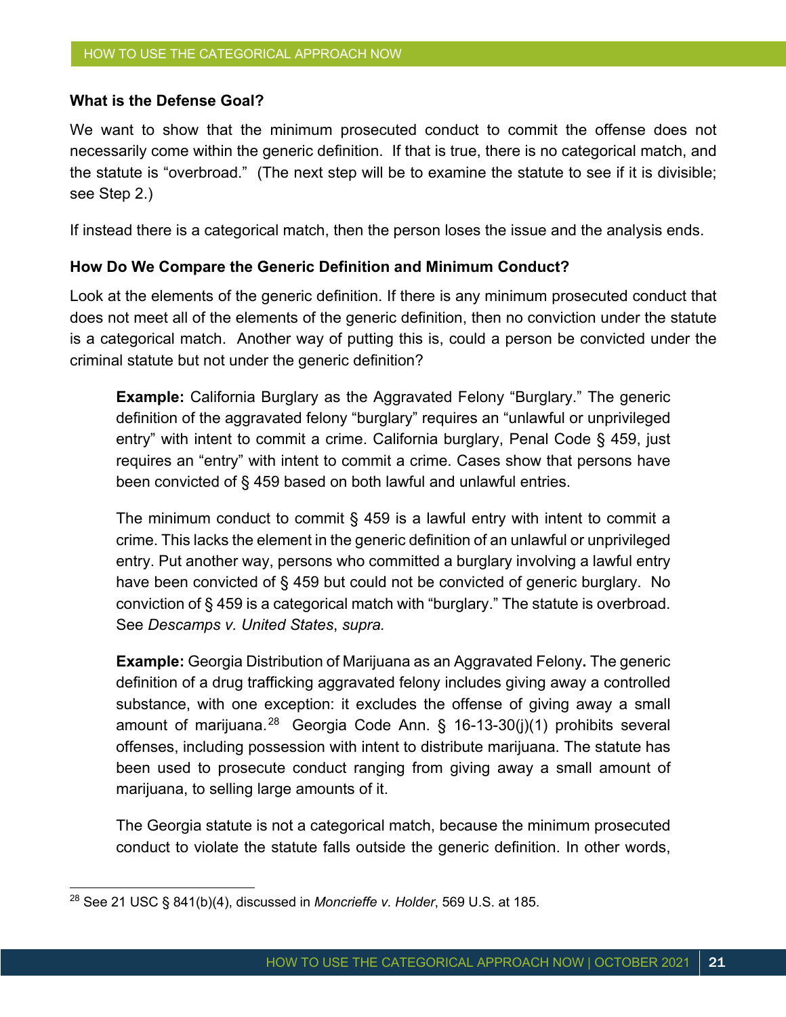#### **What is the Defense Goal?**

We want to show that the minimum prosecuted conduct to commit the offense does not necessarily come within the generic definition. If that is true, there is no categorical match, and the statute is "overbroad." (The next step will be to examine the statute to see if it is divisible; see Step 2.)

If instead there is a categorical match, then the person loses the issue and the analysis ends.

#### **How Do We Compare the Generic Definition and Minimum Conduct?**

Look at the elements of the generic definition. If there is any minimum prosecuted conduct that does not meet all of the elements of the generic definition, then no conviction under the statute is a categorical match. Another way of putting this is, could a person be convicted under the criminal statute but not under the generic definition?

**Example:** California Burglary as the Aggravated Felony "Burglary." The generic definition of the aggravated felony "burglary" requires an "unlawful or unprivileged entry" with intent to commit a crime. California burglary, Penal Code § 459, just requires an "entry" with intent to commit a crime. Cases show that persons have been convicted of § 459 based on both lawful and unlawful entries.

The minimum conduct to commit § 459 is a lawful entry with intent to commit a crime. This lacks the element in the generic definition of an unlawful or unprivileged entry. Put another way, persons who committed a burglary involving a lawful entry have been convicted of § 459 but could not be convicted of generic burglary. No conviction of § 459 is a categorical match with "burglary." The statute is overbroad. See *Descamps v. United States*, *supra.*

**Example:** Georgia Distribution of Marijuana as an Aggravated Felony**.** The generic definition of a drug trafficking aggravated felony includes giving away a controlled substance, with one exception: it excludes the offense of giving away a small amount of marijuana.<sup>28</sup> Georgia Code Ann. § 16-13-30(j)(1) prohibits several offenses, including possession with intent to distribute marijuana. The statute has been used to prosecute conduct ranging from giving away a small amount of marijuana, to selling large amounts of it.

The Georgia statute is not a categorical match, because the minimum prosecuted conduct to violate the statute falls outside the generic definition. In other words,

<sup>28</sup> See 21 USC § 841(b)(4), discussed in *Moncrieffe v. Holder*, 569 U.S. at 185.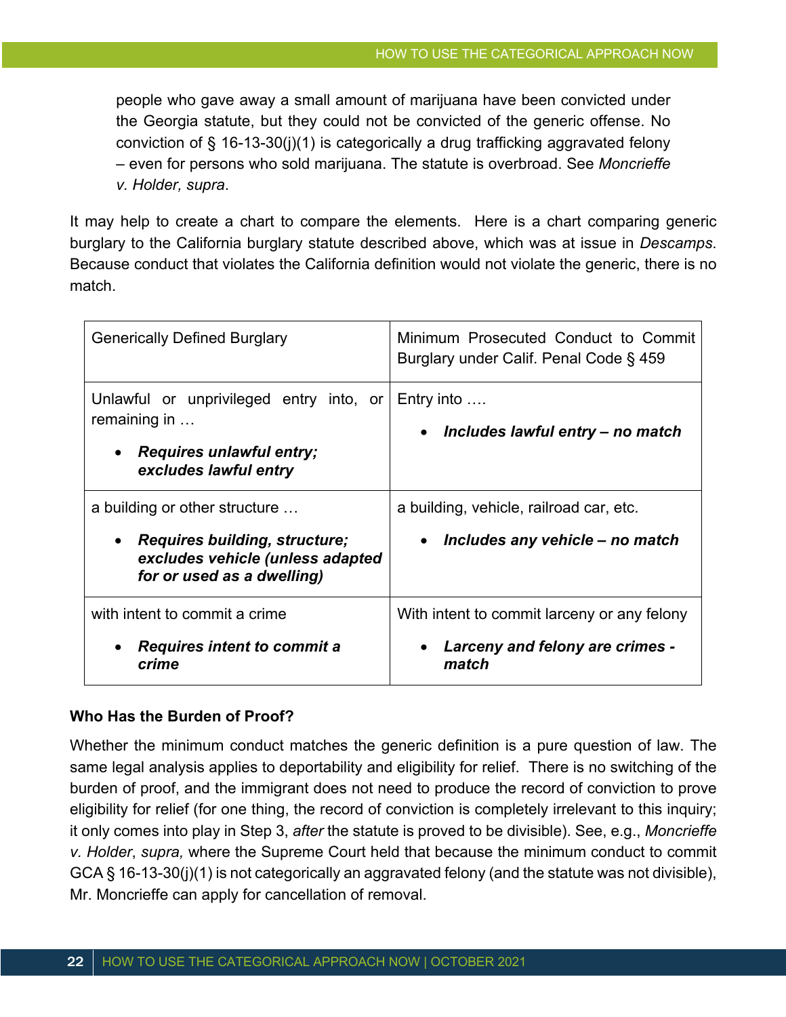people who gave away a small amount of marijuana have been convicted under the Georgia statute, but they could not be convicted of the generic offense. No conviction of § 16-13-30(j)(1) is categorically a drug trafficking aggravated felony – even for persons who sold marijuana. The statute is overbroad. See *Moncrieffe v. Holder, supra*.

It may help to create a chart to compare the elements. Here is a chart comparing generic burglary to the California burglary statute described above, which was at issue in *Descamps*. Because conduct that violates the California definition would not violate the generic, there is no match.

| <b>Generically Defined Burglary</b>                                                                                                     | Minimum Prosecuted Conduct to Commit<br>Burglary under Calif. Penal Code § 459          |
|-----------------------------------------------------------------------------------------------------------------------------------------|-----------------------------------------------------------------------------------------|
| Unlawful or unprivileged entry into, or<br>remaining in<br><b>Requires unlawful entry;</b><br>excludes lawful entry                     | Entry into $\dots$<br>• Includes lawful entry - no match                                |
| a building or other structure<br><b>Requires building, structure;</b><br>excludes vehicle (unless adapted<br>for or used as a dwelling) | a building, vehicle, railroad car, etc.<br>Includes any vehicle – no match              |
| with intent to commit a crime<br>Requires intent to commit a<br>crime                                                                   | With intent to commit larceny or any felony<br>Larceny and felony are crimes -<br>match |

#### **Who Has the Burden of Proof?**

Whether the minimum conduct matches the generic definition is a pure question of law. The same legal analysis applies to deportability and eligibility for relief. There is no switching of the burden of proof, and the immigrant does not need to produce the record of conviction to prove eligibility for relief (for one thing, the record of conviction is completely irrelevant to this inquiry; it only comes into play in Step 3, *after* the statute is proved to be divisible). See, e.g., *Moncrieffe v. Holder*, *supra,* where the Supreme Court held that because the minimum conduct to commit GCA § 16-13-30(j)(1) is not categorically an aggravated felony (and the statute was not divisible), Mr. Moncrieffe can apply for cancellation of removal.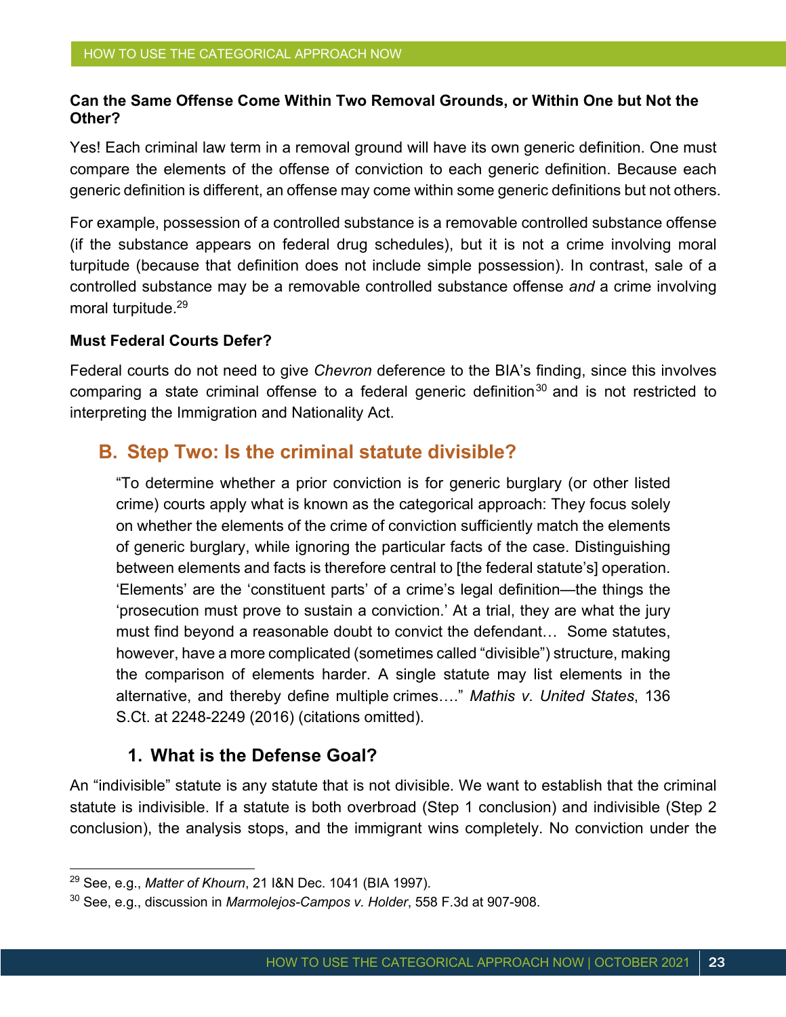#### **Can the Same Offense Come Within Two Removal Grounds, or Within One but Not the Other?**

Yes! Each criminal law term in a removal ground will have its own generic definition. One must compare the elements of the offense of conviction to each generic definition. Because each generic definition is different, an offense may come within some generic definitions but not others.

For example, possession of a controlled substance is a removable controlled substance offense (if the substance appears on federal drug schedules), but it is not a crime involving moral turpitude (because that definition does not include simple possession). In contrast, sale of a controlled substance may be a removable controlled substance offense *and* a crime involving moral turpitude.<sup>29</sup>

#### **Must Federal Courts Defer?**

Federal courts do not need to give *Chevron* deference to the BIA's finding, since this involves comparing a state criminal offense to a federal generic definition<sup>30</sup> and is not restricted to interpreting the Immigration and Nationality Act.

### **B. Step Two: Is the criminal statute divisible?**

"To determine whether a prior conviction is for generic burglary (or other listed crime) courts apply what is known as the categorical approach: They focus solely on whether the elements of the crime of conviction sufficiently match the elements of generic burglary, while ignoring the particular facts of the case. Distinguishing between elements and facts is therefore central to [the federal statute's] operation. 'Elements' are the 'constituent parts' of a crime's legal definition—the things the 'prosecution must prove to sustain a conviction.' At a trial, they are what the jury must find beyond a reasonable doubt to convict the defendant… Some statutes, however, have a more complicated (sometimes called "divisible") structure, making the comparison of elements harder. A single statute may list elements in the alternative, and thereby define multiple crimes…." *Mathis v. United States*, 136 S.Ct. at 2248-2249 (2016) (citations omitted).

#### **1. What is the Defense Goal?**

An "indivisible" statute is any statute that is not divisible. We want to establish that the criminal statute is indivisible. If a statute is both overbroad (Step 1 conclusion) and indivisible (Step 2 conclusion), the analysis stops, and the immigrant wins completely. No conviction under the

<sup>29</sup> See, e.g., *Matter of Khourn*, 21 I&N Dec. 1041 (BIA 1997).

<sup>30</sup> See, e.g., discussion in *Marmolejos-Campos v. Holder*, 558 F.3d at 907-908.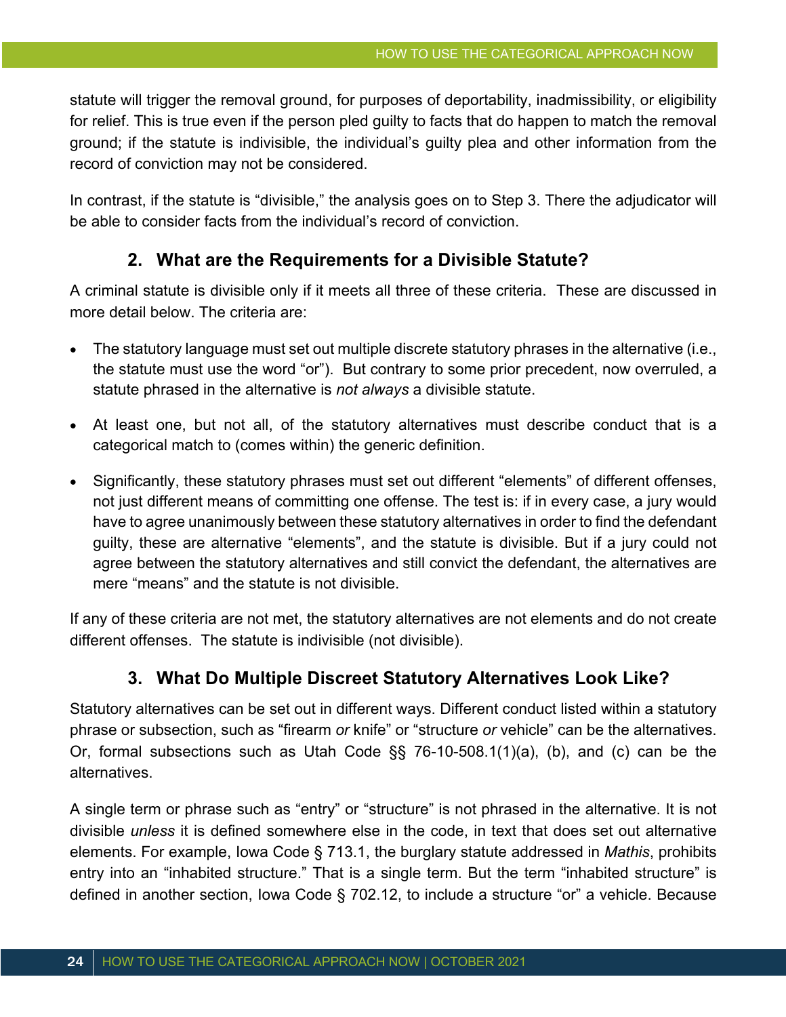statute will trigger the removal ground, for purposes of deportability, inadmissibility, or eligibility for relief. This is true even if the person pled guilty to facts that do happen to match the removal ground; if the statute is indivisible, the individual's guilty plea and other information from the record of conviction may not be considered.

In contrast, if the statute is "divisible," the analysis goes on to Step 3. There the adjudicator will be able to consider facts from the individual's record of conviction.

#### **2. What are the Requirements for a Divisible Statute?**

A criminal statute is divisible only if it meets all three of these criteria. These are discussed in more detail below. The criteria are:

- The statutory language must set out multiple discrete statutory phrases in the alternative (i.e., the statute must use the word "or"). But contrary to some prior precedent, now overruled, a statute phrased in the alternative is *not always* a divisible statute.
- At least one, but not all, of the statutory alternatives must describe conduct that is a categorical match to (comes within) the generic definition.
- Significantly, these statutory phrases must set out different "elements" of different offenses, not just different means of committing one offense. The test is: if in every case, a jury would have to agree unanimously between these statutory alternatives in order to find the defendant guilty, these are alternative "elements", and the statute is divisible. But if a jury could not agree between the statutory alternatives and still convict the defendant, the alternatives are mere "means" and the statute is not divisible.

If any of these criteria are not met, the statutory alternatives are not elements and do not create different offenses. The statute is indivisible (not divisible).

#### **3. What Do Multiple Discreet Statutory Alternatives Look Like?**

Statutory alternatives can be set out in different ways. Different conduct listed within a statutory phrase or subsection, such as "firearm *or* knife" or "structure *or* vehicle" can be the alternatives. Or, formal subsections such as Utah Code §§ 76-10-508.1(1)(a), (b), and (c) can be the alternatives.

A single term or phrase such as "entry" or "structure" is not phrased in the alternative. It is not divisible *unless* it is defined somewhere else in the code, in text that does set out alternative elements. For example, Iowa Code § 713.1, the burglary statute addressed in *Mathis*, prohibits entry into an "inhabited structure." That is a single term. But the term "inhabited structure" is defined in another section, Iowa Code § 702.12, to include a structure "or" a vehicle. Because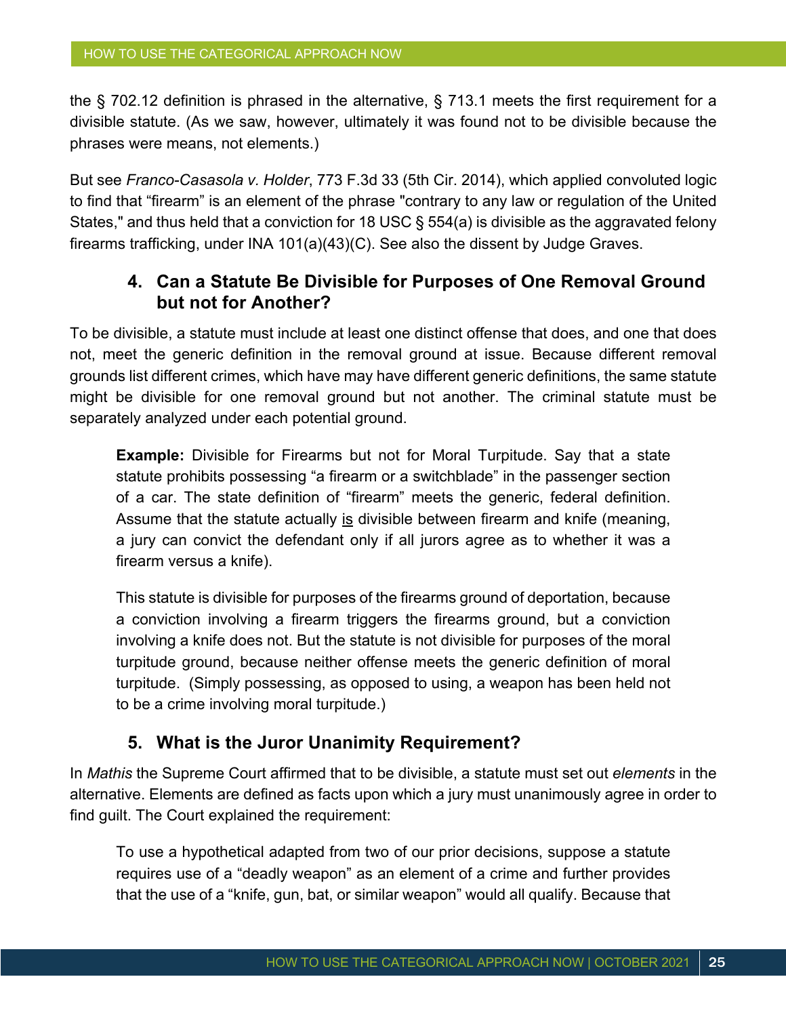the § 702.12 definition is phrased in the alternative, § 713.1 meets the first requirement for a divisible statute. (As we saw, however, ultimately it was found not to be divisible because the phrases were means, not elements.)

But see *Franco-Casasola v. Holder*, 773 F.3d 33 (5th Cir. 2014), which applied convoluted logic to find that "firearm" is an element of the phrase "contrary to any law or regulation of the United States," and thus held that a conviction for 18 USC § 554(a) is divisible as the aggravated felony firearms trafficking, under INA 101(a)(43)(C). See also the dissent by Judge Graves.

### **4. Can a Statute Be Divisible for Purposes of One Removal Ground but not for Another?**

To be divisible, a statute must include at least one distinct offense that does, and one that does not, meet the generic definition in the removal ground at issue. Because different removal grounds list different crimes, which have may have different generic definitions, the same statute might be divisible for one removal ground but not another. The criminal statute must be separately analyzed under each potential ground.

**Example:** Divisible for Firearms but not for Moral Turpitude. Say that a state statute prohibits possessing "a firearm or a switchblade" in the passenger section of a car. The state definition of "firearm" meets the generic, federal definition. Assume that the statute actually is divisible between firearm and knife (meaning, a jury can convict the defendant only if all jurors agree as to whether it was a firearm versus a knife).

This statute is divisible for purposes of the firearms ground of deportation, because a conviction involving a firearm triggers the firearms ground, but a conviction involving a knife does not. But the statute is not divisible for purposes of the moral turpitude ground, because neither offense meets the generic definition of moral turpitude. (Simply possessing, as opposed to using, a weapon has been held not to be a crime involving moral turpitude.)

#### **5. What is the Juror Unanimity Requirement?**

In *Mathis* the Supreme Court affirmed that to be divisible, a statute must set out *elements* in the alternative. Elements are defined as facts upon which a jury must unanimously agree in order to find guilt. The Court explained the requirement:

To use a hypothetical adapted from two of our prior decisions, suppose a statute requires use of a "deadly weapon" as an element of a crime and further provides that the use of a "knife, gun, bat, or similar weapon" would all qualify. Because that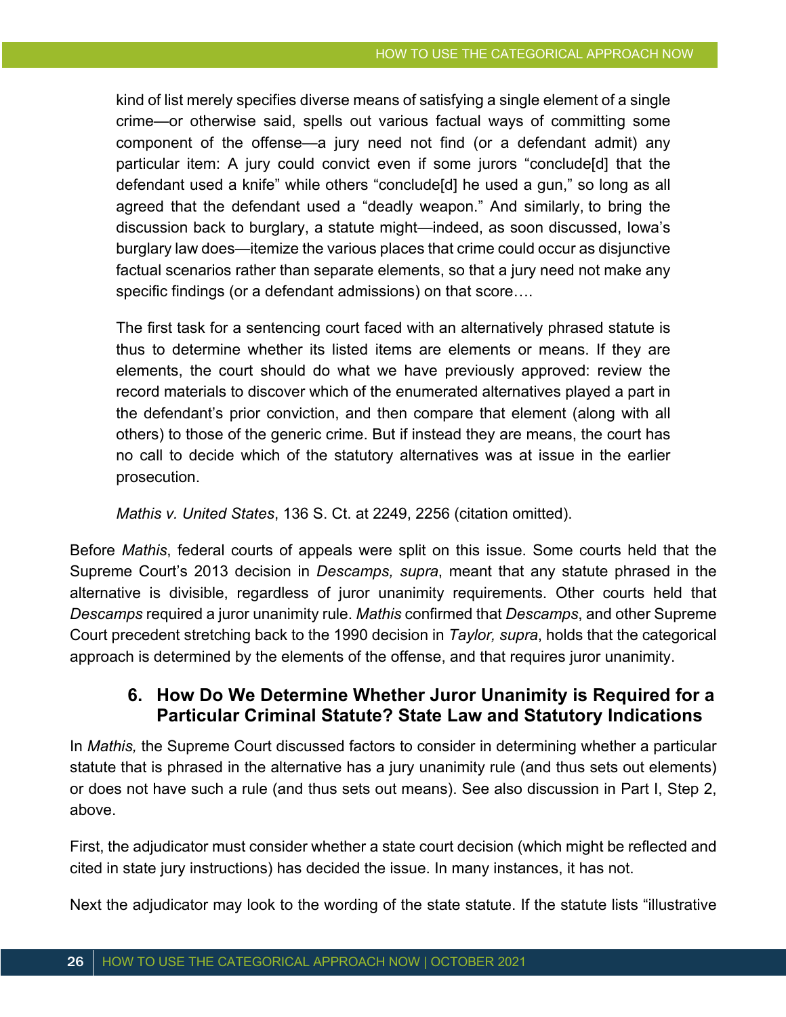kind of list merely specifies diverse means of satisfying a single element of a single crime—or otherwise said, spells out various factual ways of committing some component of the offense—a jury need not find (or a defendant admit) any particular item: A jury could convict even if some jurors "conclude[d] that the defendant used a knife" while others "conclude[d] he used a gun," so long as all agreed that the defendant used a "deadly weapon." And similarly, to bring the discussion back to burglary, a statute might—indeed, as soon discussed, Iowa's burglary law does—itemize the various places that crime could occur as disjunctive factual scenarios rather than separate elements, so that a jury need not make any specific findings (or a defendant admissions) on that score….

The first task for a sentencing court faced with an alternatively phrased statute is thus to determine whether its listed items are elements or means. If they are elements, the court should do what we have previously approved: review the record materials to discover which of the enumerated alternatives played a part in the defendant's prior conviction, and then compare that element (along with all others) to those of the generic crime. But if instead they are means, the court has no call to decide which of the statutory alternatives was at issue in the earlier prosecution.

*Mathis v. United States*, 136 S. Ct. at 2249, 2256 (citation omitted).

Before *Mathis*, federal courts of appeals were split on this issue. Some courts held that the Supreme Court's 2013 decision in *Descamps, supra*, meant that any statute phrased in the alternative is divisible, regardless of juror unanimity requirements. Other courts held that *Descamps* required a juror unanimity rule. *Mathis* confirmed that *Descamps*, and other Supreme Court precedent stretching back to the 1990 decision in *Taylor, supra*, holds that the categorical approach is determined by the elements of the offense, and that requires juror unanimity.

#### **6. How Do We Determine Whether Juror Unanimity is Required for a Particular Criminal Statute? State Law and Statutory Indications**

In *Mathis,* the Supreme Court discussed factors to consider in determining whether a particular statute that is phrased in the alternative has a jury unanimity rule (and thus sets out elements) or does not have such a rule (and thus sets out means). See also discussion in Part I, Step 2, above.

First, the adjudicator must consider whether a state court decision (which might be reflected and cited in state jury instructions) has decided the issue. In many instances, it has not.

Next the adjudicator may look to the wording of the state statute. If the statute lists "illustrative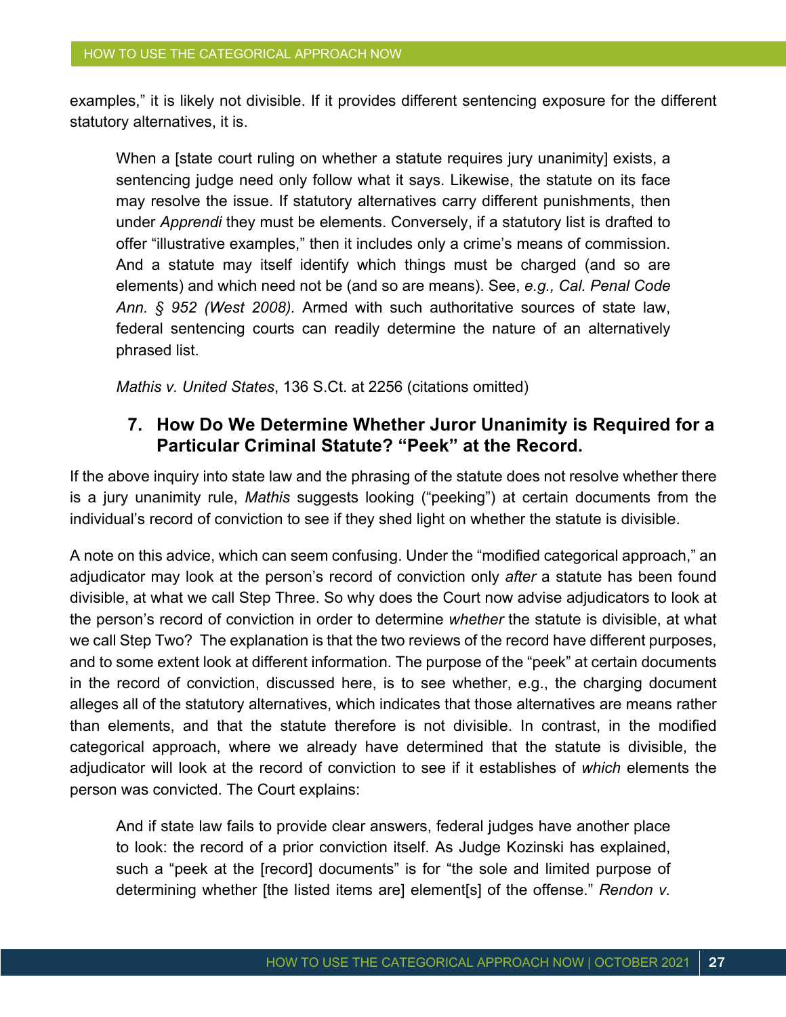examples," it is likely not divisible. If it provides different sentencing exposure for the different statutory alternatives, it is.

When a [state court ruling on whether a statute requires jury unanimity] exists, a sentencing judge need only follow what it says. Likewise, the statute on its face may resolve the issue. If statutory alternatives carry different punishments, then under *Apprendi* they must be elements. Conversely, if a statutory list is drafted to offer "illustrative examples," then it includes only a crime's means of commission. And a statute may itself identify which things must be charged (and so are elements) and which need not be (and so are means). See, *e.g., Cal. Penal Code Ann. § 952 (West 2008).* Armed with such authoritative sources of state law, federal sentencing courts can readily determine the nature of an alternatively phrased list.

*Mathis v. United States*, 136 S.Ct. at 2256 (citations omitted)

#### **7. How Do We Determine Whether Juror Unanimity is Required for a Particular Criminal Statute? "Peek" at the Record.**

If the above inquiry into state law and the phrasing of the statute does not resolve whether there is a jury unanimity rule, *Mathis* suggests looking ("peeking") at certain documents from the individual's record of conviction to see if they shed light on whether the statute is divisible.

A note on this advice, which can seem confusing. Under the "modified categorical approach," an adjudicator may look at the person's record of conviction only *after* a statute has been found divisible, at what we call Step Three. So why does the Court now advise adjudicators to look at the person's record of conviction in order to determine *whether* the statute is divisible, at what we call Step Two? The explanation is that the two reviews of the record have different purposes, and to some extent look at different information. The purpose of the "peek" at certain documents in the record of conviction, discussed here, is to see whether, e.g., the charging document alleges all of the statutory alternatives, which indicates that those alternatives are means rather than elements, and that the statute therefore is not divisible. In contrast, in the modified categorical approach, where we already have determined that the statute is divisible, the adjudicator will look at the record of conviction to see if it establishes of *which* elements the person was convicted. The Court explains:

And if state law fails to provide clear answers, federal judges have another place to look: the record of a prior conviction itself. As Judge Kozinski has explained, such a "peek at the [record] documents" is for "the sole and limited purpose of determining whether [the listed items are] element[s] of the offense." *Rendon v.*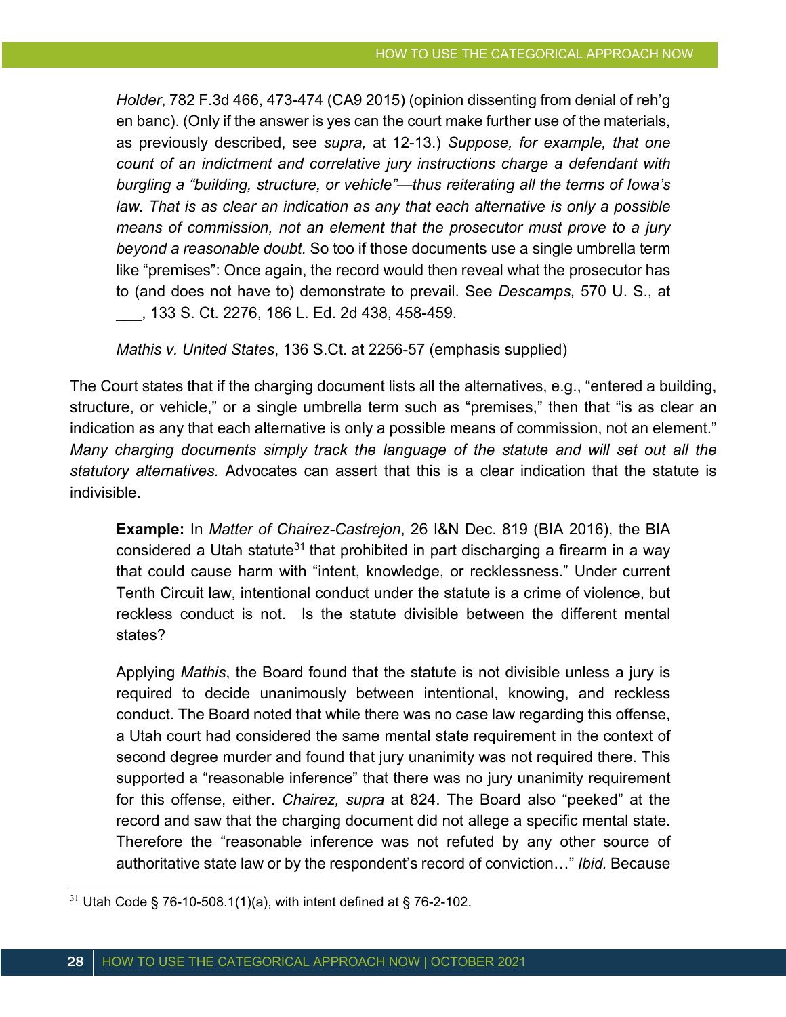*Holder*, 782 F.3d 466, 473-474 (CA9 2015) (opinion dissenting from denial of reh'g en banc). (Only if the answer is yes can the court make further use of the materials, as previously described, see *supra,* at 12-13.) *Suppose, for example, that one count of an indictment and correlative jury instructions charge a defendant with burgling a "building, structure, or vehicle"—thus reiterating all the terms of Iowa's law. That is as clear an indication as any that each alternative is only a possible means of commission, not an element that the prosecutor must prove to a jury beyond a reasonable doubt.* So too if those documents use a single umbrella term like "premises": Once again, the record would then reveal what the prosecutor has to (and does not have to) demonstrate to prevail. See *Descamps,* 570 U. S., at \_\_\_, 133 S. Ct. 2276, 186 L. Ed. 2d 438, 458-459.

*Mathis v. United States*, 136 S.Ct. at 2256-57 (emphasis supplied)

The Court states that if the charging document lists all the alternatives, e.g., "entered a building, structure, or vehicle," or a single umbrella term such as "premises," then that "is as clear an indication as any that each alternative is only a possible means of commission, not an element." *Many charging documents simply track the language of the statute and will set out all the statutory alternatives.* Advocates can assert that this is a clear indication that the statute is indivisible.

**Example:** In *Matter of Chairez-Castrejon*, 26 I&N Dec. 819 (BIA 2016), the BIA considered a Utah statute<sup>31</sup> that prohibited in part discharging a firearm in a way that could cause harm with "intent, knowledge, or recklessness." Under current Tenth Circuit law, intentional conduct under the statute is a crime of violence, but reckless conduct is not. Is the statute divisible between the different mental states?

Applying *Mathis*, the Board found that the statute is not divisible unless a jury is required to decide unanimously between intentional, knowing, and reckless conduct. The Board noted that while there was no case law regarding this offense, a Utah court had considered the same mental state requirement in the context of second degree murder and found that jury unanimity was not required there. This supported a "reasonable inference" that there was no jury unanimity requirement for this offense, either. *Chairez, supra* at 824. The Board also "peeked" at the record and saw that the charging document did not allege a specific mental state. Therefore the "reasonable inference was not refuted by any other source of authoritative state law or by the respondent's record of conviction…" *Ibid.* Because

 $31$  Utah Code § 76-10-508.1(1)(a), with intent defined at § 76-2-102.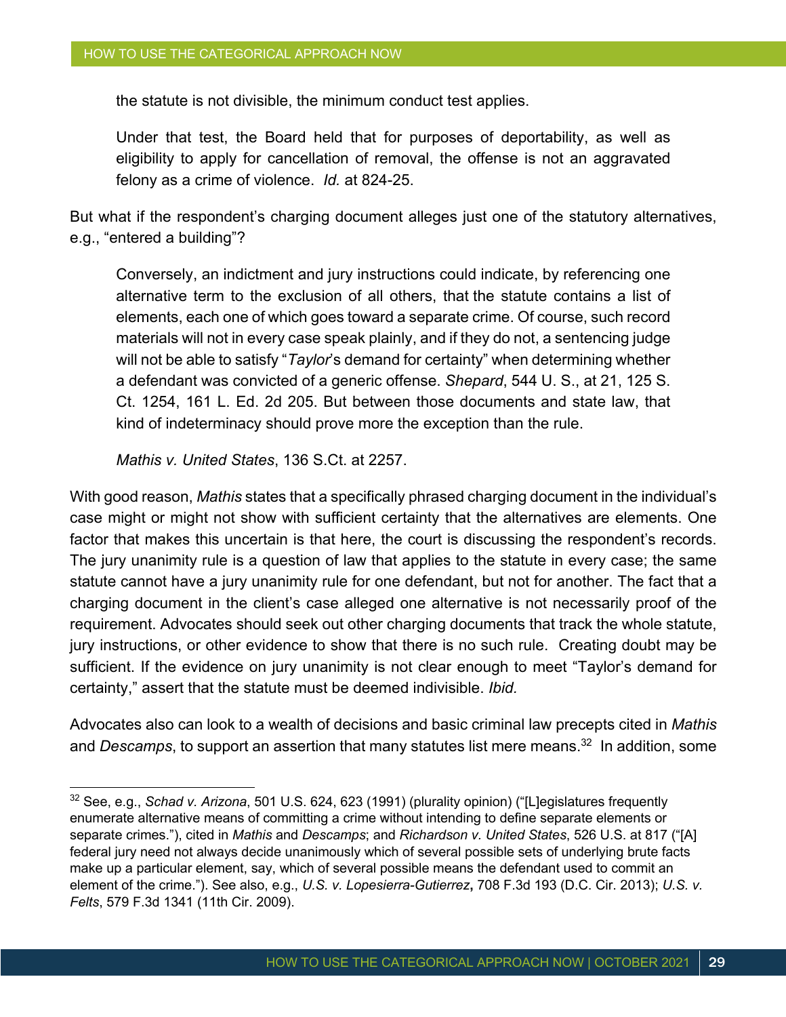the statute is not divisible, the minimum conduct test applies.

Under that test, the Board held that for purposes of deportability, as well as eligibility to apply for cancellation of removal, the offense is not an aggravated felony as a crime of violence. *Id.* at 824-25.

But what if the respondent's charging document alleges just one of the statutory alternatives, e.g., "entered a building"?

Conversely, an indictment and jury instructions could indicate, by referencing one alternative term to the exclusion of all others, that the statute contains a list of elements, each one of which goes toward a separate crime. Of course, such record materials will not in every case speak plainly, and if they do not, a sentencing judge will not be able to satisfy "*Taylor*'s demand for certainty" when determining whether a defendant was convicted of a generic offense. *Shepard*, 544 U. S., at 21, 125 S. Ct. 1254, 161 L. Ed. 2d 205. But between those documents and state law, that kind of indeterminacy should prove more the exception than the rule.

*Mathis v. United States*, 136 S.Ct. at 2257.

With good reason, *Mathis* states that a specifically phrased charging document in the individual's case might or might not show with sufficient certainty that the alternatives are elements. One factor that makes this uncertain is that here, the court is discussing the respondent's records. The jury unanimity rule is a question of law that applies to the statute in every case; the same statute cannot have a jury unanimity rule for one defendant, but not for another. The fact that a charging document in the client's case alleged one alternative is not necessarily proof of the requirement. Advocates should seek out other charging documents that track the whole statute, jury instructions, or other evidence to show that there is no such rule. Creating doubt may be sufficient. If the evidence on jury unanimity is not clear enough to meet "Taylor's demand for certainty," assert that the statute must be deemed indivisible. *Ibid.*

Advocates also can look to a wealth of decisions and basic criminal law precepts cited in *Mathis*  and *Descamps*, to support an assertion that many statutes list mere means.<sup>32</sup> In addition, some

<sup>32</sup> See, e.g., *Schad v. Arizona*, 501 U.S. 624, 623 (1991) (plurality opinion) ("[L]egislatures frequently enumerate alternative means of committing a crime without intending to define separate elements or separate crimes."), cited in *Mathis* and *Descamps*; and *Richardson v. United States*, 526 U.S. at 817 ("[A] federal jury need not always decide unanimously which of several possible sets of underlying brute facts make up a particular element, say, which of several possible means the defendant used to commit an element of the crime."). See also, e.g., *U.S. v. Lopesierra-Gutierrez***,** 708 F.3d 193 (D.C. Cir. 2013); *U.S. v. Felts*, 579 F.3d 1341 (11th Cir. 2009).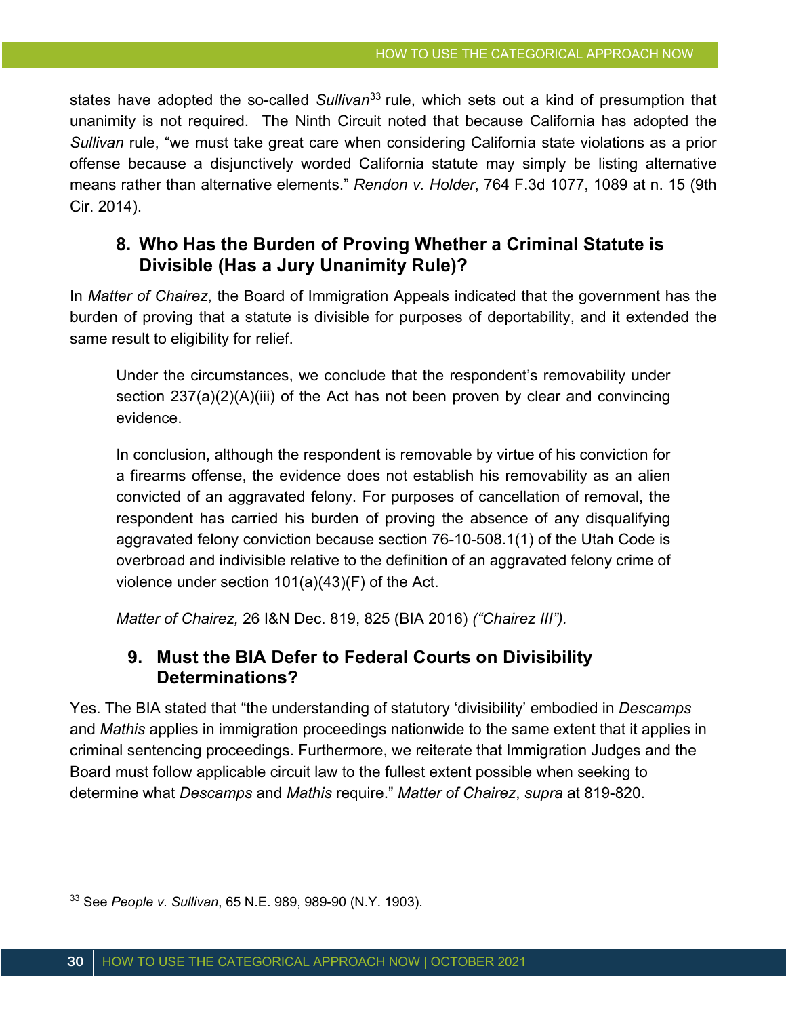states have adopted the so-called *Sullivan*<sup>33</sup> rule, which sets out a kind of presumption that unanimity is not required. The Ninth Circuit noted that because California has adopted the *Sullivan* rule, "we must take great care when considering California state violations as a prior offense because a disjunctively worded California statute may simply be listing alternative means rather than alternative elements." *Rendon v. Holder*, 764 F.3d 1077, 1089 at n. 15 (9th Cir. 2014).

### **8. Who Has the Burden of Proving Whether a Criminal Statute is Divisible (Has a Jury Unanimity Rule)?**

In *Matter of Chairez*, the Board of Immigration Appeals indicated that the government has the burden of proving that a statute is divisible for purposes of deportability, and it extended the same result to eligibility for relief.

Under the circumstances, we conclude that the respondent's removability under section 237(a)(2)(A)(iii) of the Act has not been proven by clear and convincing evidence.

In conclusion, although the respondent is removable by virtue of his conviction for a firearms offense, the evidence does not establish his removability as an alien convicted of an aggravated felony. For purposes of cancellation of removal, the respondent has carried his burden of proving the absence of any disqualifying aggravated felony conviction because section 76-10-508.1(1) of the Utah Code is overbroad and indivisible relative to the definition of an aggravated felony crime of violence under section 101(a)(43)(F) of the Act.

*Matter of Chairez,* 26 I&N Dec. 819, 825 (BIA 2016) *("Chairez III").*

### **9. Must the BIA Defer to Federal Courts on Divisibility Determinations?**

Yes. The BIA stated that "the understanding of statutory 'divisibility' embodied in *Descamps*  and *Mathis* applies in immigration proceedings nationwide to the same extent that it applies in criminal sentencing proceedings. Furthermore, we reiterate that Immigration Judges and the Board must follow applicable circuit law to the fullest extent possible when seeking to determine what *Descamps* and *Mathis* require." *Matter of Chairez*, *supra* at 819-820.

<sup>33</sup> See *People v. Sullivan*, 65 N.E. 989, 989-90 (N.Y. 1903).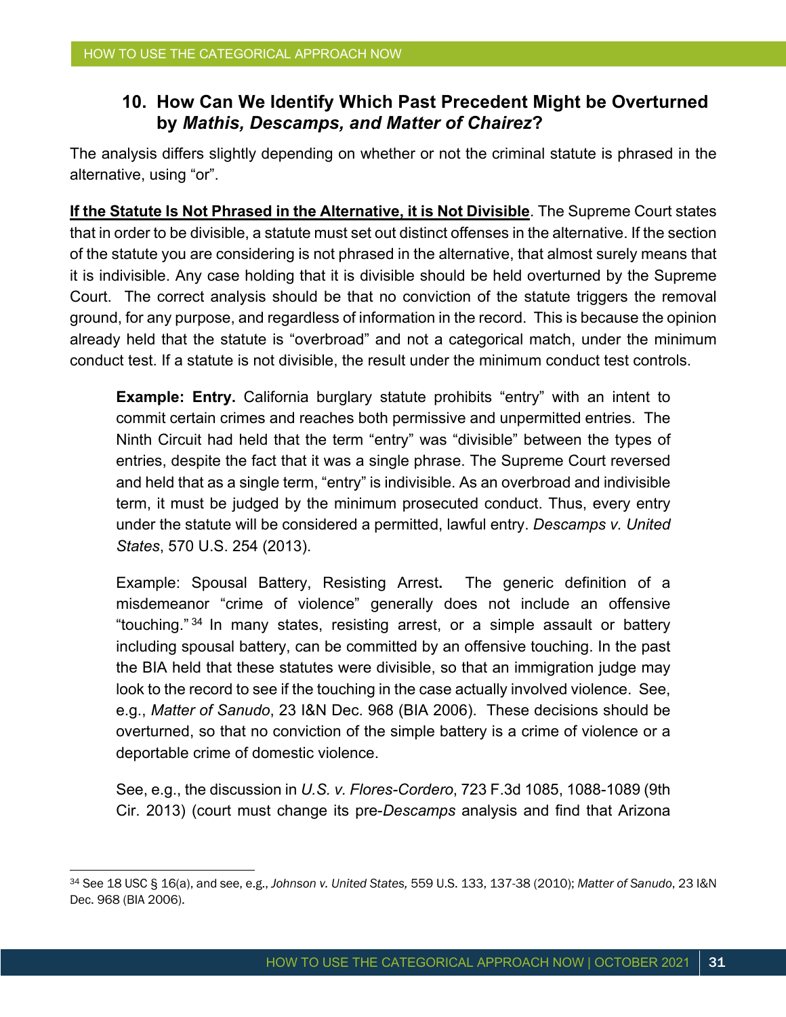#### **10. How Can We Identify Which Past Precedent Might be Overturned by** *Mathis, Descamps, and Matter of Chairez***?**

The analysis differs slightly depending on whether or not the criminal statute is phrased in the alternative, using "or".

**If the Statute Is Not Phrased in the Alternative, it is Not Divisible**. The Supreme Court states that in order to be divisible, a statute must set out distinct offenses in the alternative. If the section of the statute you are considering is not phrased in the alternative, that almost surely means that it is indivisible. Any case holding that it is divisible should be held overturned by the Supreme Court. The correct analysis should be that no conviction of the statute triggers the removal ground, for any purpose, and regardless of information in the record. This is because the opinion already held that the statute is "overbroad" and not a categorical match, under the minimum conduct test. If a statute is not divisible, the result under the minimum conduct test controls.

**Example: Entry.** California burglary statute prohibits "entry" with an intent to commit certain crimes and reaches both permissive and unpermitted entries. The Ninth Circuit had held that the term "entry" was "divisible" between the types of entries, despite the fact that it was a single phrase. The Supreme Court reversed and held that as a single term, "entry" is indivisible. As an overbroad and indivisible term, it must be judged by the minimum prosecuted conduct. Thus, every entry under the statute will be considered a permitted, lawful entry. *Descamps v. United States*, 570 U.S. 254 (2013).

Example: Spousal Battery, Resisting Arrest**.** The generic definition of a misdemeanor "crime of violence" generally does not include an offensive "touching." <sup>34</sup> In many states, resisting arrest, or a simple assault or battery including spousal battery, can be committed by an offensive touching. In the past the BIA held that these statutes were divisible, so that an immigration judge may look to the record to see if the touching in the case actually involved violence. See, e.g., *Matter of Sanudo*, 23 I&N Dec. 968 (BIA 2006). These decisions should be overturned, so that no conviction of the simple battery is a crime of violence or a deportable crime of domestic violence.

See, e.g., the discussion in *U.S. v. Flores-Cordero*, 723 F.3d 1085, 1088-1089 (9th Cir. 2013) (court must change its pre-*Descamps* analysis and find that Arizona

<sup>34</sup> See 18 USC § 16(a), and see, e.g., *Johnson v. United States,* 559 U.S. 133, 137-38 (2010); *Matter of Sanudo*, 23 I&N Dec. 968 (BIA 2006).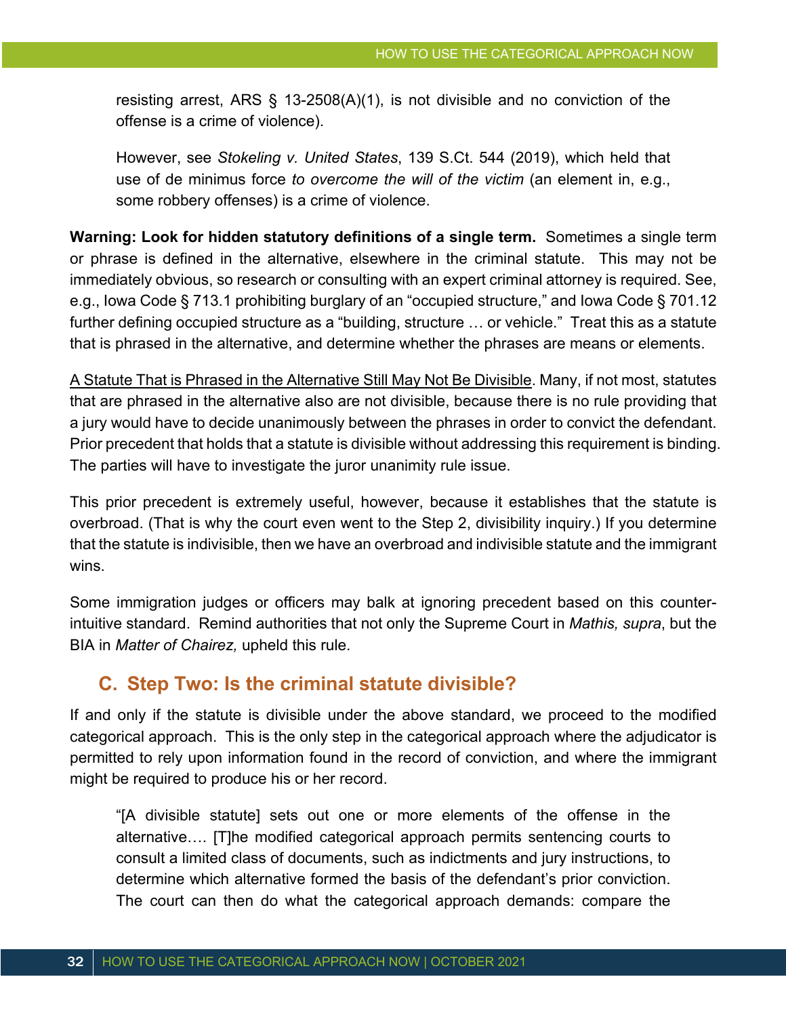resisting arrest, ARS § 13-2508(A)(1), is not divisible and no conviction of the offense is a crime of violence).

However, see *Stokeling v. United States*, 139 S.Ct. 544 (2019), which held that use of de minimus force *to overcome the will of the victim* (an element in, e.g., some robbery offenses) is a crime of violence.

**Warning: Look for hidden statutory definitions of a single term.** Sometimes a single term or phrase is defined in the alternative, elsewhere in the criminal statute. This may not be immediately obvious, so research or consulting with an expert criminal attorney is required. See, e.g., Iowa Code § 713.1 prohibiting burglary of an "occupied structure," and Iowa Code § 701.12 further defining occupied structure as a "building, structure … or vehicle." Treat this as a statute that is phrased in the alternative, and determine whether the phrases are means or elements.

A Statute That is Phrased in the Alternative Still May Not Be Divisible. Many, if not most, statutes that are phrased in the alternative also are not divisible, because there is no rule providing that a jury would have to decide unanimously between the phrases in order to convict the defendant. Prior precedent that holds that a statute is divisible without addressing this requirement is binding. The parties will have to investigate the juror unanimity rule issue.

This prior precedent is extremely useful, however, because it establishes that the statute is overbroad. (That is why the court even went to the Step 2, divisibility inquiry.) If you determine that the statute is indivisible, then we have an overbroad and indivisible statute and the immigrant wins.

Some immigration judges or officers may balk at ignoring precedent based on this counterintuitive standard. Remind authorities that not only the Supreme Court in *Mathis, supra*, but the BIA in *Matter of Chairez,* upheld this rule.

#### **C. Step Two: Is the criminal statute divisible?**

If and only if the statute is divisible under the above standard, we proceed to the modified categorical approach. This is the only step in the categorical approach where the adjudicator is permitted to rely upon information found in the record of conviction, and where the immigrant might be required to produce his or her record.

"[A divisible statute] sets out one or more elements of the offense in the alternative…. [T]he modified categorical approach permits sentencing courts to consult a limited class of documents, such as indictments and jury instructions, to determine which alternative formed the basis of the defendant's prior conviction. The court can then do what the categorical approach demands: compare the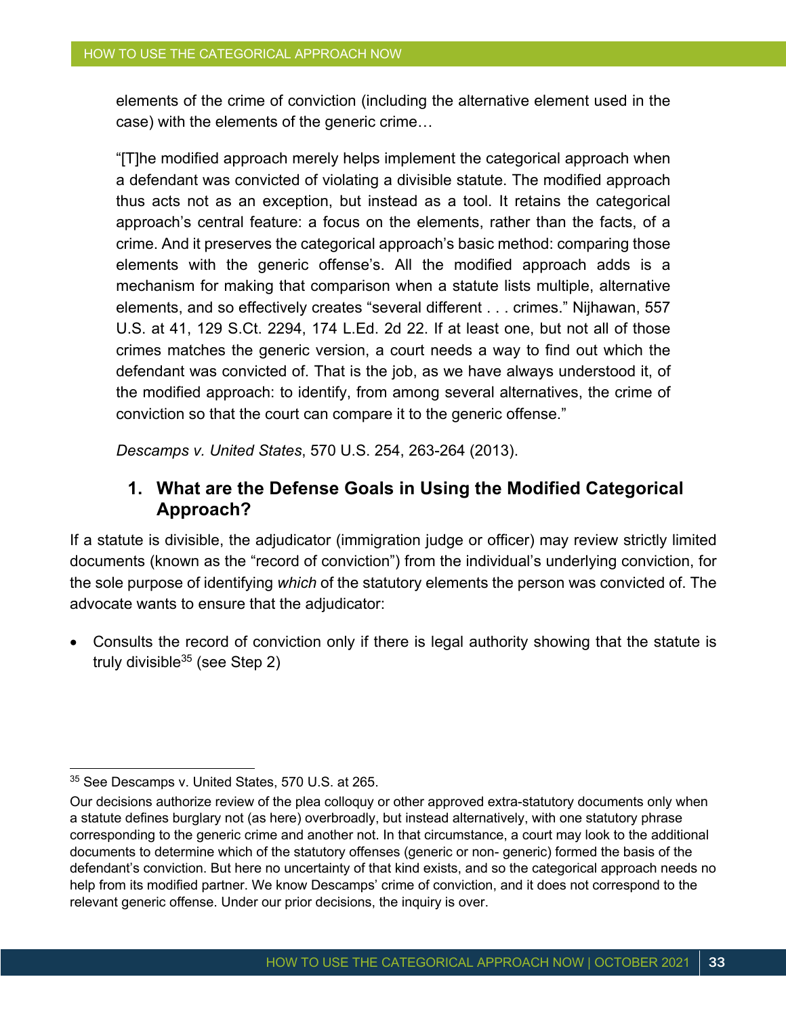elements of the crime of conviction (including the alternative element used in the case) with the elements of the generic crime…

"[T]he modified approach merely helps implement the categorical approach when a defendant was convicted of violating a divisible statute. The modified approach thus acts not as an exception, but instead as a tool. It retains the categorical approach's central feature: a focus on the elements, rather than the facts, of a crime. And it preserves the categorical approach's basic method: comparing those elements with the generic offense's. All the modified approach adds is a mechanism for making that comparison when a statute lists multiple, alternative elements, and so effectively creates "several different . . . crimes." Nijhawan, 557 U.S. at 41, 129 S.Ct. 2294, 174 L.Ed. 2d 22. If at least one, but not all of those crimes matches the generic version, a court needs a way to find out which the defendant was convicted of. That is the job, as we have always understood it, of the modified approach: to identify, from among several alternatives, the crime of conviction so that the court can compare it to the generic offense."

*Descamps v. United States*, 570 U.S. 254, 263-264 (2013).

#### **1. What are the Defense Goals in Using the Modified Categorical Approach?**

If a statute is divisible, the adjudicator (immigration judge or officer) may review strictly limited documents (known as the "record of conviction") from the individual's underlying conviction, for the sole purpose of identifying *which* of the statutory elements the person was convicted of. The advocate wants to ensure that the adjudicator:

• Consults the record of conviction only if there is legal authority showing that the statute is truly divisible  $35$  (see Step 2)

<sup>&</sup>lt;sup>35</sup> See Descamps v. United States, 570 U.S. at 265.

Our decisions authorize review of the plea colloquy or other approved extra-statutory documents only when a statute defines burglary not (as here) overbroadly, but instead alternatively, with one statutory phrase corresponding to the generic crime and another not. In that circumstance, a court may look to the additional documents to determine which of the statutory offenses (generic or non- generic) formed the basis of the defendant's conviction. But here no uncertainty of that kind exists, and so the categorical approach needs no help from its modified partner. We know Descamps' crime of conviction, and it does not correspond to the relevant generic offense. Under our prior decisions, the inquiry is over.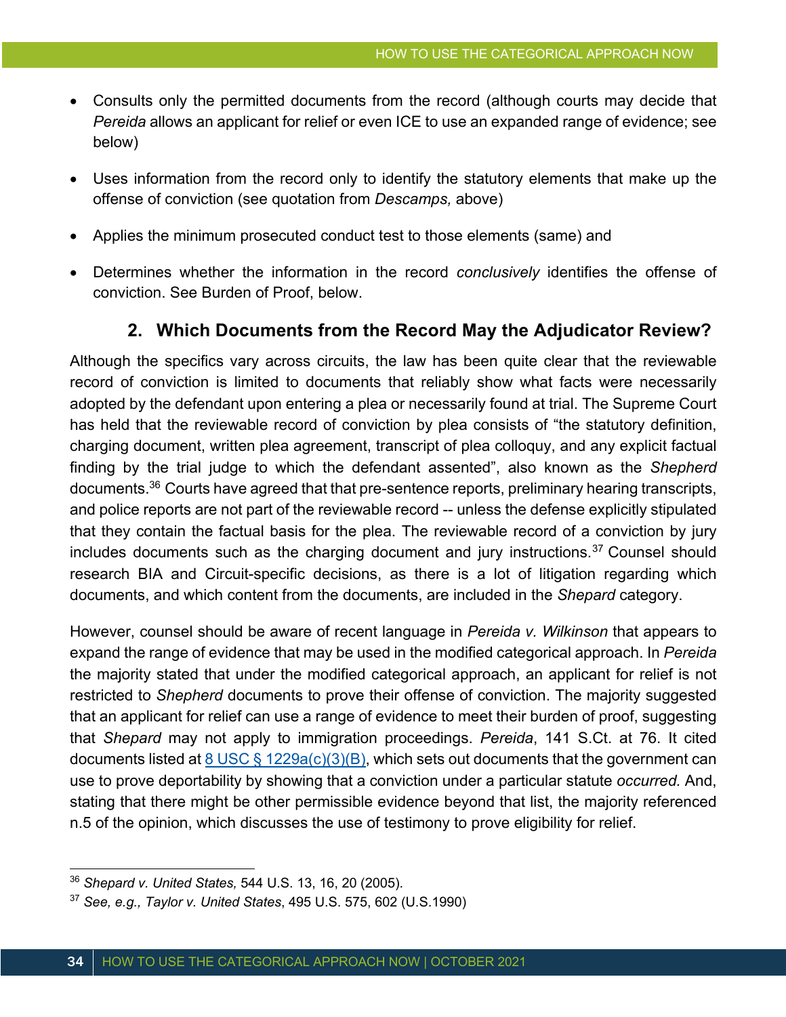- Consults only the permitted documents from the record (although courts may decide that *Pereida* allows an applicant for relief or even ICE to use an expanded range of evidence; see below)
- Uses information from the record only to identify the statutory elements that make up the offense of conviction (see quotation from *Descamps,* above)
- Applies the minimum prosecuted conduct test to those elements (same) and
- Determines whether the information in the record *conclusively* identifies the offense of conviction. See Burden of Proof, below.

#### **2. Which Documents from the Record May the Adjudicator Review?**

Although the specifics vary across circuits, the law has been quite clear that the reviewable record of conviction is limited to documents that reliably show what facts were necessarily adopted by the defendant upon entering a plea or necessarily found at trial. The Supreme Court has held that the reviewable record of conviction by plea consists of "the statutory definition, charging document, written plea agreement, transcript of plea colloquy, and any explicit factual finding by the trial judge to which the defendant assented", also known as the *Shepherd* documents.36 Courts have agreed that that pre-sentence reports, preliminary hearing transcripts, and police reports are not part of the reviewable record -- unless the defense explicitly stipulated that they contain the factual basis for the plea. The reviewable record of a conviction by jury includes documents such as the charging document and jury instructions. $37$  Counsel should research BIA and Circuit-specific decisions, as there is a lot of litigation regarding which documents, and which content from the documents, are included in the *Shepard* category.

However, counsel should be aware of recent language in *Pereida v. Wilkinson* that appears to expand the range of evidence that may be used in the modified categorical approach. In *Pereida* the majority stated that under the modified categorical approach, an applicant for relief is not restricted to *Shepherd* documents to prove their offense of conviction. The majority suggested that an applicant for relief can use a range of evidence to meet their burden of proof, suggesting that *Shepard* may not apply to immigration proceedings. *Pereida*, 141 S.Ct. at 76. It cited documents listed at  $8$  USC §  $1229a(c)(3)(B)$ , which sets out documents that the government can use to prove deportability by showing that a conviction under a particular statute *occurred.* And, stating that there might be other permissible evidence beyond that list, the majority referenced n.5 of the opinion, which discusses the use of testimony to prove eligibility for relief.

<sup>36</sup> *Shepard v. United States,* 544 U.S. 13, 16, 20 (2005).

<sup>37</sup> *See, e.g., Taylor v. United States*, 495 U.S. 575, 602 (U.S.1990)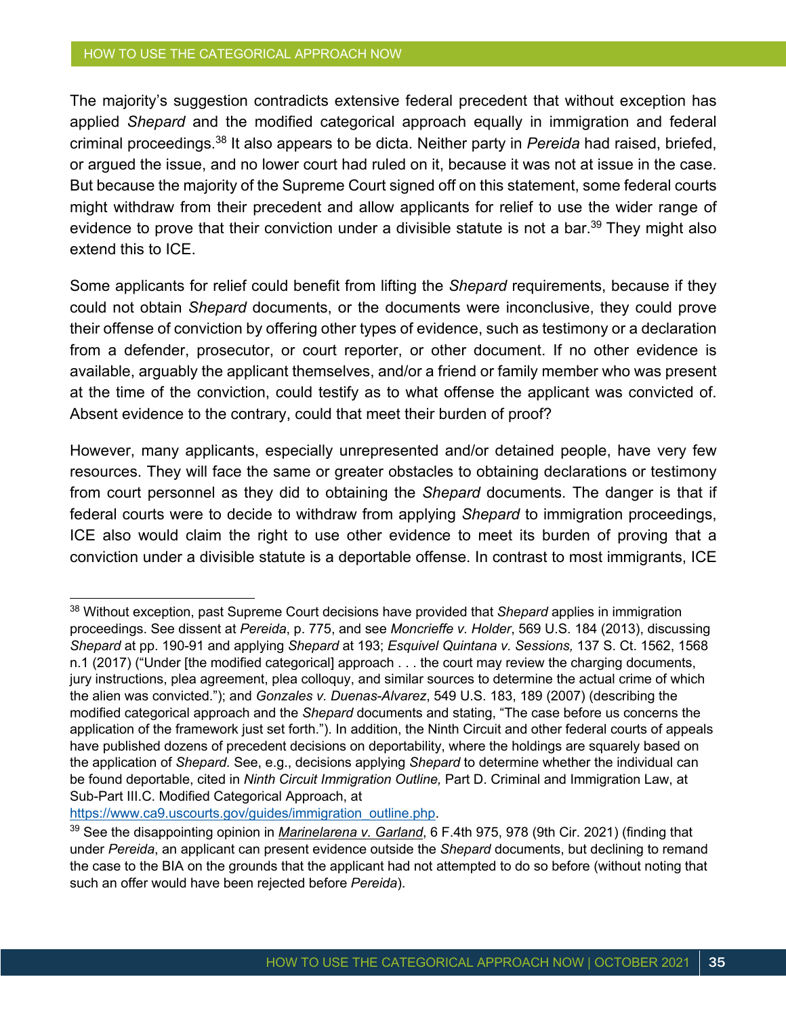#### HOW TO USE THE CATEGORICAL APPROACH NOW

The majority's suggestion contradicts extensive federal precedent that without exception has applied *Shepard* and the modified categorical approach equally in immigration and federal criminal proceedings.38 It also appears to be dicta. Neither party in *Pereida* had raised, briefed, or argued the issue, and no lower court had ruled on it, because it was not at issue in the case. But because the majority of the Supreme Court signed off on this statement, some federal courts might withdraw from their precedent and allow applicants for relief to use the wider range of evidence to prove that their conviction under a divisible statute is not a bar.<sup>39</sup> They might also extend this to ICE.

Some applicants for relief could benefit from lifting the *Shepard* requirements, because if they could not obtain *Shepard* documents, or the documents were inconclusive, they could prove their offense of conviction by offering other types of evidence, such as testimony or a declaration from a defender, prosecutor, or court reporter, or other document. If no other evidence is available, arguably the applicant themselves, and/or a friend or family member who was present at the time of the conviction, could testify as to what offense the applicant was convicted of. Absent evidence to the contrary, could that meet their burden of proof?

However, many applicants, especially unrepresented and/or detained people, have very few resources. They will face the same or greater obstacles to obtaining declarations or testimony from court personnel as they did to obtaining the *Shepard* documents. The danger is that if federal courts were to decide to withdraw from applying *Shepard* to immigration proceedings, ICE also would claim the right to use other evidence to meet its burden of proving that a conviction under a divisible statute is a deportable offense. In contrast to most immigrants, ICE

https://www.ca9.uscourts.gov/guides/immigration\_outline.php.

<sup>38</sup> Without exception, past Supreme Court decisions have provided that *Shepard* applies in immigration proceedings. See dissent at *Pereida*, p. 775, and see *Moncrieffe v. Holder*, 569 U.S. 184 (2013), discussing *Shepard* at pp. 190-91 and applying *Shepard* at 193; *Esquivel Quintana v. Sessions,* 137 S. Ct. 1562, 1568 n.1 (2017) ("Under [the modified categorical] approach . . . the court may review the charging documents, jury instructions, plea agreement, plea colloquy, and similar sources to determine the actual crime of which the alien was convicted."); and *Gonzales v. Duenas-Alvarez*, 549 U.S. 183, 189 (2007) (describing the modified categorical approach and the *Shepard* documents and stating, "The case before us concerns the application of the framework just set forth."). In addition, the Ninth Circuit and other federal courts of appeals have published dozens of precedent decisions on deportability, where the holdings are squarely based on the application of *Shepard.* See, e.g., decisions applying *Shepard* to determine whether the individual can be found deportable, cited in *Ninth Circuit Immigration Outline,* Part D. Criminal and Immigration Law, at Sub-Part III.C. Modified Categorical Approach, at

<sup>39</sup> See the disappointing opinion in *Marinelarena v. Garland*, 6 F.4th 975, 978 (9th Cir. 2021) (finding that under *Pereida*, an applicant can present evidence outside the *Shepard* documents, but declining to remand the case to the BIA on the grounds that the applicant had not attempted to do so before (without noting that such an offer would have been rejected before *Pereida*).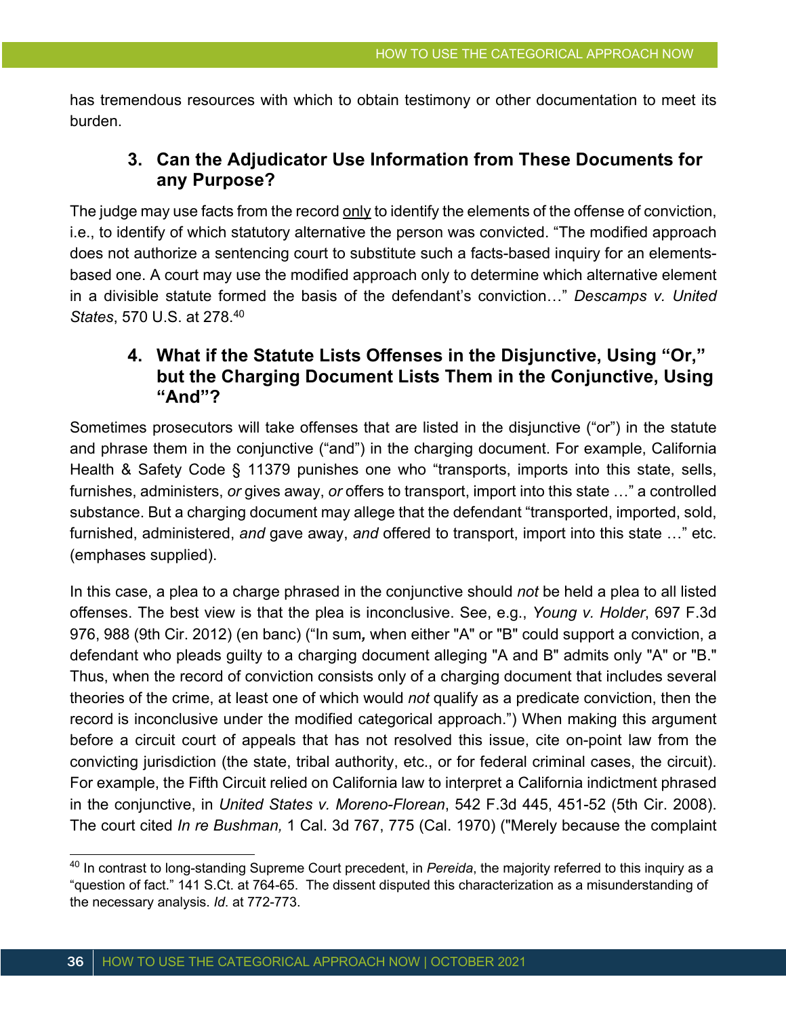has tremendous resources with which to obtain testimony or other documentation to meet its burden.

### **3. Can the Adjudicator Use Information from These Documents for any Purpose?**

The judge may use facts from the record only to identify the elements of the offense of conviction, i.e., to identify of which statutory alternative the person was convicted. "The modified approach does not authorize a sentencing court to substitute such a facts-based inquiry for an elementsbased one. A court may use the modified approach only to determine which alternative element in a divisible statute formed the basis of the defendant's conviction…" *Descamps v. United States*, 570 U.S. at 278.40

### **4. What if the Statute Lists Offenses in the Disjunctive, Using "Or," but the Charging Document Lists Them in the Conjunctive, Using "And"?**

Sometimes prosecutors will take offenses that are listed in the disjunctive ("or") in the statute and phrase them in the conjunctive ("and") in the charging document. For example, California Health & Safety Code § 11379 punishes one who "transports, imports into this state, sells, furnishes, administers, *or* gives away, *or* offers to transport, import into this state …" a controlled substance. But a charging document may allege that the defendant "transported, imported, sold, furnished, administered, *and* gave away, *and* offered to transport, import into this state …" etc. (emphases supplied).

In this case, a plea to a charge phrased in the conjunctive should *not* be held a plea to all listed offenses. The best view is that the plea is inconclusive. See, e.g., *Young v. Holder*, 697 F.3d 976, 988 (9th Cir. 2012) (en banc) ("In sum*,* when either "A" or "B" could support a conviction, a defendant who pleads guilty to a charging document alleging "A and B" admits only "A" or "B." Thus, when the record of conviction consists only of a charging document that includes several theories of the crime, at least one of which would *not* qualify as a predicate conviction, then the record is inconclusive under the modified categorical approach.") When making this argument before a circuit court of appeals that has not resolved this issue, cite on-point law from the convicting jurisdiction (the state, tribal authority, etc., or for federal criminal cases, the circuit). For example, the Fifth Circuit relied on California law to interpret a California indictment phrased in the conjunctive, in *United States v. Moreno-Florean*, 542 F.3d 445, 451-52 (5th Cir. 2008). The court cited *In re Bushman,* 1 Cal. 3d 767, 775 (Cal. 1970) ("Merely because the complaint

<sup>40</sup> In contrast to long-standing Supreme Court precedent, in *Pereida*, the majority referred to this inquiry as a "question of fact." 141 S.Ct. at 764-65. The dissent disputed this characterization as a misunderstanding of the necessary analysis. *Id*. at 772-773.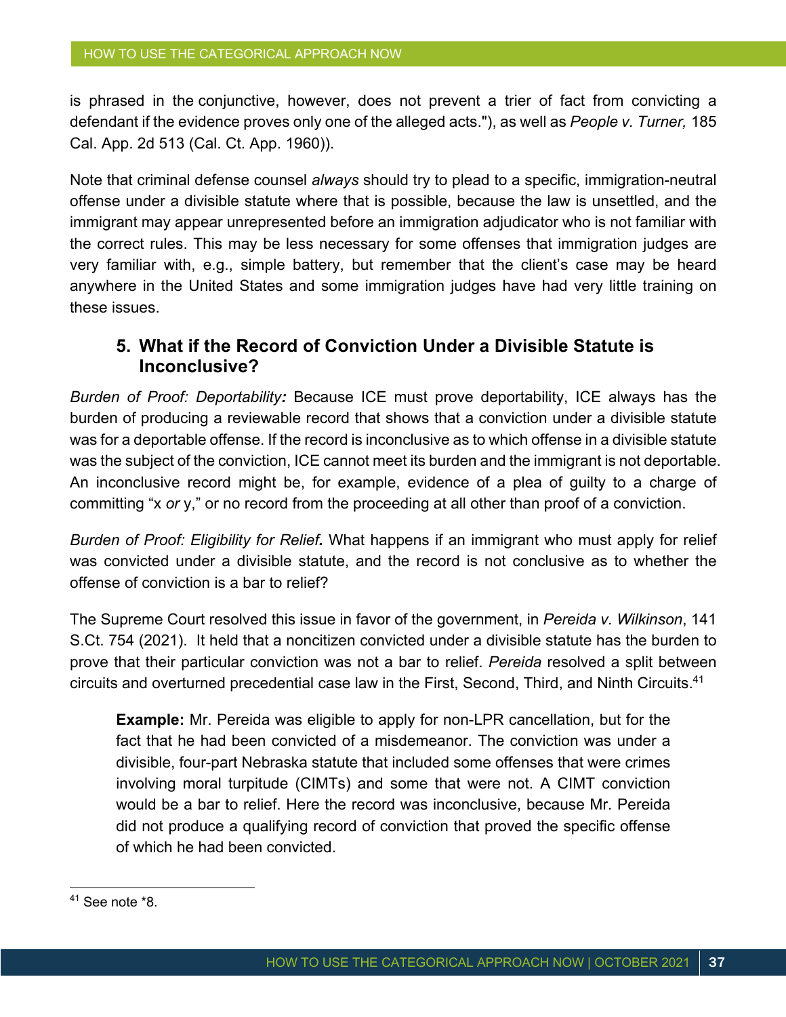is phrased in the conjunctive, however, does not prevent a trier of fact from convicting a defendant if the evidence proves only one of the alleged acts."), as well as *People v. Turner,* 185 Cal. App. 2d 513 (Cal. Ct. App. 1960)).

Note that criminal defense counsel *always* should try to plead to a specific, immigration-neutral offense under a divisible statute where that is possible, because the law is unsettled, and the immigrant may appear unrepresented before an immigration adjudicator who is not familiar with the correct rules. This may be less necessary for some offenses that immigration judges are very familiar with, e.g., simple battery, but remember that the client's case may be heard anywhere in the United States and some immigration judges have had very little training on these issues.

### **5. What if the Record of Conviction Under a Divisible Statute is Inconclusive?**

*Burden of Proof: Deportability:* Because ICE must prove deportability, ICE always has the burden of producing a reviewable record that shows that a conviction under a divisible statute was for a deportable offense. If the record is inconclusive as to which offense in a divisible statute was the subject of the conviction, ICE cannot meet its burden and the immigrant is not deportable. An inconclusive record might be, for example, evidence of a plea of guilty to a charge of committing "x *or* y," or no record from the proceeding at all other than proof of a conviction.

*Burden of Proof: Eligibility for Relief.* What happens if an immigrant who must apply for relief was convicted under a divisible statute, and the record is not conclusive as to whether the offense of conviction is a bar to relief?

The Supreme Court resolved this issue in favor of the government, in *Pereida v. Wilkinson*, 141 S.Ct. 754 (2021). It held that a noncitizen convicted under a divisible statute has the burden to prove that their particular conviction was not a bar to relief. *Pereida* resolved a split between circuits and overturned precedential case law in the First, Second, Third, and Ninth Circuits.41

**Example:** Mr. Pereida was eligible to apply for non-LPR cancellation, but for the fact that he had been convicted of a misdemeanor. The conviction was under a divisible, four-part Nebraska statute that included some offenses that were crimes involving moral turpitude (CIMTs) and some that were not. A CIMT conviction would be a bar to relief. Here the record was inconclusive, because Mr. Pereida did not produce a qualifying record of conviction that proved the specific offense of which he had been convicted.

 $41$  See note  $*8$ .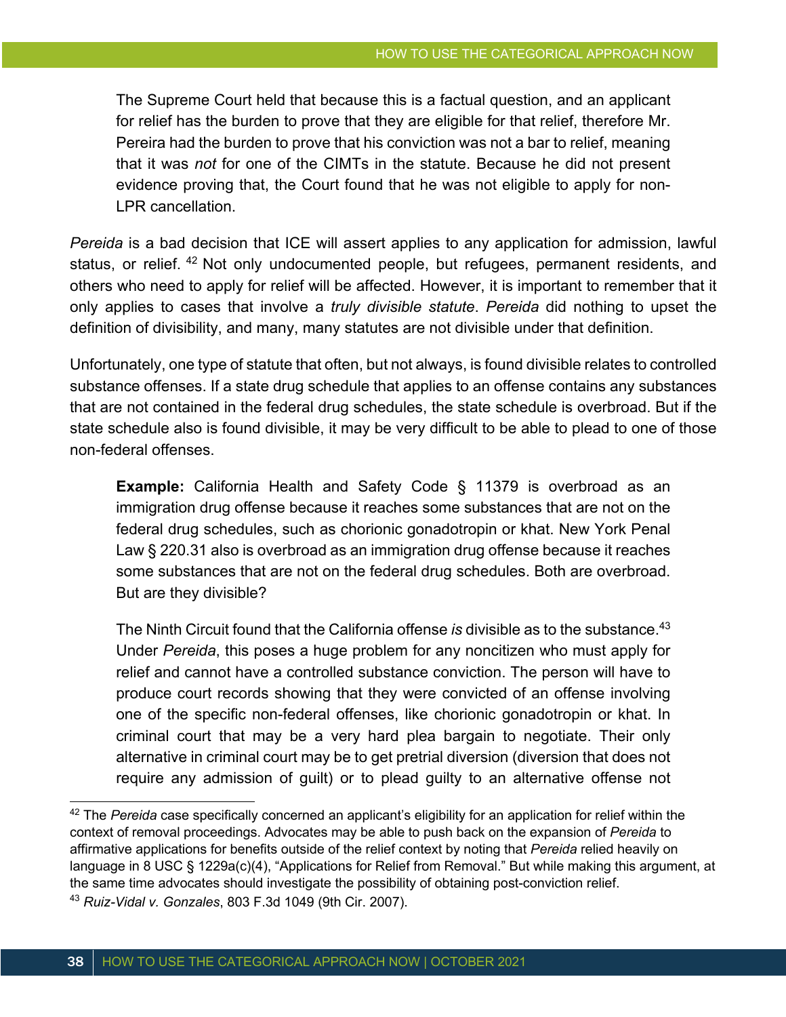The Supreme Court held that because this is a factual question, and an applicant for relief has the burden to prove that they are eligible for that relief, therefore Mr. Pereira had the burden to prove that his conviction was not a bar to relief, meaning that it was *not* for one of the CIMTs in the statute. Because he did not present evidence proving that, the Court found that he was not eligible to apply for non-LPR cancellation.

*Pereida* is a bad decision that ICE will assert applies to any application for admission, lawful status, or relief. 42 Not only undocumented people, but refugees, permanent residents, and others who need to apply for relief will be affected. However, it is important to remember that it only applies to cases that involve a *truly divisible statute*. *Pereida* did nothing to upset the definition of divisibility, and many, many statutes are not divisible under that definition.

Unfortunately, one type of statute that often, but not always, is found divisible relates to controlled substance offenses. If a state drug schedule that applies to an offense contains any substances that are not contained in the federal drug schedules, the state schedule is overbroad. But if the state schedule also is found divisible, it may be very difficult to be able to plead to one of those non-federal offenses.

**Example:** California Health and Safety Code § 11379 is overbroad as an immigration drug offense because it reaches some substances that are not on the federal drug schedules, such as chorionic gonadotropin or khat. New York Penal Law § 220.31 also is overbroad as an immigration drug offense because it reaches some substances that are not on the federal drug schedules. Both are overbroad. But are they divisible?

The Ninth Circuit found that the California offense *is* divisible as to the substance.<sup>43</sup> Under *Pereida*, this poses a huge problem for any noncitizen who must apply for relief and cannot have a controlled substance conviction. The person will have to produce court records showing that they were convicted of an offense involving one of the specific non-federal offenses, like chorionic gonadotropin or khat. In criminal court that may be a very hard plea bargain to negotiate. Their only alternative in criminal court may be to get pretrial diversion (diversion that does not require any admission of guilt) or to plead guilty to an alternative offense not

<sup>&</sup>lt;sup>42</sup> The *Pereida* case specifically concerned an applicant's eligibility for an application for relief within the context of removal proceedings. Advocates may be able to push back on the expansion of *Pereida* to affirmative applications for benefits outside of the relief context by noting that *Pereida* relied heavily on language in 8 USC § 1229a(c)(4), "Applications for Relief from Removal." But while making this argument, at the same time advocates should investigate the possibility of obtaining post-conviction relief. <sup>43</sup> *Ruiz-Vidal v. Gonzales*, 803 F.3d 1049 (9th Cir. 2007).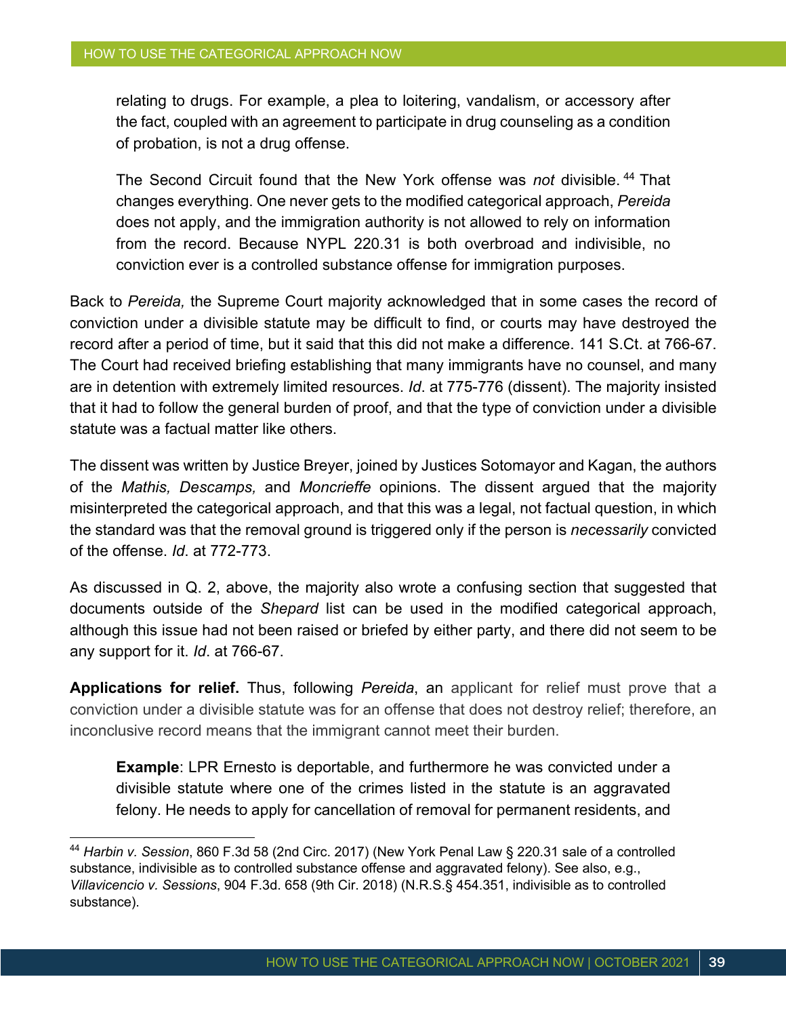relating to drugs. For example, a plea to loitering, vandalism, or accessory after the fact, coupled with an agreement to participate in drug counseling as a condition of probation, is not a drug offense.

The Second Circuit found that the New York offense was *not* divisible. <sup>44</sup> That changes everything. One never gets to the modified categorical approach, *Pereida* does not apply, and the immigration authority is not allowed to rely on information from the record. Because NYPL 220.31 is both overbroad and indivisible, no conviction ever is a controlled substance offense for immigration purposes.

Back to *Pereida,* the Supreme Court majority acknowledged that in some cases the record of conviction under a divisible statute may be difficult to find, or courts may have destroyed the record after a period of time, but it said that this did not make a difference. 141 S.Ct. at 766-67. The Court had received briefing establishing that many immigrants have no counsel, and many are in detention with extremely limited resources. *Id*. at 775-776 (dissent). The majority insisted that it had to follow the general burden of proof, and that the type of conviction under a divisible statute was a factual matter like others.

The dissent was written by Justice Breyer, joined by Justices Sotomayor and Kagan, the authors of the *Mathis, Descamps,* and *Moncrieffe* opinions. The dissent argued that the majority misinterpreted the categorical approach, and that this was a legal, not factual question, in which the standard was that the removal ground is triggered only if the person is *necessarily* convicted of the offense. *Id*. at 772-773.

As discussed in Q. 2, above, the majority also wrote a confusing section that suggested that documents outside of the *Shepard* list can be used in the modified categorical approach, although this issue had not been raised or briefed by either party, and there did not seem to be any support for it. *Id*. at 766-67.

**Applications for relief.** Thus, following *Pereida*, an applicant for relief must prove that a conviction under a divisible statute was for an offense that does not destroy relief; therefore, an inconclusive record means that the immigrant cannot meet their burden.

**Example**: LPR Ernesto is deportable, and furthermore he was convicted under a divisible statute where one of the crimes listed in the statute is an aggravated felony. He needs to apply for cancellation of removal for permanent residents, and

<sup>44</sup> *Harbin v. Session*, 860 F.3d 58 (2nd Circ. 2017) (New York Penal Law § 220.31 sale of a controlled substance, indivisible as to controlled substance offense and aggravated felony). See also, e.g., *Villavicencio v. Sessions*, 904 F.3d. 658 (9th Cir. 2018) (N.R.S.§ 454.351, indivisible as to controlled substance).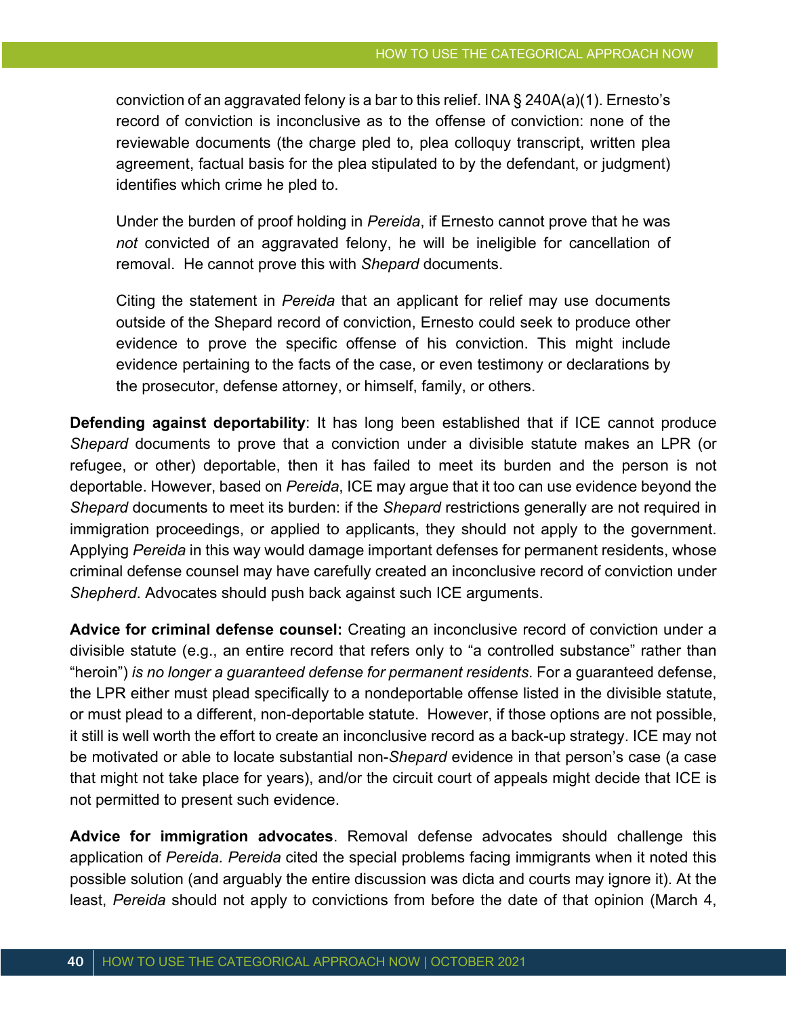conviction of an aggravated felony is a bar to this relief. INA  $\S$  240A(a)(1). Ernesto's record of conviction is inconclusive as to the offense of conviction: none of the reviewable documents (the charge pled to, plea colloquy transcript, written plea agreement, factual basis for the plea stipulated to by the defendant, or judgment) identifies which crime he pled to.

Under the burden of proof holding in *Pereida*, if Ernesto cannot prove that he was *not* convicted of an aggravated felony, he will be ineligible for cancellation of removal. He cannot prove this with *Shepard* documents.

Citing the statement in *Pereida* that an applicant for relief may use documents outside of the Shepard record of conviction, Ernesto could seek to produce other evidence to prove the specific offense of his conviction. This might include evidence pertaining to the facts of the case, or even testimony or declarations by the prosecutor, defense attorney, or himself, family, or others.

**Defending against deportability**: It has long been established that if ICE cannot produce *Shepard* documents to prove that a conviction under a divisible statute makes an LPR (or refugee, or other) deportable, then it has failed to meet its burden and the person is not deportable. However, based on *Pereida*, ICE may argue that it too can use evidence beyond the *Shepard* documents to meet its burden: if the *Shepard* restrictions generally are not required in immigration proceedings, or applied to applicants, they should not apply to the government. Applying *Pereida* in this way would damage important defenses for permanent residents, whose criminal defense counsel may have carefully created an inconclusive record of conviction under *Shepherd*. Advocates should push back against such ICE arguments.

**Advice for criminal defense counsel:** Creating an inconclusive record of conviction under a divisible statute (e.g., an entire record that refers only to "a controlled substance" rather than "heroin") *is no longer a guaranteed defense for permanent residents*. For a guaranteed defense, the LPR either must plead specifically to a nondeportable offense listed in the divisible statute, or must plead to a different, non-deportable statute. However, if those options are not possible, it still is well worth the effort to create an inconclusive record as a back-up strategy. ICE may not be motivated or able to locate substantial non-*Shepard* evidence in that person's case (a case that might not take place for years), and/or the circuit court of appeals might decide that ICE is not permitted to present such evidence.

**Advice for immigration advocates**. Removal defense advocates should challenge this application of *Pereida. Pereida* cited the special problems facing immigrants when it noted this possible solution (and arguably the entire discussion was dicta and courts may ignore it). At the least, *Pereida* should not apply to convictions from before the date of that opinion (March 4,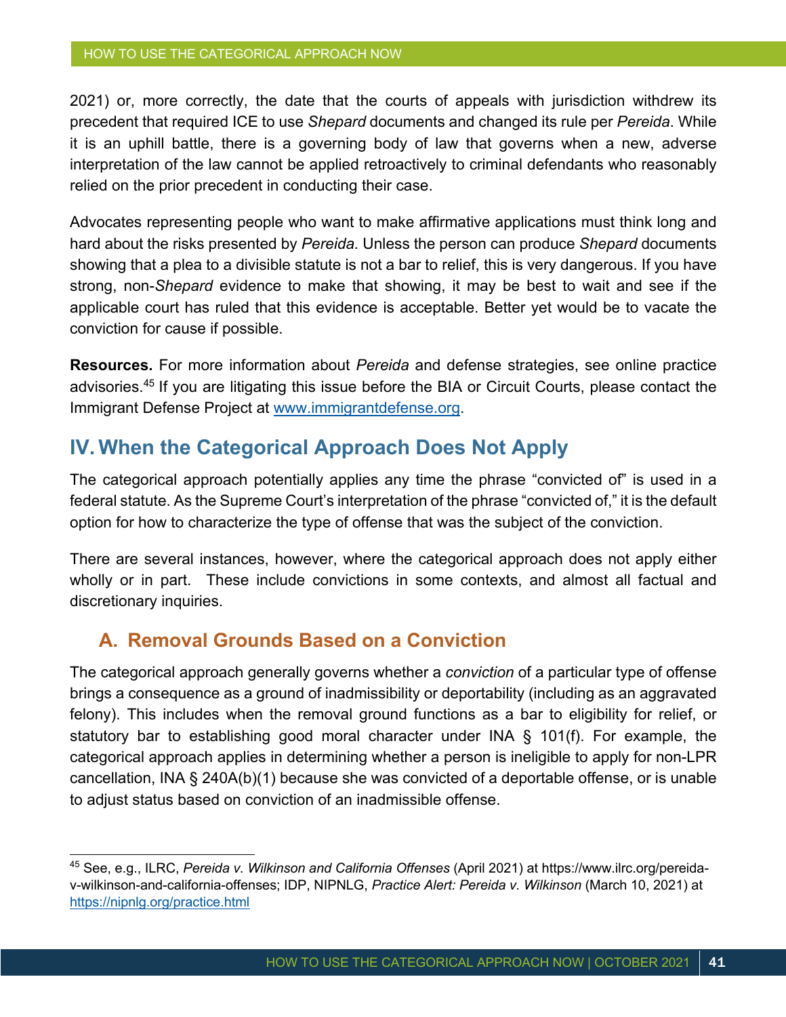2021) or, more correctly, the date that the courts of appeals with jurisdiction withdrew its precedent that required ICE to use *Shepard* documents and changed its rule per *Pereida*. While it is an uphill battle, there is a governing body of law that governs when a new, adverse interpretation of the law cannot be applied retroactively to criminal defendants who reasonably relied on the prior precedent in conducting their case.

Advocates representing people who want to make affirmative applications must think long and hard about the risks presented by *Pereida.* Unless the person can produce *Shepard* documents showing that a plea to a divisible statute is not a bar to relief, this is very dangerous. If you have strong, non-*Shepard* evidence to make that showing, it may be best to wait and see if the applicable court has ruled that this evidence is acceptable. Better yet would be to vacate the conviction for cause if possible.

**Resources.** For more information about *Pereida* and defense strategies, see online practice advisories.45 If you are litigating this issue before the BIA or Circuit Courts, please contact the Immigrant Defense Project at www.immigrantdefense.org.

### **IV. When the Categorical Approach Does Not Apply**

The categorical approach potentially applies any time the phrase "convicted of" is used in a federal statute. As the Supreme Court's interpretation of the phrase "convicted of," it is the default option for how to characterize the type of offense that was the subject of the conviction.

There are several instances, however, where the categorical approach does not apply either wholly or in part. These include convictions in some contexts, and almost all factual and discretionary inquiries.

# **A. Removal Grounds Based on a Conviction**

The categorical approach generally governs whether a *conviction* of a particular type of offense brings a consequence as a ground of inadmissibility or deportability (including as an aggravated felony). This includes when the removal ground functions as a bar to eligibility for relief, or statutory bar to establishing good moral character under INA § 101(f). For example, the categorical approach applies in determining whether a person is ineligible to apply for non-LPR cancellation, INA § 240A(b)(1) because she was convicted of a deportable offense, or is unable to adjust status based on conviction of an inadmissible offense.

<sup>45</sup> See, e.g., ILRC, *Pereida v. Wilkinson and California Offenses* (April 2021) at https://www.ilrc.org/pereidav-wilkinson-and-california-offenses; IDP, NIPNLG, *Practice Alert: Pereida v. Wilkinson* (March 10, 2021) at https://nipnlg.org/practice.html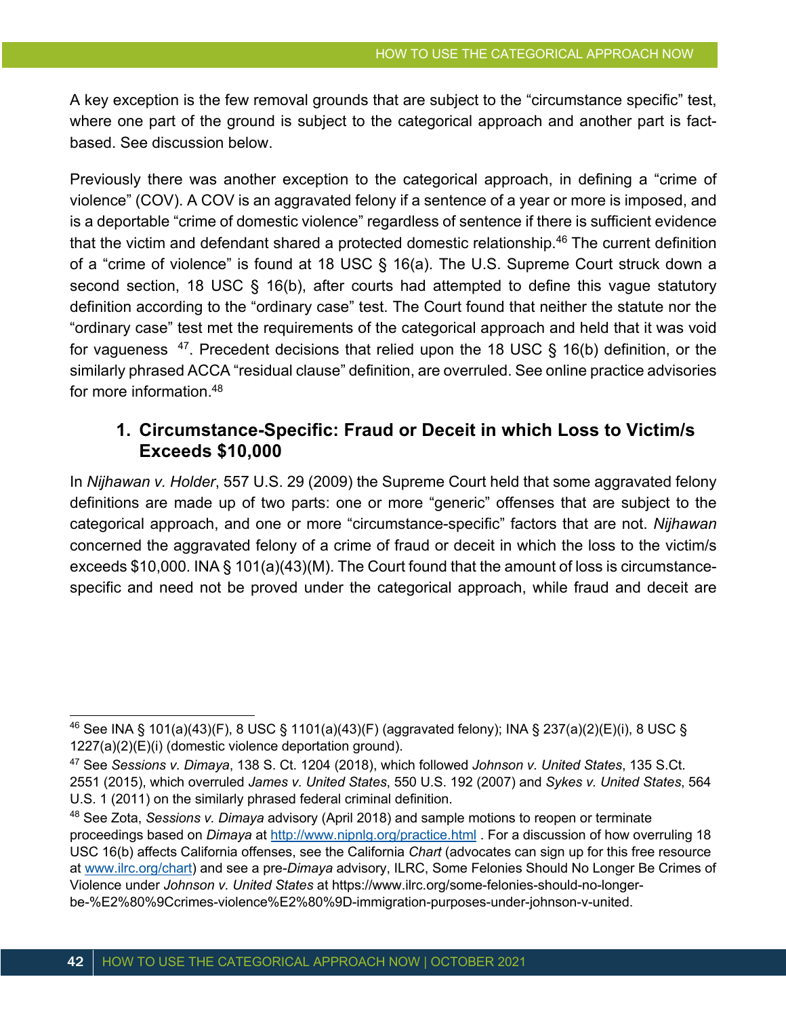A key exception is the few removal grounds that are subject to the "circumstance specific" test, where one part of the ground is subject to the categorical approach and another part is factbased. See discussion below.

Previously there was another exception to the categorical approach, in defining a "crime of violence" (COV). A COV is an aggravated felony if a sentence of a year or more is imposed, and is a deportable "crime of domestic violence" regardless of sentence if there is sufficient evidence that the victim and defendant shared a protected domestic relationship.<sup>46</sup> The current definition of a "crime of violence" is found at 18 USC § 16(a). The U.S. Supreme Court struck down a second section, 18 USC § 16(b), after courts had attempted to define this vague statutory definition according to the "ordinary case" test. The Court found that neither the statute nor the "ordinary case" test met the requirements of the categorical approach and held that it was void for vagueness  $47$ . Precedent decisions that relied upon the 18 USC § 16(b) definition, or the similarly phrased ACCA "residual clause" definition, are overruled. See online practice advisories for more information.48

### **1. Circumstance-Specific: Fraud or Deceit in which Loss to Victim/s Exceeds \$10,000**

In *Nijhawan v. Holder*, 557 U.S. 29 (2009) the Supreme Court held that some aggravated felony definitions are made up of two parts: one or more "generic" offenses that are subject to the categorical approach, and one or more "circumstance-specific" factors that are not. *Nijhawan*  concerned the aggravated felony of a crime of fraud or deceit in which the loss to the victim/s exceeds \$10,000. INA § 101(a)(43)(M). The Court found that the amount of loss is circumstancespecific and need not be proved under the categorical approach, while fraud and deceit are

<sup>46</sup> See INA § 101(a)(43)(F), 8 USC § 1101(a)(43)(F) (aggravated felony); INA § 237(a)(2)(E)(i), 8 USC § 1227(a)(2)(E)(i) (domestic violence deportation ground).

<sup>47</sup> See *Sessions v. Dimaya*, 138 S. Ct. 1204 (2018), which followed *Johnson v. United States*, 135 S.Ct. 2551 (2015), which overruled *James v. United States*, 550 U.S. 192 (2007) and *Sykes v. United States*, 564 U.S. 1 (2011) on the similarly phrased federal criminal definition.

<sup>48</sup> See Zota, *Sessions v. Dimaya* advisory (April 2018) and sample motions to reopen or terminate proceedings based on *Dimaya* at http://www.nipnlg.org/practice.html . For a discussion of how overruling 18 USC 16(b) affects California offenses, see the California *Chart* (advocates can sign up for this free resource at www.ilrc.org/chart) and see a pre-*Dimaya* advisory, ILRC, Some Felonies Should No Longer Be Crimes of Violence under *Johnson v. United States* at https://www.ilrc.org/some-felonies-should-no-longerbe-%E2%80%9Ccrimes-violence%E2%80%9D-immigration-purposes-under-johnson-v-united.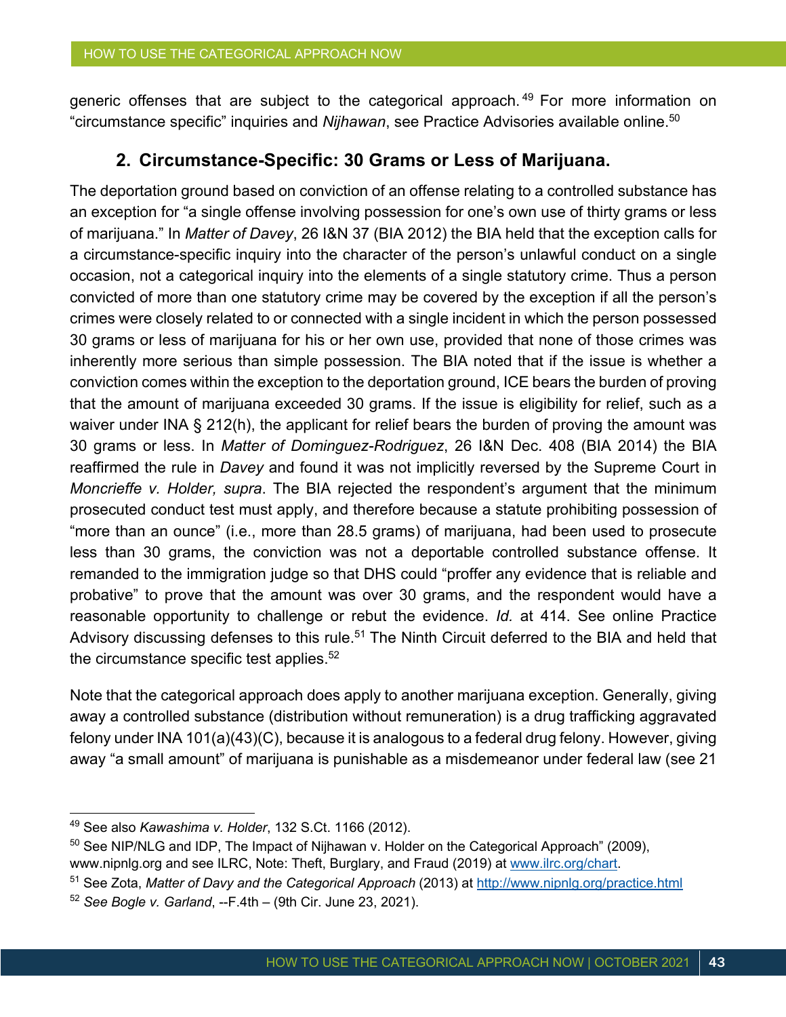generic offenses that are subject to the categorical approach.<sup>49</sup> For more information on "circumstance specific" inquiries and *Nijhawan*, see Practice Advisories available online.50

#### **2. Circumstance-Specific: 30 Grams or Less of Marijuana.**

The deportation ground based on conviction of an offense relating to a controlled substance has an exception for "a single offense involving possession for one's own use of thirty grams or less of marijuana." In *Matter of Davey*, 26 I&N 37 (BIA 2012) the BIA held that the exception calls for a circumstance-specific inquiry into the character of the person's unlawful conduct on a single occasion, not a categorical inquiry into the elements of a single statutory crime. Thus a person convicted of more than one statutory crime may be covered by the exception if all the person's crimes were closely related to or connected with a single incident in which the person possessed 30 grams or less of marijuana for his or her own use, provided that none of those crimes was inherently more serious than simple possession. The BIA noted that if the issue is whether a conviction comes within the exception to the deportation ground, ICE bears the burden of proving that the amount of marijuana exceeded 30 grams. If the issue is eligibility for relief, such as a waiver under INA § 212(h), the applicant for relief bears the burden of proving the amount was 30 grams or less. In *Matter of Dominguez-Rodriguez*, 26 I&N Dec. 408 (BIA 2014) the BIA reaffirmed the rule in *Davey* and found it was not implicitly reversed by the Supreme Court in *Moncrieffe v. Holder, supra*. The BIA rejected the respondent's argument that the minimum prosecuted conduct test must apply, and therefore because a statute prohibiting possession of "more than an ounce" (i.e., more than 28.5 grams) of marijuana, had been used to prosecute less than 30 grams, the conviction was not a deportable controlled substance offense. It remanded to the immigration judge so that DHS could "proffer any evidence that is reliable and probative" to prove that the amount was over 30 grams, and the respondent would have a reasonable opportunity to challenge or rebut the evidence. *Id.* at 414. See online Practice Advisory discussing defenses to this rule.<sup>51</sup> The Ninth Circuit deferred to the BIA and held that the circumstance specific test applies. $52$ 

Note that the categorical approach does apply to another marijuana exception. Generally, giving away a controlled substance (distribution without remuneration) is a drug trafficking aggravated felony under INA 101(a)(43)(C), because it is analogous to a federal drug felony. However, giving away "a small amount" of marijuana is punishable as a misdemeanor under federal law (see 21

<sup>49</sup> See also *Kawashima v. Holder*, 132 S.Ct. 1166 (2012).

 $50$  See NIP/NLG and IDP, The Impact of Nijhawan v. Holder on the Categorical Approach" (2009), www.nipnlg.org and see ILRC, Note: Theft, Burglary, and Fraud (2019) at www.ilrc.org/chart.

<sup>51</sup> See Zota, *Matter of Davy and the Categorical Approach* (2013) at http://www.nipnlg.org/practice.html

<sup>52</sup> *See Bogle v. Garland*, --F.4th – (9th Cir. June 23, 2021).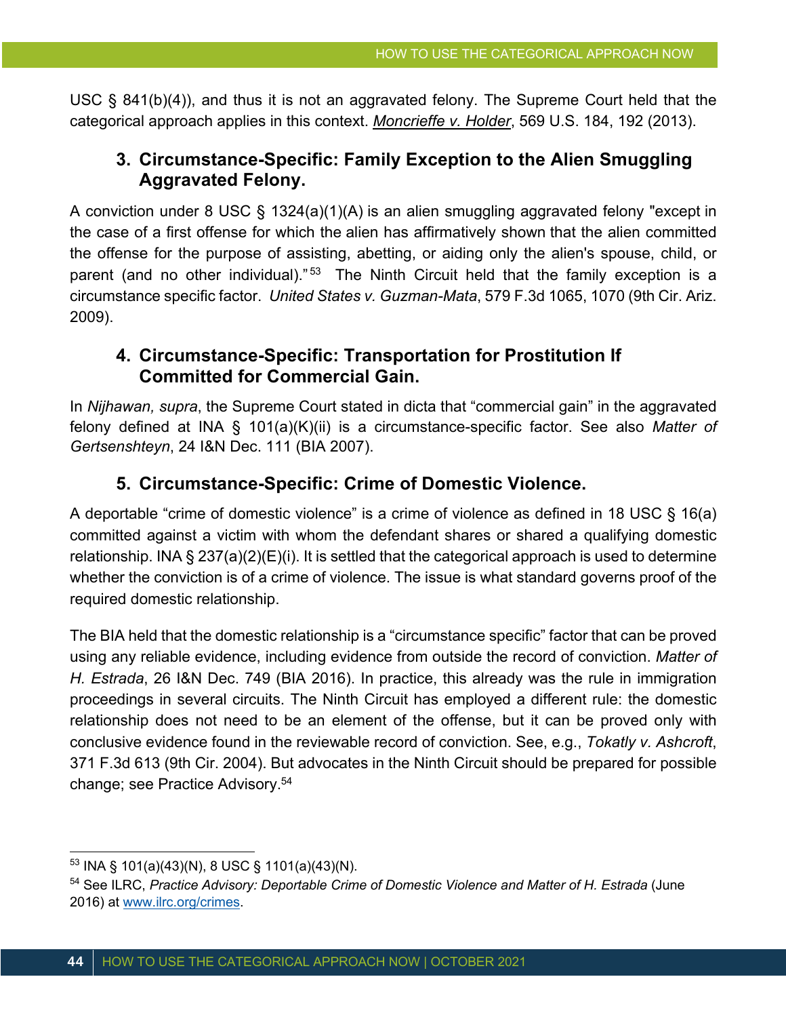USC § 841(b)(4)), and thus it is not an aggravated felony. The Supreme Court held that the categorical approach applies in this context. *Moncrieffe v. Holder*, 569 U.S. 184, 192 (2013).

### **3. Circumstance-Specific: Family Exception to the Alien Smuggling Aggravated Felony.**

A conviction under 8 USC § 1324(a)(1)(A) is an alien smuggling aggravated felony "except in the case of a first offense for which the alien has affirmatively shown that the alien committed the offense for the purpose of assisting, abetting, or aiding only the alien's spouse, child, or parent (and no other individual)."<sup>53</sup> The Ninth Circuit held that the family exception is a circumstance specific factor. *United States v. Guzman-Mata*, 579 F.3d 1065, 1070 (9th Cir. Ariz. 2009).

#### **4. Circumstance-Specific: Transportation for Prostitution If Committed for Commercial Gain.**

In *Nijhawan, supra*, the Supreme Court stated in dicta that "commercial gain" in the aggravated felony defined at INA § 101(a)(K)(ii) is a circumstance-specific factor. See also *Matter of Gertsenshteyn*, 24 I&N Dec. 111 (BIA 2007).

### **5. Circumstance-Specific: Crime of Domestic Violence.**

A deportable "crime of domestic violence" is a crime of violence as defined in 18 USC § 16(a) committed against a victim with whom the defendant shares or shared a qualifying domestic relationship. INA § 237(a)(2)(E)(i). It is settled that the categorical approach is used to determine whether the conviction is of a crime of violence. The issue is what standard governs proof of the required domestic relationship.

The BIA held that the domestic relationship is a "circumstance specific" factor that can be proved using any reliable evidence, including evidence from outside the record of conviction. *Matter of H. Estrada*, 26 I&N Dec. 749 (BIA 2016). In practice, this already was the rule in immigration proceedings in several circuits. The Ninth Circuit has employed a different rule: the domestic relationship does not need to be an element of the offense, but it can be proved only with conclusive evidence found in the reviewable record of conviction. See, e.g., *Tokatly v. Ashcroft*, 371 F.3d 613 (9th Cir. 2004). But advocates in the Ninth Circuit should be prepared for possible change; see Practice Advisory.54

 $53$  INA § 101(a)(43)(N), 8 USC § 1101(a)(43)(N).

<sup>54</sup> See ILRC, *Practice Advisory: Deportable Crime of Domestic Violence and Matter of H. Estrada* (June 2016) at www.ilrc.org/crimes.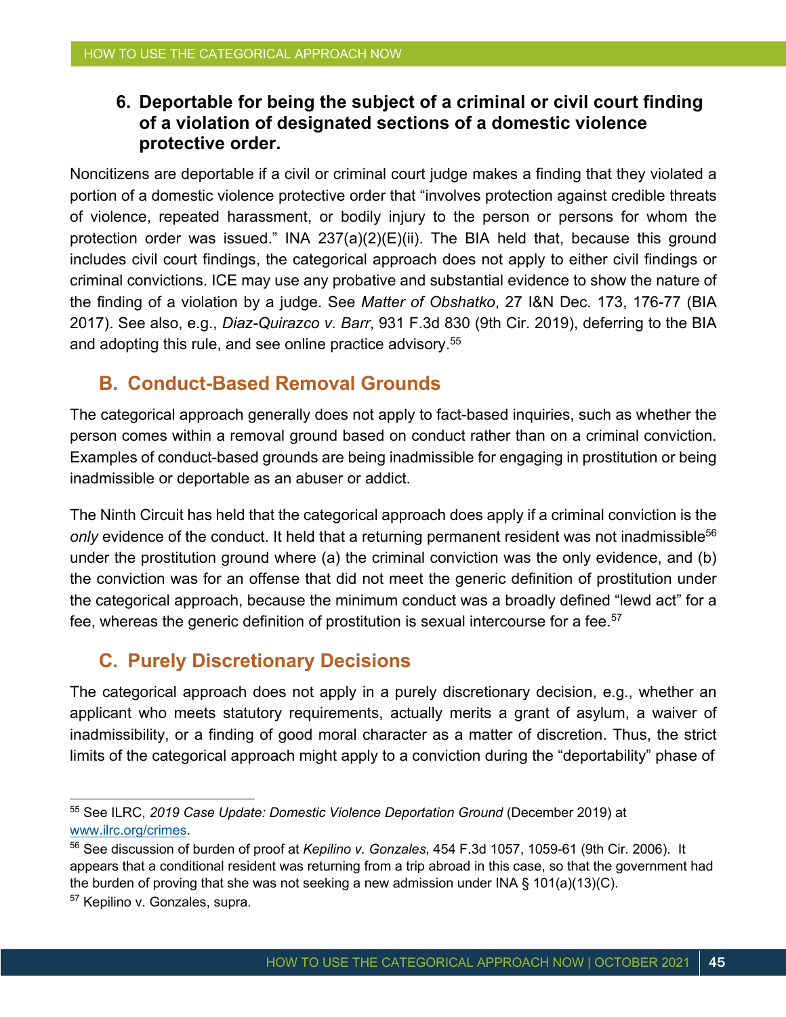### **6. Deportable for being the subject of a criminal or civil court finding of a violation of designated sections of a domestic violence protective order.**

Noncitizens are deportable if a civil or criminal court judge makes a finding that they violated a portion of a domestic violence protective order that "involves protection against credible threats of violence, repeated harassment, or bodily injury to the person or persons for whom the protection order was issued." INA 237(a)(2)(E)(ii). The BIA held that, because this ground includes civil court findings, the categorical approach does not apply to either civil findings or criminal convictions. ICE may use any probative and substantial evidence to show the nature of the finding of a violation by a judge. See *Matter of Obshatko*, 27 I&N Dec. 173, 176-77 (BIA 2017). See also, e.g., *Diaz-Quirazco v. Barr*, 931 F.3d 830 (9th Cir. 2019), deferring to the BIA and adopting this rule, and see online practice advisory.<sup>55</sup>

### **B. Conduct-Based Removal Grounds**

The categorical approach generally does not apply to fact-based inquiries, such as whether the person comes within a removal ground based on conduct rather than on a criminal conviction. Examples of conduct-based grounds are being inadmissible for engaging in prostitution or being inadmissible or deportable as an abuser or addict.

The Ninth Circuit has held that the categorical approach does apply if a criminal conviction is the only evidence of the conduct. It held that a returning permanent resident was not inadmissible<sup>56</sup> under the prostitution ground where (a) the criminal conviction was the only evidence, and (b) the conviction was for an offense that did not meet the generic definition of prostitution under the categorical approach, because the minimum conduct was a broadly defined "lewd act" for a fee, whereas the generic definition of prostitution is sexual intercourse for a fee.<sup>57</sup>

# **C. Purely Discretionary Decisions**

The categorical approach does not apply in a purely discretionary decision, e.g., whether an applicant who meets statutory requirements, actually merits a grant of asylum, a waiver of inadmissibility, or a finding of good moral character as a matter of discretion. Thus, the strict limits of the categorical approach might apply to a conviction during the "deportability" phase of

<sup>55</sup> See ILRC, *2019 Case Update: Domestic Violence Deportation Ground* (December 2019) at www.ilrc.org/crimes.

<sup>56</sup> See discussion of burden of proof at *Kepilino v. Gonzales*, 454 F.3d 1057, 1059-61 (9th Cir. 2006). It appears that a conditional resident was returning from a trip abroad in this case, so that the government had the burden of proving that she was not seeking a new admission under INA  $\S$  101(a)(13)(C).

<sup>57</sup> Kepilino v. Gonzales, supra.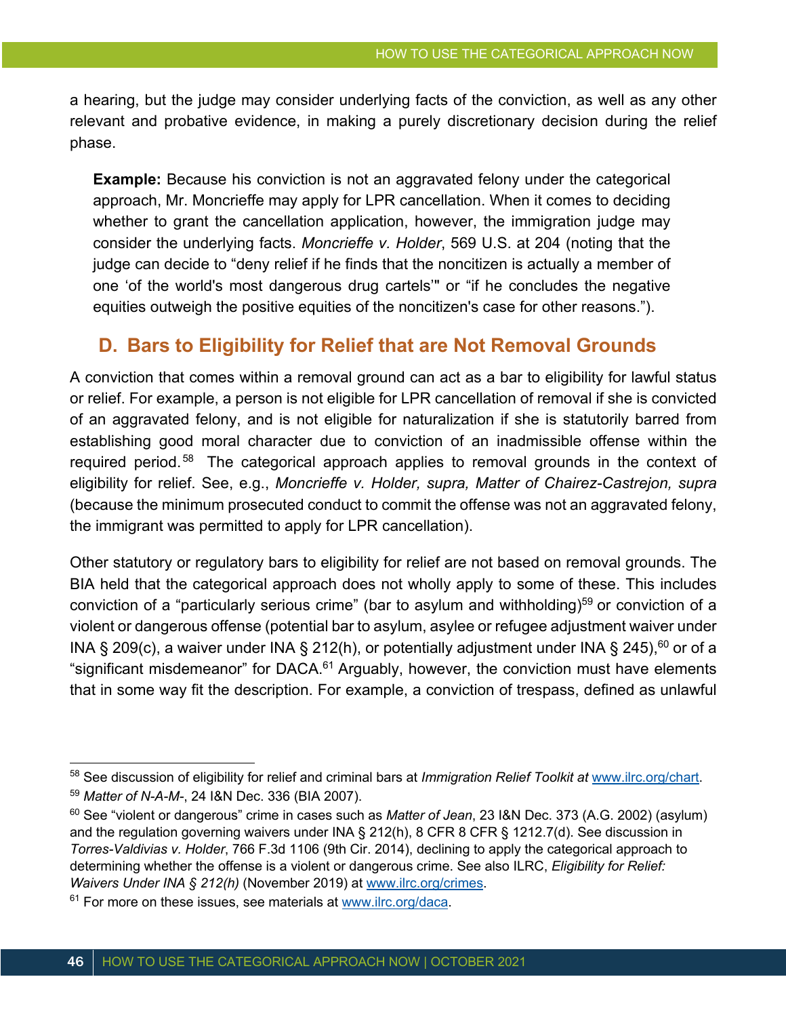a hearing, but the judge may consider underlying facts of the conviction, as well as any other relevant and probative evidence, in making a purely discretionary decision during the relief phase.

**Example:** Because his conviction is not an aggravated felony under the categorical approach, Mr. Moncrieffe may apply for LPR cancellation. When it comes to deciding whether to grant the cancellation application, however, the immigration judge may consider the underlying facts. *Moncrieffe v. Holder*, 569 U.S. at 204 (noting that the judge can decide to "deny relief if he finds that the noncitizen is actually a member of one 'of the world's most dangerous drug cartels'" or "if he concludes the negative equities outweigh the positive equities of the noncitizen's case for other reasons.").

### **D. Bars to Eligibility for Relief that are Not Removal Grounds**

A conviction that comes within a removal ground can act as a bar to eligibility for lawful status or relief. For example, a person is not eligible for LPR cancellation of removal if she is convicted of an aggravated felony, and is not eligible for naturalization if she is statutorily barred from establishing good moral character due to conviction of an inadmissible offense within the required period.<sup>58</sup> The categorical approach applies to removal grounds in the context of eligibility for relief. See, e.g., *Moncrieffe v. Holder, supra, Matter of Chairez-Castrejon, supra* (because the minimum prosecuted conduct to commit the offense was not an aggravated felony, the immigrant was permitted to apply for LPR cancellation).

Other statutory or regulatory bars to eligibility for relief are not based on removal grounds. The BIA held that the categorical approach does not wholly apply to some of these. This includes conviction of a "particularly serious crime" (bar to asylum and withholding)<sup>59</sup> or conviction of a violent or dangerous offense (potential bar to asylum, asylee or refugee adjustment waiver under INA § 209(c), a waiver under INA § 212(h), or potentially adjustment under INA § 245),<sup>60</sup> or of a "significant misdemeanor" for DACA.<sup>61</sup> Arguably, however, the conviction must have elements that in some way fit the description. For example, a conviction of trespass, defined as unlawful

<sup>58</sup> See discussion of eligibility for relief and criminal bars at *Immigration Relief Toolkit at* www.ilrc.org/chart.

<sup>59</sup> *Matter of N-A-M-*, 24 I&N Dec. 336 (BIA 2007).

<sup>60</sup> See "violent or dangerous" crime in cases such as *Matter of Jean*, 23 I&N Dec. 373 (A.G. 2002) (asylum) and the regulation governing waivers under INA § 212(h), 8 CFR 8 CFR § 1212.7(d). See discussion in *Torres-Valdivias v. Holder*, 766 F.3d 1106 (9th Cir. 2014), declining to apply the categorical approach to determining whether the offense is a violent or dangerous crime. See also ILRC, *Eligibility for Relief: Waivers Under INA § 212(h)* (November 2019) at www.ilrc.org/crimes.

 $61$  For more on these issues, see materials at www.ilrc.org/daca.